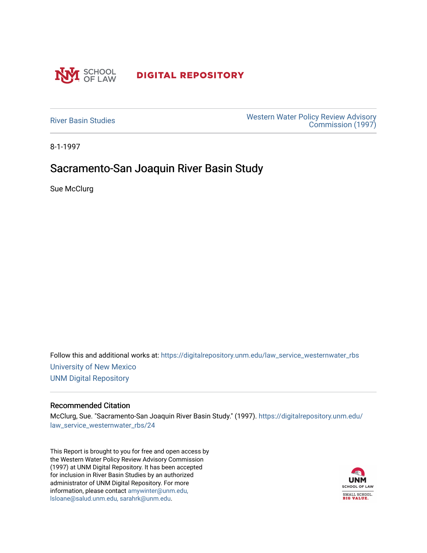

## **DIGITAL REPOSITORY**

[River Basin Studies](https://digitalrepository.unm.edu/law_service_westernwater_rbs) Network Charles Western Water Policy Review Advisory Commission (1997)

8-1-1997

## Sacramento-San Joaquin River Basin Study

Sue McClurg

Follow this and additional works at: [https://digitalrepository.unm.edu/law\\_service\\_westernwater\\_rbs](https://digitalrepository.unm.edu/law_service_westernwater_rbs?utm_source=digitalrepository.unm.edu%2Flaw_service_westernwater_rbs%2F24&utm_medium=PDF&utm_campaign=PDFCoverPages) [University of New Mexico](https://digitalrepository.unm.edu/)  [UNM Digital Repository](https://digitalrepository.unm.edu/)

#### Recommended Citation

McClurg, Sue. "Sacramento-San Joaquin River Basin Study." (1997). [https://digitalrepository.unm.edu/](https://digitalrepository.unm.edu/law_service_westernwater_rbs/24?utm_source=digitalrepository.unm.edu%2Flaw_service_westernwater_rbs%2F24&utm_medium=PDF&utm_campaign=PDFCoverPages) [law\\_service\\_westernwater\\_rbs/24](https://digitalrepository.unm.edu/law_service_westernwater_rbs/24?utm_source=digitalrepository.unm.edu%2Flaw_service_westernwater_rbs%2F24&utm_medium=PDF&utm_campaign=PDFCoverPages)

This Report is brought to you for free and open access by the Western Water Policy Review Advisory Commission (1997) at UNM Digital Repository. It has been accepted for inclusion in River Basin Studies by an authorized administrator of UNM Digital Repository. For more information, please contact [amywinter@unm.edu,](mailto:amywinter@unm.edu,%20lsloane@salud.unm.edu,%20sarahrk@unm.edu)  [lsloane@salud.unm.edu, sarahrk@unm.edu.](mailto:amywinter@unm.edu,%20lsloane@salud.unm.edu,%20sarahrk@unm.edu)

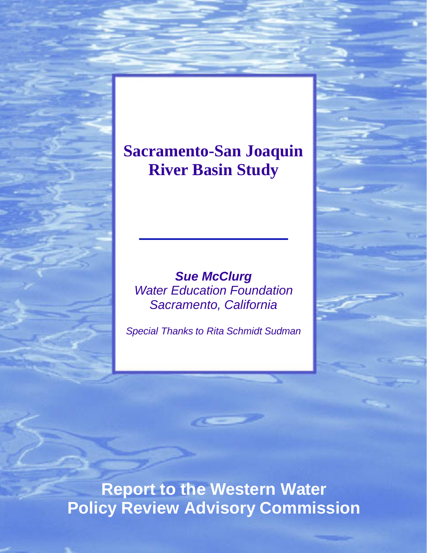# **[Sacramento-San](#page-3-0) Joaquin River Basin Study**

*Sue McClurg Water Education Foundation Sacramento, California*

*Special Thanks to Rita Schmidt Sudman*

**Report to the Western Water Policy Review Advisory Commission**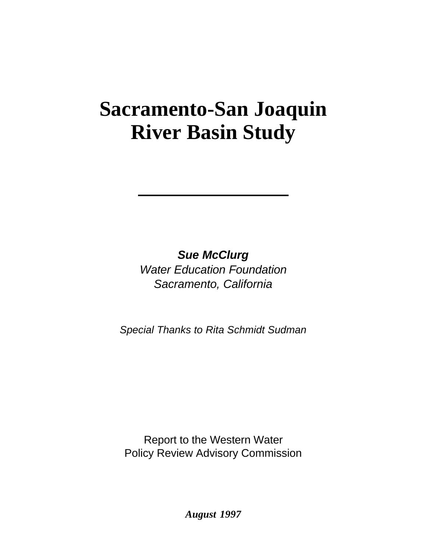# **Sacramento-San Joaquin River Basin Study**

**Sue McClurg** Water Education Foundation Sacramento, California

Special Thanks to Rita Schmidt Sudman

Report to the Western Water Policy Review Advisory Commission

*August 1997*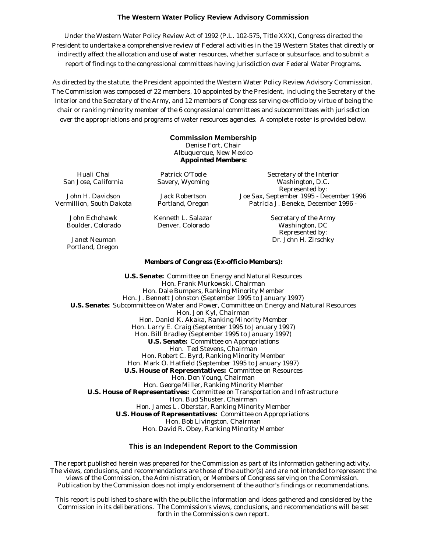#### **The Western Water Policy Review Advisory Commission**

<span id="page-3-0"></span>Under the Western Water Policy Review Act of 1992 (P.L. 102-575, Title XXX), Congress directed the President to undertake a comprehensive review of Federal activities in the 19 Western States that directly or indirectly affect the allocation and use of water resources, whether surface or subsurface, and to submit a report of findings to the congressional committees having jurisdiction over Federal Water Programs.

As directed by the statute, the President appointed the Western Water Policy Review Advisory Commission. The Commission was composed of 22 members, 10 appointed by the President, including the Secretary of the Interior and the Secretary of the Army, and 12 members of Congress serving *ex-officio* by virtue of being the chair or ranking minority member of the 6 congressional committees and subcommittees with jurisdiction over the appropriations and programs of water resources agencies. A complete roster is provided below.

#### **Commission Membership** Denise Fort, Chair

Albuquerque, New Mexico *Appointed Members***:**

Huali Chai San Jose, California

John H. Davidson Vermillion, South Dakota

> John Echohawk Boulder, Colorado

Janet Neuman Portland, Oregon

Patrick O'Toole Savery, Wyoming

Jack Robertson Portland, Oregon

Kenneth L. Salazar Denver, Colorado

Secretary of the Interior Washington, D.C. Represented by: Joe Sax, September 1995 - December 1996 Patricia J. Beneke, December 1996 -

> Secretary of the Army Washington, DC Represented by: Dr. John H. Zirschky

#### *Members of Congress (Ex-officio Members)***:**

**U.S. Senate:** Committee on Energy and Natural Resources Hon. Frank Murkowski, Chairman Hon. Dale Bumpers, Ranking Minority Member Hon. J. Bennett Johnston (September 1995 to January 1997) **U.S. Senate:** Subcommittee on Water and Power, Committee on Energy and Natural Resources Hon. Jon Kyl, Chairman Hon. Daniel K. Akaka, Ranking Minority Member Hon. Larry E. Craig (September 1995 to January 1997) Hon. Bill Bradley (September 1995 to January 1997) **U.S. Senate:** Committee on Appropriations Hon. Ted Stevens, Chairman Hon. Robert C. Byrd, Ranking Minority Member Hon. Mark O. Hatfield (September 1995 to January 1997) **U.S. House of Representatives:** Committee on Resources Hon. Don Young, Chairman Hon. George Miller, Ranking Minority Member **U.S. House of Representatives:** Committee on Transportation and Infrastructure Hon. Bud Shuster, Chairman Hon. James L. Oberstar, Ranking Minority Member **U.S. House of Representatives:** Committee on Appropriations Hon. Bob Livingston, Chairman Hon. David R. Obey, Ranking Minority Member

#### **This is an Independent Report to the Commission**

The report published herein was prepared for the Commission as part of its information gathering activity. The views, conclusions, and recommendations are those of the author(s) and are not intended to represent the views of the Commission, the Administration, or Members of Congress serving on the Commission. Publication by the Commission does not imply endorsement of the author's findings or recommendations.

This report is published to share with the public the information and ideas gathered and considered by the Commission in its deliberations. The Commission's views, conclusions, and recommendations will be set forth in the Commission's own report.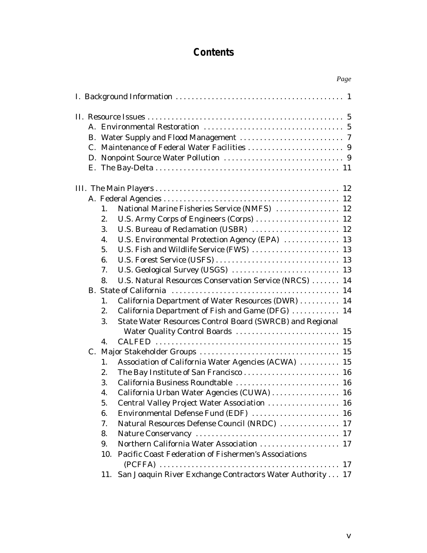# **Contents**

| Page                                                                  |    |
|-----------------------------------------------------------------------|----|
|                                                                       |    |
|                                                                       |    |
|                                                                       |    |
|                                                                       |    |
| C.                                                                    |    |
|                                                                       |    |
|                                                                       |    |
|                                                                       |    |
|                                                                       |    |
|                                                                       |    |
| National Marine Fisheries Service (NMFS)  12<br>1.                    |    |
| U.S. Army Corps of Engineers (Corps)  12<br>2.                        |    |
| U.S. Bureau of Reclamation (USBR)  12<br>3.                           |    |
| U.S. Environmental Protection Agency (EPA)  13<br>4.                  |    |
| U.S. Fish and Wildlife Service (FWS)  13<br>5.                        |    |
| 6.                                                                    |    |
| 7.                                                                    |    |
| U.S. Natural Resources Conservation Service (NRCS)<br>8.              | 14 |
|                                                                       |    |
| California Department of Water Resources (DWR)  14<br>1.              |    |
| California Department of Fish and Game (DFG)  14<br>2.                |    |
| 3.<br><b>State Water Resources Control Board (SWRCB) and Regional</b> |    |
|                                                                       |    |
| 4.                                                                    |    |
|                                                                       |    |
| Association of California Water Agencies (ACWA)  15<br>1.             |    |
| 2.                                                                    |    |
| California Business Roundtable  16<br>3.                              |    |
| California Urban Water Agencies (CUWA)  16<br>4.                      |    |
| Central Valley Project Water Association  16<br>5.                    |    |
| Environmental Defense Fund (EDF)  16<br>6.                            |    |
| Natural Resources Defense Council (NRDC)  17<br>7.                    |    |
| 8.                                                                    |    |
| Northern California Water Association  17<br>9.                       |    |
| Pacific Coast Federation of Fishermen's Associations<br>10.           |    |
|                                                                       |    |
| San Joaquin River Exchange Contractors Water Authority 17<br>11.      |    |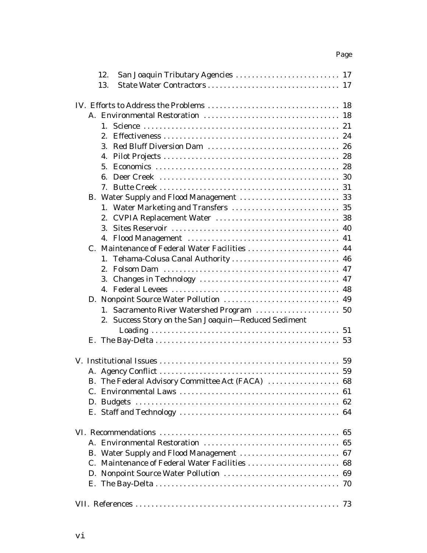# *Page*

|              | San Joaquin Tributary Agencies  17<br>12.            |    |
|--------------|------------------------------------------------------|----|
|              | 13.                                                  |    |
|              |                                                      |    |
|              |                                                      |    |
|              |                                                      |    |
|              | $1_{-}$                                              | 21 |
|              | $2_{-}$                                              |    |
|              | 3.                                                   |    |
|              | 4.                                                   | 28 |
|              | 5 <sub>1</sub>                                       |    |
|              | 6.                                                   |    |
|              | 7.                                                   |    |
|              |                                                      |    |
|              |                                                      |    |
|              | 2.                                                   |    |
|              | 3.                                                   |    |
|              | 4.                                                   |    |
|              | C. Maintenance of Federal Water Facilities  44       |    |
|              | 1.                                                   |    |
|              | 2.                                                   |    |
|              | 3.                                                   |    |
|              |                                                      |    |
|              |                                                      |    |
|              |                                                      |    |
|              | 2. Success Story on the San Joaquin-Reduced Sediment |    |
|              |                                                      |    |
|              |                                                      |    |
|              |                                                      |    |
|              |                                                      |    |
|              |                                                      |    |
|              | B. The Federal Advisory Committee Act (FACA)  68     |    |
|              |                                                      |    |
|              |                                                      |    |
|              |                                                      |    |
|              |                                                      |    |
|              |                                                      |    |
| $\mathbf{A}$ |                                                      |    |
|              | B. Water Supply and Flood Management  67             |    |
|              | C. Maintenance of Federal Water Facilities           | 68 |
|              | D. Nonpoint Source Water Pollution  69               |    |
|              |                                                      |    |
|              |                                                      |    |
|              |                                                      |    |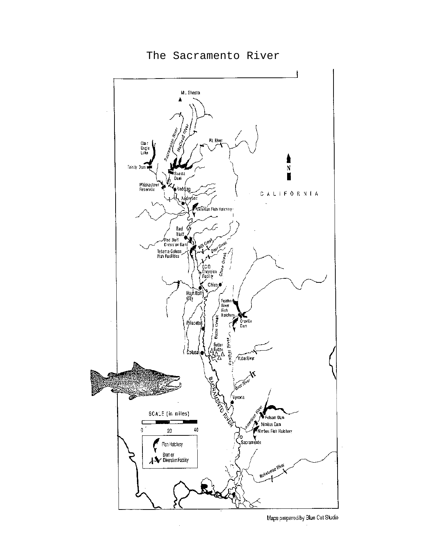The Sacramento River



Maps prepared by Blue Cat Studio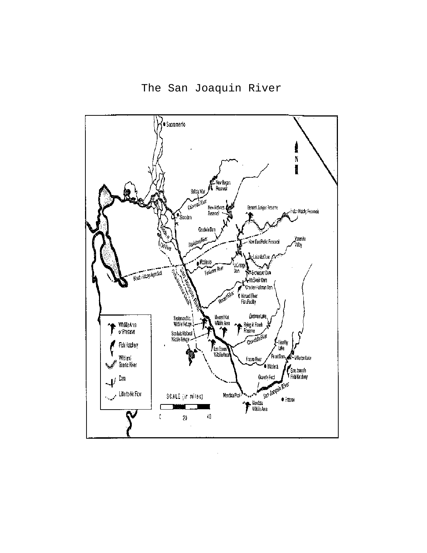The San Joaquin River

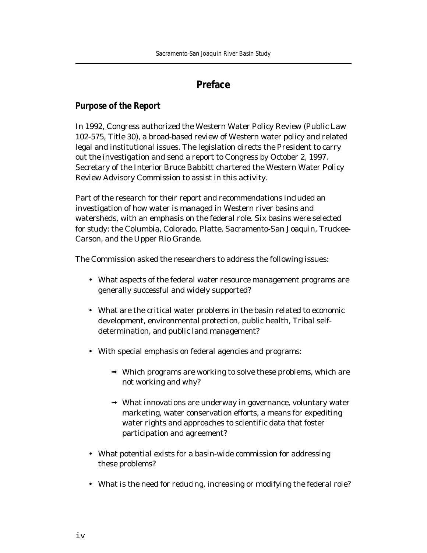## **Preface**

## **Purpose of the Report**

In 1992, Congress authorized the Western Water Policy Review (Public Law 102-575, Title 30), a broad-based review of Western water policy and related legal and institutional issues. The legislation directs the President to carry out the investigation and send a report to Congress by October 2, 1997. Secretary of the Interior Bruce Babbitt chartered the Western Water Policy Review Advisory Commission to assist in this activity.

Part of the research for their report and recommendations included an investigation of how water is managed in Western river basins and watersheds, with an emphasis on the federal role. Six basins were selected for study: the Columbia, Colorado, Platte, Sacramento-San Joaquin, Truckee-Carson, and the Upper Rio Grande.

The Commission asked the researchers to address the following issues:

- What aspects of the federal water resource management programs are generally successful and widely supported?
- What are the critical water problems in the basin related to economic development, environmental protection, public health, Tribal selfdetermination, and public land management?
- With special emphasis on federal agencies and programs:
	- $\rightarrow$  Which programs are working to solve these problems, which are not working and why?
	- → What innovations are underway in governance, voluntary water marketing, water conservation efforts, a means for expediting water rights and approaches to scientific data that foster participation and agreement?
- What potential exists for a basin-wide commission for addressing these problems?
- What is the need for reducing, increasing or modifying the federal role?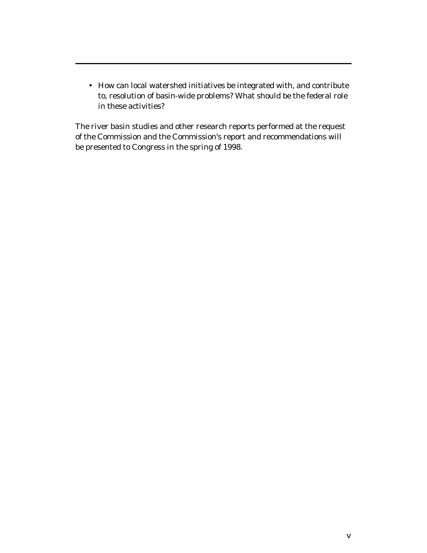• How can local watershed initiatives be integrated with, and contribute to, resolution of basin-wide problems? What should be the federal role in these activities?

The river basin studies and other research reports performed at the request of the Commission and the Commission's report and recommendations will be presented to Congress in the spring of 1998.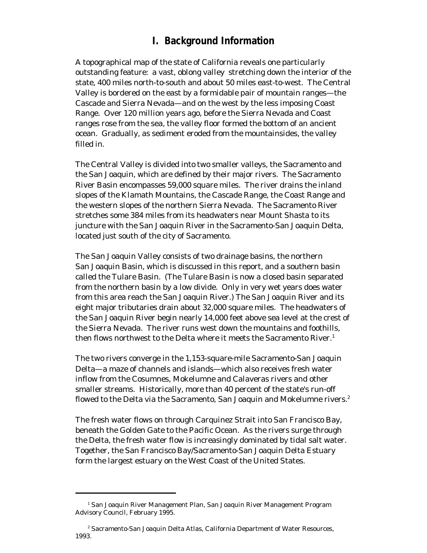## **I. Background Information**

<span id="page-10-0"></span>A topographical map of the state of California reveals one particularly outstanding feature: a vast, oblong valley stretching down the interior of the state, 400 miles north-to-south and about 50 miles east-to-west. The Central Valley is bordered on the east by a formidable pair of mountain ranges—the Cascade and Sierra Nevada—and on the west by the less imposing Coast Range. Over 120 million years ago, before the Sierra Nevada and Coast ranges rose from the sea, the valley floor formed the bottom of an ancient ocean. Gradually, as sediment eroded from the mountainsides, the valley filled in.

The Central Valley is divided into two smaller valleys, the Sacramento and the San Joaquin, which are defined by their major rivers. The Sacramento River Basin encompasses 59,000 square miles. The river drains the inland slopes of the Klamath Mountains, the Cascade Range, the Coast Range and the western slopes of the northern Sierra Nevada. The Sacramento River stretches some 384 miles from its headwaters near Mount Shasta to its juncture with the San Joaquin River in the Sacramento-San Joaquin Delta, located just south of the city of Sacramento.

The San Joaquin Valley consists of two drainage basins, the northern San Joaquin Basin, which is discussed in this report, and a southern basin called the Tulare Basin. (The Tulare Basin is now a closed basin separated from the northern basin by a low divide. Only in very wet years does water from this area reach the San Joaquin River.) The San Joaquin River and its eight major tributaries drain about 32,000 square miles. The headwaters of the San Joaquin River begin nearly 14,000 feet above sea level at the crest of the Sierra Nevada. The river runs west down the mountains and foothills, then flows northwest to the Delta where it meets the Sacramento River.<sup>1</sup>

The two rivers converge in the 1,153-square-mile Sacramento-San Joaquin Delta—a maze of channels and islands—which also receives fresh water inflow from the Cosumnes, Mokelumne and Calaveras rivers and other smaller streams. Historically, more than 40 percent of the state's run-off flowed to the Delta via the Sacramento, San Joaquin and Mokelumne rivers.<sup>2</sup>

The fresh water flows on through Carquinez Strait into San Francisco Bay, beneath the Golden Gate to the Pacific Ocean. As the rivers surge through the Delta, the fresh water flow is increasingly dominated by tidal salt water. Together, the San Francisco Bay/Sacramento-San Joaquin Delta Estuary form the largest estuary on the West Coast of the United States.

<sup>1</sup> San Joaquin River Management Plan, San Joaquin River Management Program Advisory Council, February 1995.

<sup>2</sup> Sacramento-San Joaquin Delta Atlas, California Department of Water Resources, 1993.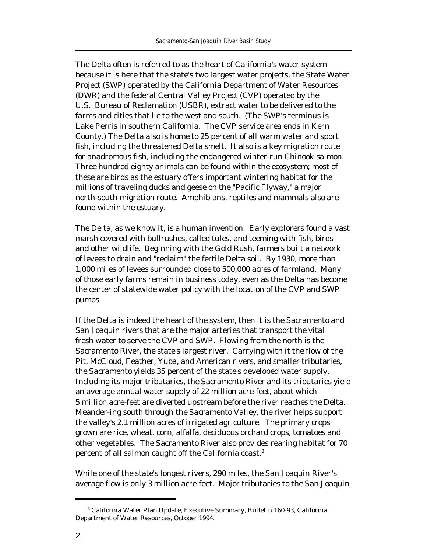The Delta often is referred to as the heart of California's water system because it is here that the state's two largest water projects, the State Water Project (SWP) operated by the California Department of Water Resources (DWR) and the federal Central Valley Project (CVP) operated by the U.S. Bureau of Reclamation (USBR), extract water to be delivered to the farms and cities that lie to the west and south. (The SWP's terminus is Lake Perris in southern California. The CVP service area ends in Kern County.) The Delta also is home to 25 percent of all warm water and sport fish, including the threatened Delta smelt. It also is a key migration route for anadromous fish, including the endangered winter-run Chinook salmon. Three hundred eighty animals can be found within the ecosystem; most of these are birds as the estuary offers important wintering habitat for the millions of traveling ducks and geese on the "Pacific Flyway," a major north-south migration route. Amphibians, reptiles and mammals also are found within the estuary.

The Delta, as we know it, is a human invention. Early explorers found a vast marsh covered with bullrushes, called tules, and teeming with fish, birds and other wildlife. Beginning with the Gold Rush, farmers built a network of levees to drain and "reclaim" the fertile Delta soil. By 1930, more than 1,000 miles of levees surrounded close to 500,000 acres of farmland. Many of those early farms remain in business today, even as the Delta has become the center of statewide water policy with the location of the CVP and SWP pumps.

If the Delta is indeed the heart of the system, then it is the Sacramento and San Joaquin rivers that are the major arteries that transport the vital fresh water to serve the CVP and SWP. Flowing from the north is the Sacramento River, the state's largest river. Carrying with it the flow of the Pit, McCloud, Feather, Yuba, and American rivers, and smaller tributaries, the Sacramento yields 35 percent of the state's developed water supply. Including its major tributaries, the Sacramento River and its tributaries yield an average annual water supply of 22 million acre-feet, about which 5 million acre-feet are diverted upstream before the river reaches the Delta. Meander-ing south through the Sacramento Valley, the river helps support the valley's 2.1 million acres of irrigated agriculture. The primary crops grown are rice, wheat, corn, alfalfa, deciduous orchard crops, tomatoes and other vegetables. The Sacramento River also provides rearing habitat for 70 percent of all salmon caught off the California coast.<sup>3</sup>

While one of the state's longest rivers, 290 miles, the San Joaquin River's average flow is only 3 million acre-feet. Major tributaries to the San Joaquin

 $\,^3$  California Water Plan Update, Executive Summary, Bulletin 160-93, California Department of Water Resources, October 1994.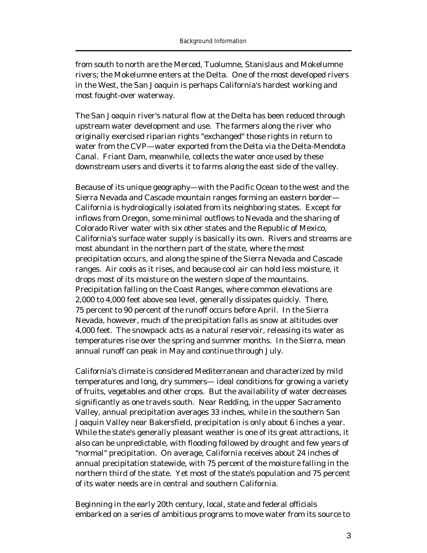from south to north are the Merced, Tuolumne, Stanislaus and Mokelumne rivers; the Mokelumne enters at the Delta. One of the most developed rivers in the West, the San Joaquin is perhaps California's hardest working and most fought-over waterway.

The San Joaquin river's natural flow at the Delta has been reduced through upstream water development and use. The farmers along the river who originally exercised riparian rights "exchanged" those rights in return to water from the CVP—water exported from the Delta via the Delta-Mendota Canal. Friant Dam, meanwhile, collects the water once used by these downstream users and diverts it to farms along the east side of the valley.

Because of its unique geography—with the Pacific Ocean to the west and the Sierra Nevada and Cascade mountain ranges forming an eastern border— California is hydrologically isolated from its neighboring states. Except for inflows from Oregon, some minimal outflows to Nevada and the sharing of Colorado River water with six other states and the Republic of Mexico, California's surface water supply is basically its own. Rivers and streams are most abundant in the northern part of the state, where the most precipitation occurs, and along the spine of the Sierra Nevada and Cascade ranges. Air cools as it rises, and because cool air can hold less moisture, it drops most of its moisture on the western slope of the mountains. Precipitation falling on the Coast Ranges, where common elevations are 2,000 to 4,000 feet above sea level, generally dissipates quickly. There, 75 percent to 90 percent of the runoff occurs before April. In the Sierra Nevada, however, much of the precipitation falls as snow at altitudes over 4,000 feet. The snowpack acts as a natural reservoir, releasing its water as temperatures rise over the spring and summer months. In the Sierra, mean annual runoff can peak in May and continue through July.

California's climate is considered Mediterranean and characterized by mild temperatures and long, dry summers— ideal conditions for growing a variety of fruits, vegetables and other crops. But the availability of water decreases significantly as one travels south. Near Redding, in the upper Sacramento Valley, annual precipitation averages 33 inches, while in the southern San Joaquin Valley near Bakersfield, precipitation is only about 6 inches a year. While the state's generally pleasant weather is one of its great attractions, it also can be unpredictable, with flooding followed by drought and few years of "normal" precipitation. On average, California receives about 24 inches of annual precipitation statewide, with 75 percent of the moisture falling in the northern third of the state. Yet most of the state's population and 75 percent of its water needs are in central and southern California.

Beginning in the early 20th century, local, state and federal officials embarked on a series of ambitious programs to move water from its source to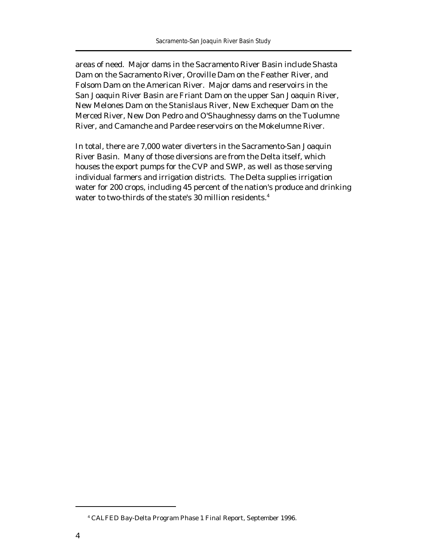areas of need. Major dams in the Sacramento River Basin include Shasta Dam on the Sacramento River, Oroville Dam on the Feather River, and Folsom Dam on the American River. Major dams and reservoirs in the San Joaquin River Basin are Friant Dam on the upper San Joaquin River, New Melones Dam on the Stanislaus River, New Exchequer Dam on the Merced River, New Don Pedro and O'Shaughnessy dams on the Tuolumne River, and Camanche and Pardee reservoirs on the Mokelumne River.

In total, there are 7,000 water diverters in the Sacramento-San Joaquin River Basin. Many of those diversions are from the Delta itself, which houses the export pumps for the CVP and SWP, as well as those serving individual farmers and irrigation districts. The Delta supplies irrigation water for 200 crops, including 45 percent of the nation's produce and drinking water to two-thirds of the state's 30 million residents.<sup>4</sup>

<sup>4</sup> CALFED Bay-Delta Program Phase 1 Final Report, September 1996.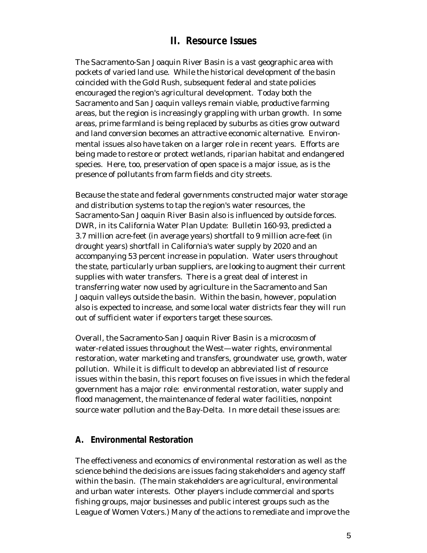## **II. Resource Issues**

<span id="page-14-0"></span>The Sacramento-San Joaquin River Basin is a vast geographic area with pockets of varied land use. While the historical development of the basin coincided with the Gold Rush, subsequent federal and state policies encouraged the region's agricultural development. Today both the Sacramento and San Joaquin valleys remain viable, productive farming areas, but the region is increasingly grappling with urban growth. In some areas, prime farmland is being replaced by suburbs as cities grow outward and land conversion becomes an attractive economic alternative. Environmental issues also have taken on a larger role in recent years. Efforts are being made to restore or protect wetlands, riparian habitat and endangered species. Here, too, preservation of open space is a major issue, as is the presence of pollutants from farm fields and city streets.

Because the state and federal governments constructed major water storage and distribution systems to tap the region's water resources, the Sacramento-San Joaquin River Basin also is influenced by outside forces. DWR, in its California Water Plan Update: Bulletin 160-93, predicted a 3.7 million acre-feet (in average years) shortfall to 9 million acre-feet (in drought years) shortfall in California's water supply by 2020 and an accompanying 53 percent increase in population. Water users throughout the state, particularly urban suppliers, are looking to augment their current supplies with water transfers. There is a great deal of interest in transferring water now used by agriculture in the Sacramento and San Joaquin valleys outside the basin. Within the basin, however, population also is expected to increase, and some local water districts fear they will run out of sufficient water if exporters target these sources.

Overall, the Sacramento-San Joaquin River Basin is a microcosm of water-related issues throughout the West—water rights, environmental restoration, water marketing and transfers, groundwater use, growth, water pollution. While it is difficult to develop an abbreviated list of resource issues within the basin, this report focuses on five issues in which the federal government has a major role: environmental restoration, water supply and flood management, the maintenance of federal water facilities, nonpoint source water pollution and the Bay-Delta. In more detail these issues are:

#### **A. Environmental Restoration**

The effectiveness and economics of environmental restoration as well as the science behind the decisions are issues facing stakeholders and agency staff within the basin. (The main stakeholders are agricultural, environmental and urban water interests. Other players include commercial and sports fishing groups, major businesses and public interest groups such as the League of Women Voters.) Many of the actions to remediate and improve the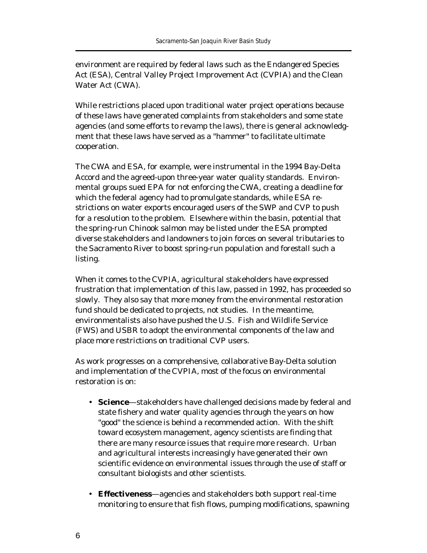environment are required by federal laws such as the Endangered Species Act (ESA), Central Valley Project Improvement Act (CVPIA) and the Clean Water Act (CWA).

While restrictions placed upon traditional water project operations because of these laws have generated complaints from stakeholders and some state agencies (and some efforts to revamp the laws), there is general acknowledgment that these laws have served as a "hammer" to facilitate ultimate cooperation.

The CWA and ESA, for example, were instrumental in the 1994 Bay-Delta Accord and the agreed-upon three-year water quality standards. Environmental groups sued EPA for not enforcing the CWA, creating a deadline for which the federal agency had to promulgate standards, while ESA restrictions on water exports encouraged users of the SWP and CVP to push for a resolution to the problem. Elsewhere within the basin, potential that the spring-run Chinook salmon may be listed under the ESA prompted diverse stakeholders and landowners to join forces on several tributaries to the Sacramento River to boost spring-run population and forestall such a listing.

When it comes to the CVPIA, agricultural stakeholders have expressed frustration that implementation of this law, passed in 1992, has proceeded so slowly. They also say that more money from the environmental restoration fund should be dedicated to projects, not studies. In the meantime, environmentalists also have pushed the U.S. Fish and Wildlife Service (FWS) and USBR to adopt the environmental components of the law and place more restrictions on traditional CVP users.

As work progresses on a comprehensive, collaborative Bay-Delta solution and implementation of the CVPIA, most of the focus on environmental restoration is on:

- **Science**—stakeholders have challenged decisions made by federal and state fishery and water quality agencies through the years on how "good" the science is behind a recommended action. With the shift toward ecosystem management, agency scientists are finding that there are many resource issues that require more research. Urban and agricultural interests increasingly have generated their own scientific evidence on environmental issues through the use of staff or consultant biologists and other scientists.
- **Effectiveness**—agencies and stakeholders both support real-time monitoring to ensure that fish flows, pumping modifications, spawning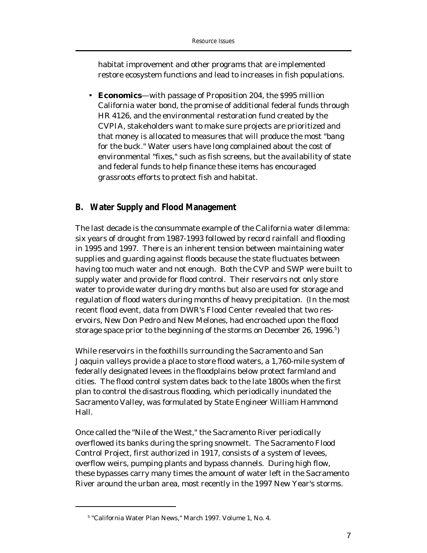<span id="page-16-0"></span>habitat improvement and other programs that are implemented restore ecosystem functions and lead to increases in fish populations.

• **Economics**—with passage of Proposition 204, the \$995 million California water bond, the promise of additional federal funds through HR 4126, and the environmental restoration fund created by the CVPIA, stakeholders want to make sure projects are prioritized and that money is allocated to measures that will produce the most "bang for the buck." Water users have long complained about the cost of environmental "fixes," such as fish screens, but the availability of state and federal funds to help finance these items has encouraged grassroots efforts to protect fish and habitat.

## **B. Water Supply and Flood Management**

The last decade is the consummate example of the California water dilemma: six years of drought from 1987-1993 followed by record rainfall and flooding in 1995 and 1997. There is an inherent tension between maintaining water supplies and guarding against floods because the state fluctuates between having too much water and not enough. Both the CVP and SWP were built to supply water and provide for flood control. Their reservoirs not only store water to provide water during dry months but also are used for storage and regulation of flood waters during months of heavy precipitation. (In the most recent flood event, data from DWR's Flood Center revealed that two reservoirs, New Don Pedro and New Melones, had encroached upon the flood storage space prior to the beginning of the storms on December 26, 1996.<sup>5</sup>)

While reservoirs in the foothills surrounding the Sacramento and San Joaquin valleys provide a place to store flood waters, a 1,760-mile system of federally designated levees in the floodplains below protect farmland and cities. The flood control system dates back to the late 1800s when the first plan to control the disastrous flooding, which periodically inundated the Sacramento Valley, was formulated by State Engineer William Hammond Hall.

Once called the "Nile of the West," the Sacramento River periodically overflowed its banks during the spring snowmelt. The Sacramento Flood Control Project, first authorized in 1917, consists of a system of levees, overflow weirs, pumping plants and bypass channels. During high flow, these bypasses carry many times the amount of water left in the Sacramento River around the urban area, most recently in the 1997 New Year's storms.

<sup>5</sup> "California Water Plan News," March 1997. Volume 1, No. 4.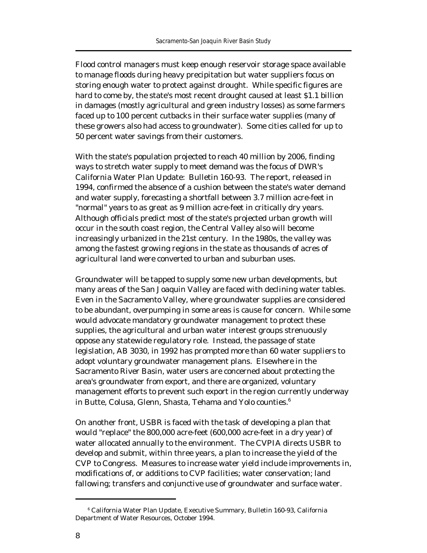Flood control managers must keep enough reservoir storage space available to manage floods during heavy precipitation but water suppliers focus on storing enough water to protect against drought. While specific figures are hard to come by, the state's most recent drought caused at least \$1.1 billion in damages (mostly agricultural and green industry losses) as some farmers faced up to 100 percent cutbacks in their surface water supplies (many of these growers also had access to groundwater). Some cities called for up to 50 percent water savings from their customers.

With the state's population projected to reach 40 million by 2006, finding ways to stretch water supply to meet demand was the focus of DWR's California Water Plan Update: Bulletin 160-93. The report, released in 1994, confirmed the absence of a cushion between the state's water demand and water supply, forecasting a shortfall between 3.7 million acre-feet in "normal" years to as great as 9 million acre-feet in critically dry years. Although officials predict most of the state's projected urban growth will occur in the south coast region, the Central Valley also will become increasingly urbanized in the 21st century. In the 1980s, the valley was among the fastest growing regions in the state as thousands of acres of agricultural land were converted to urban and suburban uses.

Groundwater will be tapped to supply some new urban developments, but many areas of the San Joaquin Valley are faced with declining water tables. Even in the Sacramento Valley, where groundwater supplies are considered to be abundant, overpumping in some areas is cause for concern. While some would advocate mandatory groundwater management to protect these supplies, the agricultural and urban water interest groups strenuously oppose any statewide regulatory role. Instead, the passage of state legislation, AB 3030, in 1992 has prompted more than 60 water suppliers to adopt voluntary groundwater management plans. Elsewhere in the Sacramento River Basin, water users are concerned about protecting the area's groundwater from export, and there are organized, voluntary management efforts to prevent such export in the region currently underway in Butte, Colusa, Glenn, Shasta, Tehama and Yolo counties.<sup>6</sup>

On another front, USBR is faced with the task of developing a plan that would "replace" the 800,000 acre-feet (600,000 acre-feet in a dry year) of water allocated annually to the environment. The CVPIA directs USBR to develop and submit, within three years, a plan to increase the yield of the CVP to Congress. Measures to increase water yield include improvements in, modifications of, or additions to CVP facilities; water conservation; land fallowing; transfers and conjunctive use of groundwater and surface water.

 $^{\rm 6}$  California Water Plan Update, Executive Summary, Bulletin 160-93, California Department of Water Resources, October 1994.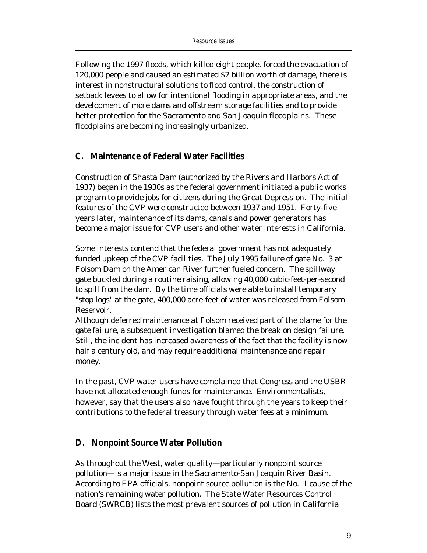<span id="page-18-0"></span>Following the 1997 floods, which killed eight people, forced the evacuation of 120,000 people and caused an estimated \$2 billion worth of damage, there is interest in nonstructural solutions to flood control, the construction of setback levees to allow for intentional flooding in appropriate areas, and the development of more dams and offstream storage facilities and to provide better protection for the Sacramento and San Joaquin floodplains. These floodplains are becoming increasingly urbanized.

#### **C. Maintenance of Federal Water Facilities**

Construction of Shasta Dam (authorized by the Rivers and Harbors Act of 1937) began in the 1930s as the federal government initiated a public works program to provide jobs for citizens during the Great Depression. The initial features of the CVP were constructed between 1937 and 1951. Forty-five years later, maintenance of its dams, canals and power generators has become a major issue for CVP users and other water interests in California.

Some interests contend that the federal government has not adequately funded upkeep of the CVP facilities. The July 1995 failure of gate No. 3 at Folsom Dam on the American River further fueled concern. The spillway gate buckled during a routine raising, allowing 40,000 cubic-feet-per-second to spill from the dam. By the time officials were able to install temporary "stop logs" at the gate, 400,000 acre-feet of water was released from Folsom Reservoir.

Although deferred maintenance at Folsom received part of the blame for the gate failure, a subsequent investigation blamed the break on design failure. Still, the incident has increased awareness of the fact that the facility is now half a century old, and may require additional maintenance and repair money.

In the past, CVP water users have complained that Congress and the USBR have not allocated enough funds for maintenance. Environmentalists, however, say that the users also have fought through the years to keep their contributions to the federal treasury through water fees at a minimum.

#### **D. Nonpoint Source Water Pollution**

As throughout the West, water quality—particularly nonpoint source pollution—is a major issue in the Sacramento-San Joaquin River Basin. According to EPA officials, nonpoint source pollution is the No. 1 cause of the nation's remaining water pollution. The State Water Resources Control Board (SWRCB) lists the most prevalent sources of pollution in California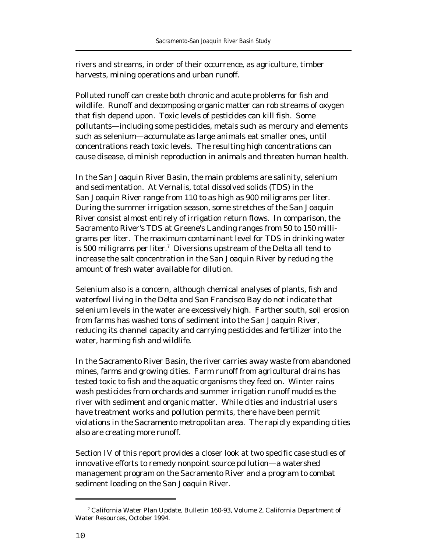rivers and streams, in order of their occurrence, as agriculture, timber harvests, mining operations and urban runoff.

Polluted runoff can create both chronic and acute problems for fish and wildlife. Runoff and decomposing organic matter can rob streams of oxygen that fish depend upon. Toxic levels of pesticides can kill fish. Some pollutants—including some pesticides, metals such as mercury and elements such as selenium—accumulate as large animals eat smaller ones, until concentrations reach toxic levels. The resulting high concentrations can cause disease, diminish reproduction in animals and threaten human health.

In the San Joaquin River Basin, the main problems are salinity, selenium and sedimentation. At Vernalis, total dissolved solids (TDS) in the San Joaquin River range from 110 to as high as 900 miligrams per liter. During the summer irrigation season, some stretches of the San Joaquin River consist almost entirely of irrigation return flows. In comparison, the Sacramento River's TDS at Greene's Landing ranges from 50 to 150 milligrams per liter. The maximum contaminant level for TDS in drinking water is 500 miligrams per liter. $^7$  Diversions upstream of the Delta all tend to increase the salt concentration in the San Joaquin River by reducing the amount of fresh water available for dilution.

Selenium also is a concern, although chemical analyses of plants, fish and waterfowl living in the Delta and San Francisco Bay do not indicate that selenium levels in the water are excessively high. Farther south, soil erosion from farms has washed tons of sediment into the San Joaquin River, reducing its channel capacity and carrying pesticides and fertilizer into the water, harming fish and wildlife.

In the Sacramento River Basin, the river carries away waste from abandoned mines, farms and growing cities. Farm runoff from agricultural drains has tested toxic to fish and the aquatic organisms they feed on. Winter rains wash pesticides from orchards and summer irrigation runoff muddies the river with sediment and organic matter. While cities and industrial users have treatment works and pollution permits, there have been permit violations in the Sacramento metropolitan area. The rapidly expanding cities also are creating more runoff.

Section IV of this report provides a closer look at two specific case studies of innovative efforts to remedy nonpoint source pollution—a watershed management program on the Sacramento River and a program to combat sediment loading on the San Joaquin River.

<sup>7</sup> California Water Plan Update, Bulletin 160-93, Volume 2, California Department of Water Resources, October 1994.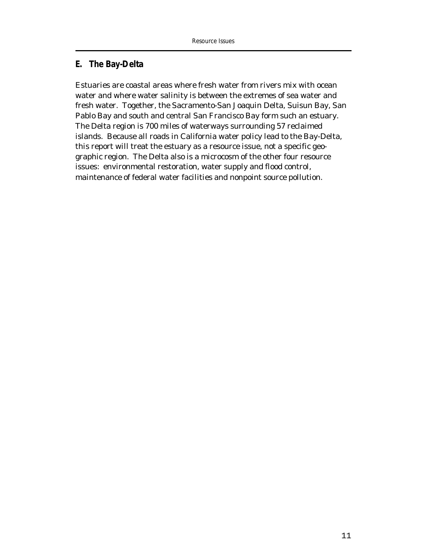#### <span id="page-20-0"></span>**E. The Bay-Delta**

Estuaries are coastal areas where fresh water from rivers mix with ocean water and where water salinity is between the extremes of sea water and fresh water. Together, the Sacramento-San Joaquin Delta, Suisun Bay, San Pablo Bay and south and central San Francisco Bay form such an estuary. The Delta region is 700 miles of waterways surrounding 57 reclaimed islands. Because all roads in California water policy lead to the Bay-Delta, this report will treat the estuary as a resource issue, not a specific geographic region. The Delta also is a microcosm of the other four resource issues: environmental restoration, water supply and flood control, maintenance of federal water facilities and nonpoint source pollution.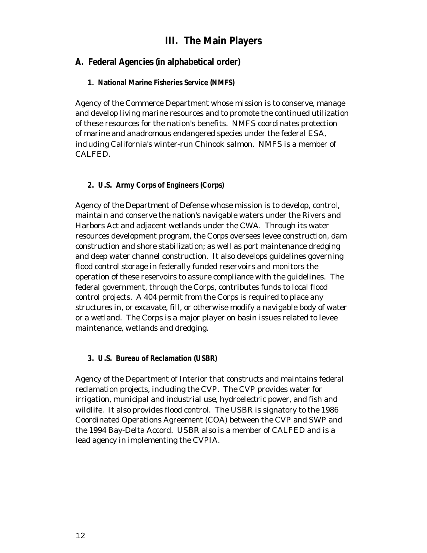## **III. The Main Players**

#### <span id="page-21-0"></span>**A. Federal Agencies (in alphabetical order)**

#### **1. National Marine Fisheries Service (NMFS)**

Agency of the Commerce Department whose mission is to conserve, manage and develop living marine resources and to promote the continued utilization of these resources for the nation's benefits. NMFS coordinates protection of marine and anadromous endangered species under the federal ESA, including California's winter-run Chinook salmon. NMFS is a member of CALFED.

#### **2. U.S. Army Corps of Engineers (Corps)**

Agency of the Department of Defense whose mission is to develop, control, maintain and conserve the nation's navigable waters under the Rivers and Harbors Act and adjacent wetlands under the CWA. Through its water resources development program, the Corps oversees levee construction, dam construction and shore stabilization; as well as port maintenance dredging and deep water channel construction. It also develops guidelines governing flood control storage in federally funded reservoirs and monitors the operation of these reservoirs to assure compliance with the guidelines. The federal government, through the Corps, contributes funds to local flood control projects. A 404 permit from the Corps is required to place any structures in, or excavate, fill, or otherwise modify a navigable body of water or a wetland. The Corps is a major player on basin issues related to levee maintenance, wetlands and dredging.

#### **3. U.S. Bureau of Reclamation (USBR)**

Agency of the Department of Interior that constructs and maintains federal reclamation projects, including the CVP. The CVP provides water for irrigation, municipal and industrial use, hydroelectric power, and fish and wildlife. It also provides flood control. The USBR is signatory to the 1986 Coordinated Operations Agreement (COA) between the CVP and SWP and the 1994 Bay-Delta Accord. USBR also is a member of CALFED and is a lead agency in implementing the CVPIA.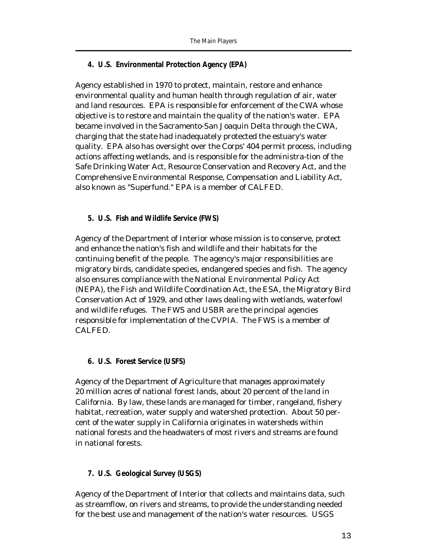#### <span id="page-22-0"></span>**4. U.S. Environmental Protection Agency (EPA)**

Agency established in 1970 to protect, maintain, restore and enhance environmental quality and human health through regulation of air, water and land resources. EPA is responsible for enforcement of the CWA whose objective is to restore and maintain the quality of the nation's water. EPA became involved in the Sacramento-San Joaquin Delta through the CWA, charging that the state had inadequately protected the estuary's water quality. EPA also has oversight over the Corps' 404 permit process, including actions affecting wetlands, and is responsible for the administra-tion of the Safe Drinking Water Act, Resource Conservation and Recovery Act, and the Comprehensive Environmental Response, Compensation and Liability Act, also known as "Superfund." EPA is a member of CALFED.

#### **5. U.S. Fish and Wildlife Service (FWS)**

Agency of the Department of Interior whose mission is to conserve, protect and enhance the nation's fish and wildlife and their habitats for the continuing benefit of the people. The agency's major responsibilities are migratory birds, candidate species, endangered species and fish. The agency also ensures compliance with the National Environmental Policy Act (NEPA), the Fish and Wildlife Coordination Act, the ESA, the Migratory Bird Conservation Act of 1929, and other laws dealing with wetlands, waterfowl and wildlife refuges. The FWS and USBR are the principal agencies responsible for implementation of the CVPIA. The FWS is a member of CALFED.

#### **6. U.S. Forest Service (USFS)**

Agency of the Department of Agriculture that manages approximately 20 million acres of national forest lands, about 20 percent of the land in California. By law, these lands are managed for timber, rangeland, fishery habitat, recreation, water supply and watershed protection. About 50 percent of the water supply in California originates in watersheds within national forests and the headwaters of most rivers and streams are found in national forests.

#### **7. U.S. Geological Survey (USGS)**

Agency of the Department of Interior that collects and maintains data, such as streamflow, on rivers and streams, to provide the understanding needed for the best use and management of the nation's water resources. USGS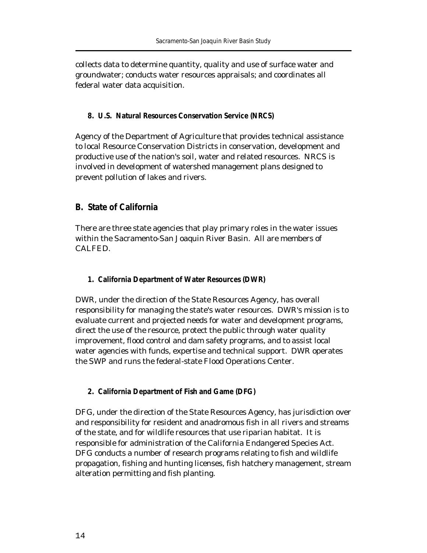<span id="page-23-0"></span>collects data to determine quantity, quality and use of surface water and groundwater; conducts water resources appraisals; and coordinates all federal water data acquisition.

#### **8. U.S. Natural Resources Conservation Service (NRCS)**

Agency of the Department of Agriculture that provides technical assistance to local Resource Conservation Districts in conservation, development and productive use of the nation's soil, water and related resources. NRCS is involved in development of watershed management plans designed to prevent pollution of lakes and rivers.

## **B. State of California**

There are three state agencies that play primary roles in the water issues within the Sacramento-San Joaquin River Basin. All are members of CALFED.

#### **1. California Department of Water Resources (DWR)**

DWR, under the direction of the State Resources Agency, has overall responsibility for managing the state's water resources. DWR's mission is to evaluate current and projected needs for water and development programs, direct the use of the resource, protect the public through water quality improvement, flood control and dam safety programs, and to assist local water agencies with funds, expertise and technical support. DWR operates the SWP and runs the federal-state Flood Operations Center.

#### **2. California Department of Fish and Game (DFG)**

DFG, under the direction of the State Resources Agency, has jurisdiction over and responsibility for resident and anadromous fish in all rivers and streams of the state, and for wildlife resources that use riparian habitat. It is responsible for administration of the California Endangered Species Act. DFG conducts a number of research programs relating to fish and wildlife propagation, fishing and hunting licenses, fish hatchery management, stream alteration permitting and fish planting.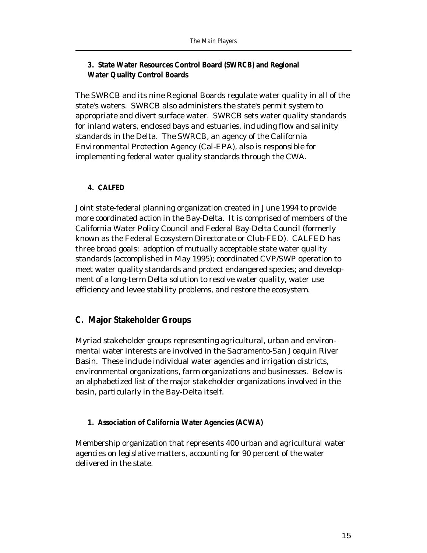<span id="page-24-0"></span>**3. State Water Resources Control Board (SWRCB) and Regional Water Quality Control Boards**

The SWRCB and its nine Regional Boards regulate water quality in all of the state's waters. SWRCB also administers the state's permit system to appropriate and divert surface water. SWRCB sets water quality standards for inland waters, enclosed bays and estuaries, including flow and salinity standards in the Delta. The SWRCB, an agency of the California Environmental Protection Agency (Cal-EPA), also is responsible for implementing federal water quality standards through the CWA.

#### **4. CALFED**

Joint state-federal planning organization created in June 1994 to provide more coordinated action in the Bay-Delta. It is comprised of members of the California Water Policy Council and Federal Bay-Delta Council (formerly known as the Federal Ecosystem Directorate or Club-FED). CALFED has three broad goals: adoption of mutually acceptable state water quality standards (accomplished in May 1995); coordinated CVP/SWP operation to meet water quality standards and protect endangered species; and development of a long-term Delta solution to resolve water quality, water use efficiency and levee stability problems, and restore the ecosystem.

## **C. Major Stakeholder Groups**

Myriad stakeholder groups representing agricultural, urban and environmental water interests are involved in the Sacramento-San Joaquin River Basin. These include individual water agencies and irrigation districts, environmental organizations, farm organizations and businesses. Below is an alphabetized list of the major stakeholder organizations involved in the basin, particularly in the Bay-Delta itself.

#### **1. Association of California Water Agencies (ACWA)**

Membership organization that represents 400 urban and agricultural water agencies on legislative matters, accounting for 90 percent of the water delivered in the state.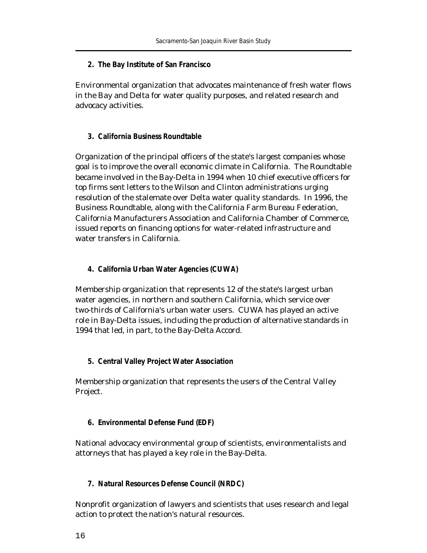#### <span id="page-25-0"></span>**2. The Bay Institute of San Francisco**

Environmental organization that advocates maintenance of fresh water flows in the Bay and Delta for water quality purposes, and related research and advocacy activities.

#### **3. California Business Roundtable**

Organization of the principal officers of the state's largest companies whose goal is to improve the overall economic climate in California. The Roundtable became involved in the Bay-Delta in 1994 when 10 chief executive officers for top firms sent letters to the Wilson and Clinton administrations urging resolution of the stalemate over Delta water quality standards. In 1996, the Business Roundtable, along with the California Farm Bureau Federation, California Manufacturers Association and California Chamber of Commerce, issued reports on financing options for water-related infrastructure and water transfers in California.

#### **4. California Urban Water Agencies (CUWA)**

Membership organization that represents 12 of the state's largest urban water agencies, in northern and southern California, which service over two-thirds of California's urban water users. CUWA has played an active role in Bay-Delta issues, including the production of alternative standards in 1994 that led, in part, to the Bay-Delta Accord.

#### **5. Central Valley Project Water Association**

Membership organization that represents the users of the Central Valley Project.

#### **6. Environmental Defense Fund (EDF)**

National advocacy environmental group of scientists, environmentalists and attorneys that has played a key role in the Bay-Delta.

#### **7. Natural Resources Defense Council (NRDC)**

Nonprofit organization of lawyers and scientists that uses research and legal action to protect the nation's natural resources.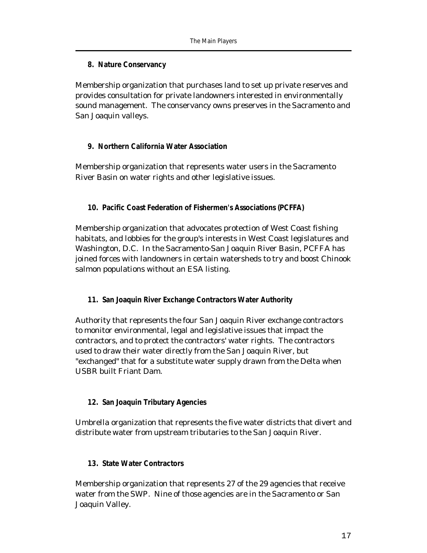#### <span id="page-26-0"></span>**8. Nature Conservancy**

Membership organization that purchases land to set up private reserves and provides consultation for private landowners interested in environmentally sound management. The conservancy owns preserves in the Sacramento and San Joaquin valleys.

#### **9. Northern California Water Association**

Membership organization that represents water users in the Sacramento River Basin on water rights and other legislative issues.

#### **10. Pacific Coast Federation of Fishermen's Associations (PCFFA)**

Membership organization that advocates protection of West Coast fishing habitats, and lobbies for the group's interests in West Coast legislatures and Washington, D.C. In the Sacramento-San Joaquin River Basin, PCFFA has joined forces with landowners in certain watersheds to try and boost Chinook salmon populations without an ESA listing.

#### **11. San Joaquin River Exchange Contractors Water Authority**

Authority that represents the four San Joaquin River exchange contractors to monitor environmental, legal and legislative issues that impact the contractors, and to protect the contractors' water rights. The contractors used to draw their water directly from the San Joaquin River, but "exchanged" that for a substitute water supply drawn from the Delta when USBR built Friant Dam.

#### **12. San Joaquin Tributary Agencies**

Umbrella organization that represents the five water districts that divert and distribute water from upstream tributaries to the San Joaquin River.

#### **13. State Water Contractors**

Membership organization that represents 27 of the 29 agencies that receive water from the SWP. Nine of those agencies are in the Sacramento or San Joaquin Valley.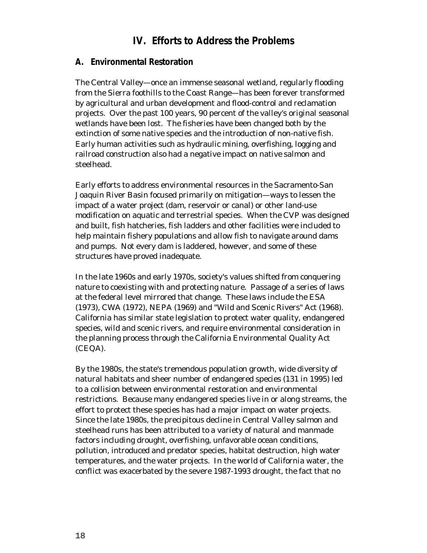## **IV. Efforts to Address the Problems**

#### <span id="page-27-0"></span>**A. Environmental Restoration**

The Central Valley—once an immense seasonal wetland, regularly flooding from the Sierra foothills to the Coast Range—has been forever transformed by agricultural and urban development and flood-control and reclamation projects. Over the past 100 years, 90 percent of the valley's original seasonal wetlands have been lost. The fisheries have been changed both by the extinction of some native species and the introduction of non-native fish. Early human activities such as hydraulic mining, overfishing, logging and railroad construction also had a negative impact on native salmon and steelhead.

Early efforts to address environmental resources in the Sacramento-San Joaquin River Basin focused primarily on mitigation—ways to lessen the impact of a water project (dam, reservoir or canal) or other land-use modification on aquatic and terrestrial species. When the CVP was designed and built, fish hatcheries, fish ladders and other facilities were included to help maintain fishery populations and allow fish to navigate around dams and pumps. Not every dam is laddered, however, and some of these structures have proved inadequate.

In the late 1960s and early 1970s, society's values shifted from conquering nature to coexisting with and protecting nature. Passage of a series of laws at the federal level mirrored that change. These laws include the ESA (1973), CWA (1972), NEPA (1969) and "Wild and Scenic Rivers" Act (1968). California has similar state legislation to protect water quality, endangered species, wild and scenic rivers, and require environmental consideration in the planning process through the California Environmental Quality Act (CEQA).

By the 1980s, the state's tremendous population growth, wide diversity of natural habitats and sheer number of endangered species (131 in 1995) led to a collision between environmental restoration and environmental restrictions. Because many endangered species live in or along streams, the effort to protect these species has had a major impact on water projects. Since the late 1980s, the precipitous decline in Central Valley salmon and steelhead runs has been attributed to a variety of natural and manmade factors including drought, overfishing, unfavorable ocean conditions, pollution, introduced and predator species, habitat destruction, high water temperatures, and the water projects. In the world of California water, the conflict was exacerbated by the severe 1987-1993 drought, the fact that no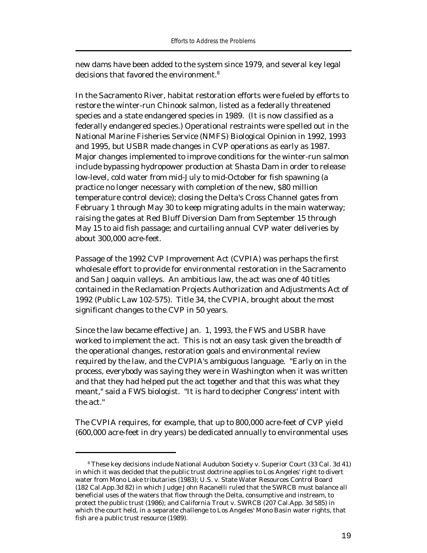new dams have been added to the system since 1979, and several key legal decisions that favored the environment.<sup>8</sup>

In the Sacramento River, habitat restoration efforts were fueled by efforts to restore the winter-run Chinook salmon, listed as a federally threatened species and a state endangered species in 1989. (It is now classified as a federally endangered species.) Operational restraints were spelled out in the National Marine Fisheries Service (NMFS) Biological Opinion in 1992, 1993 and 1995, but USBR made changes in CVP operations as early as 1987. Major changes implemented to improve conditions for the winter-run salmon include bypassing hydropower production at Shasta Dam in order to release low-level, cold water from mid-July to mid-October for fish spawning (a practice no longer necessary with completion of the new, \$80 million temperature control device); closing the Delta's Cross Channel gates from February 1 through May 30 to keep migrating adults in the main waterway; raising the gates at Red Bluff Diversion Dam from September 15 through May 15 to aid fish passage; and curtailing annual CVP water deliveries by about 300,000 acre-feet.

Passage of the 1992 CVP Improvement Act (CVPIA) was perhaps the first wholesale effort to provide for environmental restoration in the Sacramento and San Joaquin valleys. An ambitious law, the act was one of 40 titles contained in the Reclamation Projects Authorization and Adjustments Act of 1992 (Public Law 102-575). Title 34, the CVPIA, brought about the most significant changes to the CVP in 50 years.

Since the law became effective Jan. 1, 1993, the FWS and USBR have worked to implement the act. This is not an easy task given the breadth of the operational changes, restoration goals and environmental review required by the law, and the CVPIA's ambiguous language. "Early on in the process, everybody was saying they were in Washington when it was written and that they had helped put the act together and that this was what they meant," said a FWS biologist. "It is hard to decipher Congress' intent with the act."

The CVPIA requires, for example, that up to 800,000 acre-feet of CVP yield (600,000 acre-feet in dry years) be dedicated annually to environmental uses

<sup>8</sup> These key decisions include National Audubon Society v. Superior Court (33 Cal. 3d 41) in which it was decided that the public trust doctrine applies to Los Angeles' right to divert water from Mono Lake tributaries (1983); U.S. v. State Water Resources Control Board (182 Cal.App.3d 82) in which Judge John Racanelli ruled that the SWRCB must balance all beneficial uses of the waters that flow through the Delta, consumptive and instream, to protect the public trust (1986); and California Trout v. SWRCB (207 Cal.App. 3d 585) in which the court held, in a separate challenge to Los Angeles' Mono Basin water rights, that fish are a public trust resource (1989).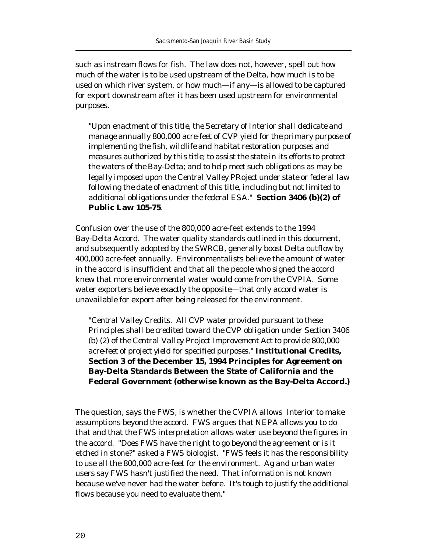such as instream flows for fish. The law does not, however, spell out how much of the water is to be used upstream of the Delta, how much is to be used on which river system, or how much—if any—is allowed to be captured for export downstream after it has been used upstream for environmental purposes.

*"Upon enactment of this title, the Secretary of Interior shall dedicate and manage annually 800,000 acre-feet of CVP yield for the primary purpose of implementing the fish, wildlife and habitat restoration purposes and measures authorized by this title; to assist the state in its efforts to protect the waters of the Bay-Delta; and to help meet such obligations as may be legally imposed upon the Central Valley PRoject under state or federal law following the date of enactment of this title, including but not limited to additional obligations under the federal ESA."* **Section 3406 (b)(2) of Public Law 105-75**.

Confusion over the use of the 800,000 acre-feet extends to the 1994 Bay-Delta Accord. The water quality standards outlined in this document, and subsequently adopted by the SWRCB, generally boost Delta outflow by 400,000 acre-feet annually. Environmentalists believe the amount of water in the accord is insufficient and that all the people who signed the accord knew that more environmental water would come from the CVPIA. Some water exporters believe exactly the opposite—that only accord water is unavailable for export after being released for the environment.

*"Central Valley Credits. All CVP water provided pursuant to these Principles shall be credited toward the CVP obligation under Section 3406 (b) (2) of the Central Valley Project Improvement Act to provide 800,000 acre-feet of project yield for specified purposes."* **Institutional Credits, Section 3 of the December 15, 1994 Principles for Agreement on Bay-Delta Standards Between the State of California and the Federal Government (otherwise known as the Bay-Delta Accord.)**

The question, says the FWS, is whether the CVPIA allows Interior to make assumptions beyond the accord. FWS argues that NEPA allows you to do that and that the FWS interpretation allows water use beyond the figures in the accord. "Does FWS have the right to go beyond the agreement or is it etched in stone?" asked a FWS biologist. "FWS feels it has the responsibility to use all the 800,000 acre-feet for the environment. Ag and urban water users say FWS hasn't justified the need. That information is not known because we've never had the water before. It's tough to justify the additional flows because you need to evaluate them."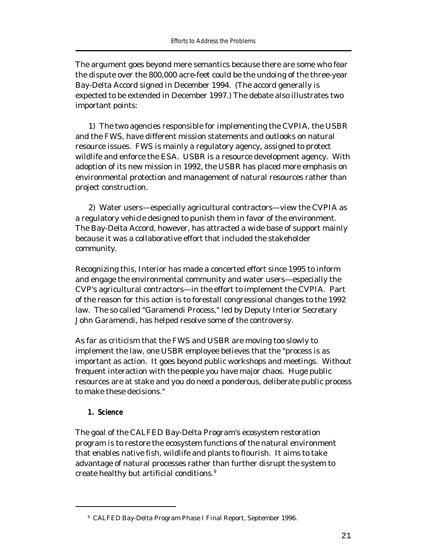<span id="page-30-0"></span>The argument goes beyond mere semantics because there are some who fear the dispute over the 800,000 acre-feet could be the undoing of the three-year Bay-Delta Accord signed in December 1994. (The accord generally is expected to be extended in December 1997.) The debate also illustrates two important points:

1) The two agencies responsible for implementing the CVPIA, the USBR and the FWS, have different mission statements and outlooks on natural resource issues. FWS is mainly a regulatory agency, assigned to protect wildlife and enforce the ESA. USBR is a resource development agency. With adoption of its new mission in 1992, the USBR has placed more emphasis on environmental protection and management of natural resources rather than project construction.

2) Water users—especially agricultural contractors—view the CVPIA as a regulatory vehicle designed to punish them in favor of the environment. The Bay-Delta Accord, however, has attracted a wide base of support mainly because it was a collaborative effort that included the stakeholder community.

Recognizing this, Interior has made a concerted effort since 1995 to inform and engage the environmental community and water users—especially the CVP's agricultural contractors—in the effort to implement the CVPIA. Part of the reason for this action is to forestall congressional changes to the 1992 law. The so called "Garamendi Process," led by Deputy Interior Secretary John Garamendi, has helped resolve some of the controversy.

As far as criticism that the FWS and USBR are moving too slowly to implement the law, one USBR employee believes that the "process is as important as action. It goes beyond public workshops and meetings. Without frequent interaction with the people you have major chaos. Huge public resources are at stake and you do need a ponderous, deliberate public process to make these decisions."

#### **1. Science**

The goal of the CALFED Bay-Delta Program's ecosystem restoration program is to restore the ecosystem functions of the natural environment that enables native fish, wildlife and plants to flourish. It aims to take advantage of natural processes rather than further disrupt the system to create healthy but artificial conditions.<sup>9</sup>

<sup>9</sup> CALFED Bay-Delta Program Phase I Final Report, September 1996.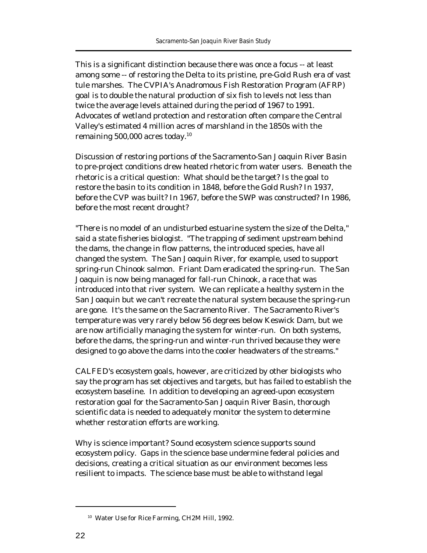This is a significant distinction because there was once a focus -- at least among some -- of restoring the Delta to its pristine, pre-Gold Rush era of vast tule marshes. The CVPIA's Anadromous Fish Restoration Program (AFRP) goal is to double the natural production of six fish to levels not less than twice the average levels attained during the period of 1967 to 1991. Advocates of wetland protection and restoration often compare the Central Valley's estimated 4 million acres of marshland in the 1850s with the remaining  $500,000$  acres today.<sup>10</sup>

Discussion of restoring portions of the Sacramento-San Joaquin River Basin to pre-project conditions drew heated rhetoric from water users. Beneath the rhetoric is a critical question: What should be the target? Is the goal to restore the basin to its condition in 1848, before the Gold Rush? In 1937, before the CVP was built? In 1967, before the SWP was constructed? In 1986, before the most recent drought?

"There is no model of an undisturbed estuarine system the size of the Delta," said a state fisheries biologist. "The trapping of sediment upstream behind the dams, the change in flow patterns, the introduced species, have all changed the system. The San Joaquin River, for example, used to support spring-run Chinook salmon. Friant Dam eradicated the spring-run. The San Joaquin is now being managed for fall-run Chinook, a race that was introduced into that river system. We can replicate a healthy system in the San Joaquin but we can't recreate the natural system because the spring-run are gone. It's the same on the Sacramento River. The Sacramento River's temperature was very rarely below 56 degrees below Keswick Dam, but we are now artificially managing the system for winter-run. On both systems, before the dams, the spring-run and winter-run thrived because they were designed to go above the dams into the cooler headwaters of the streams."

CALFED's ecosystem goals, however, are criticized by other biologists who say the program has set objectives and targets, but has failed to establish the ecosystem baseline. In addition to developing an agreed-upon ecosystem restoration goal for the Sacramento-San Joaquin River Basin, thorough scientific data is needed to adequately monitor the system to determine whether restoration efforts are working.

Why is science important? Sound ecosystem science supports sound ecosystem policy. Gaps in the science base undermine federal policies and decisions, creating a critical situation as our environment becomes less resilient to impacts. The science base must be able to withstand legal

<sup>&</sup>lt;sup>10</sup> Water Use for Rice Farming, CH2M Hill, 1992.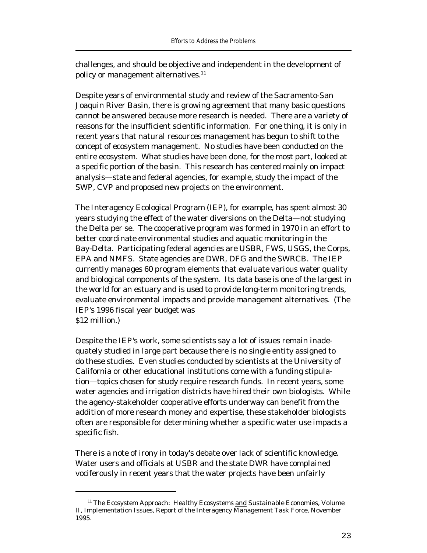challenges, and should be objective and independent in the development of policy or management alternatives. $^{11}$ 

Despite years of environmental study and review of the Sacramento-San Joaquin River Basin, there is growing agreement that many basic questions cannot be answered because more research is needed. There are a variety of reasons for the insufficient scientific information. For one thing, it is only in recent years that natural resources management has begun to shift to the concept of ecosystem management. No studies have been conducted on the entire ecosystem. What studies have been done, for the most part, looked at a specific portion of the basin. This research has centered mainly on impact analysis—state and federal agencies, for example, study the impact of the SWP, CVP and proposed new projects on the environment.

The Interagency Ecological Program (IEP), for example, has spent almost 30 years studying the effect of the water diversions on the Delta—not studying the Delta per se. The cooperative program was formed in 1970 in an effort to better coordinate environmental studies and aquatic monitoring in the Bay-Delta. Participating federal agencies are USBR, FWS, USGS, the Corps, EPA and NMFS. State agencies are DWR, DFG and the SWRCB. The IEP currently manages 60 program elements that evaluate various water quality and biological components of the system. Its data base is one of the largest in the world for an estuary and is used to provide long-term monitoring trends, evaluate environmental impacts and provide management alternatives. (The IEP's 1996 fiscal year budget was \$12 million.)

Despite the IEP's work, some scientists say a lot of issues remain inadequately studied in large part because there is no single entity assigned to do these studies. Even studies conducted by scientists at the University of California or other educational institutions come with a funding stipulation—topics chosen for study require research funds. In recent years, some water agencies and irrigation districts have hired their own biologists. While the agency-stakeholder cooperative efforts underway can benefit from the addition of more research money and expertise, these stakeholder biologists often are responsible for determining whether a specific water use impacts a specific fish.

There is a note of irony in today's debate over lack of scientific knowledge. Water users and officials at USBR and the state DWR have complained vociferously in recent years that the water projects have been unfairly

<sup>&</sup>lt;sup>11</sup> The Ecosystem Approach: Healthy Ecosystems  $\frac{1}{2}$  Sustainable Economies, Volume II, Implementation Issues, Report of the Interagency Management Task Force, November 1995.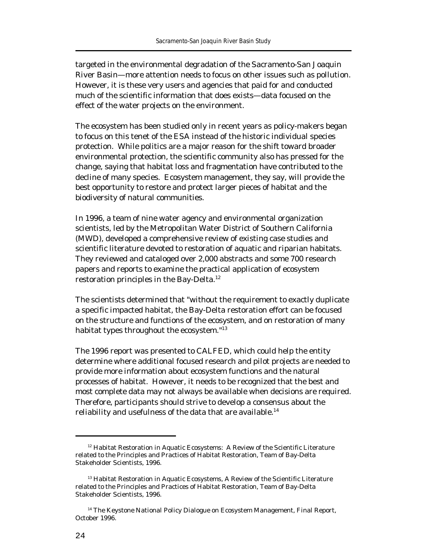targeted in the environmental degradation of the Sacramento-San Joaquin River Basin—more attention needs to focus on other issues such as pollution. However, it is these very users and agencies that paid for and conducted much of the scientific information that does exists—data focused on the effect of the water projects on the environment.

The ecosystem has been studied only in recent years as policy-makers began to focus on this tenet of the ESA instead of the historic individual species protection. While politics are a major reason for the shift toward broader environmental protection, the scientific community also has pressed for the change, saying that habitat loss and fragmentation have contributed to the decline of many species. Ecosystem management, they say, will provide the best opportunity to restore and protect larger pieces of habitat and the biodiversity of natural communities.

In 1996, a team of nine water agency and environmental organization scientists, led by the Metropolitan Water District of Southern California (MWD), developed a comprehensive review of existing case studies and scientific literature devoted to restoration of aquatic and riparian habitats. They reviewed and cataloged over 2,000 abstracts and some 700 research papers and reports to examine the practical application of ecosystem restoration principles in the Bay-Delta.<sup>12</sup>

The scientists determined that "without the requirement to exactly duplicate a specific impacted habitat, the Bay-Delta restoration effort can be focused on the structure and functions of the ecosystem, and on restoration of many habitat types throughout the ecosystem."<sup>13</sup>

The 1996 report was presented to CALFED, which could help the entity determine where additional focused research and pilot projects are needed to provide more information about ecosystem functions and the natural processes of habitat. However, it needs to be recognized that the best and most complete data may not always be available when decisions are required. Therefore, participants should strive to develop a consensus about the reliability and usefulness of the data that are available.<sup>14</sup>

 $12$  Habitat Restoration in Aquatic Ecosystems: A Review of the Scientific Literature related to the Principles and Practices of Habitat Restoration, Team of Bay-Delta Stakeholder Scientists, 1996.

 $13$  Habitat Restoration in Aquatic Ecosystems, A Review of the Scientific Literature related to the Principles and Practices of Habitat Restoration, Team of Bay-Delta Stakeholder Scientists, 1996.

<sup>&</sup>lt;sup>14</sup> The Keystone National Policy Dialogue on Ecosystem Management, Final Report, October 1996.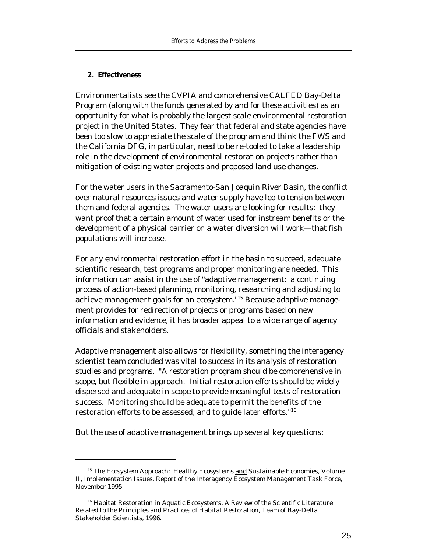#### <span id="page-34-0"></span>**2. Effectiveness**

Environmentalists see the CVPIA and comprehensive CALFED Bay-Delta Program (along with the funds generated by and for these activities) as an opportunity for what is probably the largest scale environmental restoration project in the United States. They fear that federal and state agencies have been too slow to appreciate the scale of the program and think the FWS and the California DFG, in particular, need to be re-tooled to take a leadership role in the development of environmental restoration projects rather than mitigation of existing water projects and proposed land use changes.

For the water users in the Sacramento-San Joaquin River Basin, the conflict over natural resources issues and water supply have led to tension between them and federal agencies. The water users are looking for results: they want proof that a certain amount of water used for instream benefits or the development of a physical barrier on a water diversion will work—that fish populations will increase.

For any environmental restoration effort in the basin to succeed, adequate scientific research, test programs and proper monitoring are needed. This information can assist in the use of "adaptive management: a continuing process of action-based planning, monitoring, researching and adjusting to achieve management goals for an ecosystem."15 Because adaptive management provides for redirection of projects or programs based on new information and evidence, it has broader appeal to a wide range of agency officials and stakeholders.

Adaptive management also allows for flexibility, something the interagency scientist team concluded was vital to success in its analysis of restoration studies and programs. "A restoration program should be comprehensive in scope, but flexible in approach. Initial restoration efforts should be widely dispersed and adequate in scope to provide meaningful tests of restoration success. Monitoring should be adequate to permit the benefits of the restoration efforts to be assessed, and to guide later efforts."<sup>16</sup>

But the use of adaptive management brings up several key questions:

 $15$  The Ecosystem Approach: Healthy Ecosystems  $and$  Sustainable Economies, Volume II, Implementation Issues, Report of the Interagency Ecosystem Management Task Force, November 1995.

<sup>&</sup>lt;sup>16</sup> Habitat Restoration in Aquatic Ecosystems, A Review of the Scientific Literature Related to the Principles and Practices of Habitat Restoration, Team of Bay-Delta Stakeholder Scientists, 1996.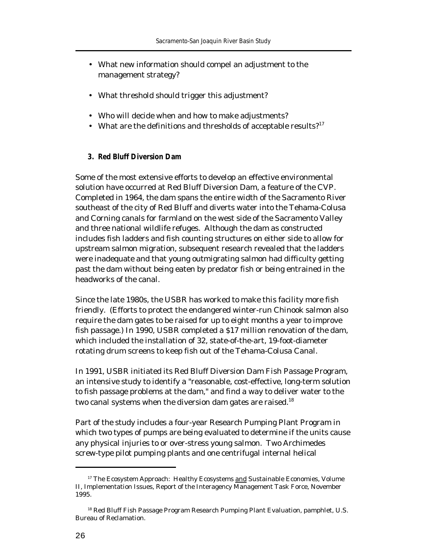- <span id="page-35-0"></span>• What new information should compel an adjustment to the management strategy?
- What threshold should trigger this adjustment?
- Who will decide when and how to make adjustments?
- What are the definitions and thresholds of acceptable results? $17$

#### **3. Red Bluff Diversion Dam**

Some of the most extensive efforts to develop an effective environmental solution have occurred at Red Bluff Diversion Dam, a feature of the CVP. Completed in 1964, the dam spans the entire width of the Sacramento River southeast of the city of Red Bluff and diverts water into the Tehama-Colusa and Corning canals for farmland on the west side of the Sacramento Valley and three national wildlife refuges. Although the dam as constructed includes fish ladders and fish counting structures on either side to allow for upstream salmon migration, subsequent research revealed that the ladders were inadequate and that young outmigrating salmon had difficulty getting past the dam without being eaten by predator fish or being entrained in the headworks of the canal.

Since the late 1980s, the USBR has worked to make this facility more fish friendly. (Efforts to protect the endangered winter-run Chinook salmon also require the dam gates to be raised for up to eight months a year to improve fish passage.) In 1990, USBR completed a \$17 million renovation of the dam, which included the installation of 32, state-of-the-art, 19-foot-diameter rotating drum screens to keep fish out of the Tehama-Colusa Canal.

In 1991, USBR initiated its Red Bluff Diversion Dam Fish Passage Program, an intensive study to identify a "reasonable, cost-effective, long-term solution to fish passage problems at the dam," and find a way to deliver water to the two canal systems when the diversion dam gates are raised.<sup>18</sup>

Part of the study includes a four-year Research Pumping Plant Program in which two types of pumps are being evaluated to determine if the units cause any physical injuries to or over-stress young salmon. Two Archimedes screw-type pilot pumping plants and one centrifugal internal helical

<sup>&</sup>lt;sup>17</sup> The Ecosystem Approach: Healthy Ecosystems and Sustainable Economies, Volume II, Implementation Issues, Report of the Interagency Management Task Force, November 1995.

<sup>&</sup>lt;sup>18</sup> Red Bluff Fish Passage Program Research Pumping Plant Evaluation, pamphlet, U.S. Bureau of Reclamation.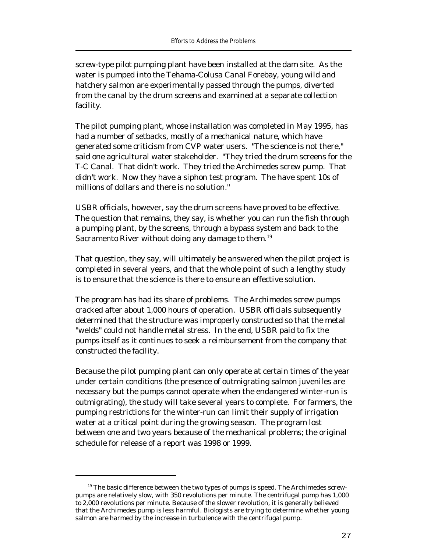screw-type pilot pumping plant have been installed at the dam site. As the water is pumped into the Tehama-Colusa Canal Forebay, young wild and hatchery salmon are experimentally passed through the pumps, diverted from the canal by the drum screens and examined at a separate collection facility.

The pilot pumping plant, whose installation was completed in May 1995, has had a number of setbacks, mostly of a mechanical nature, which have generated some criticism from CVP water users. "The science is not there," said one agricultural water stakeholder. "They tried the drum screens for the T-C Canal. That didn't work. They tried the Archimedes screw pump. That didn't work. Now they have a siphon test program. The have spent 10s of millions of dollars and there is no solution."

USBR officials, however, say the drum screens have proved to be effective. The question that remains, they say, is whether you can run the fish through a pumping plant, by the screens, through a bypass system and back to the Sacramento River without doing any damage to them.<sup>19</sup>

That question, they say, will ultimately be answered when the pilot project is completed in several years, and that the whole point of such a lengthy study is to ensure that the science is there to ensure an effective solution.

The program has had its share of problems. The Archimedes screw pumps cracked after about 1,000 hours of operation. USBR officials subsequently determined that the structure was improperly constructed so that the metal "welds" could not handle metal stress. In the end, USBR paid to fix the pumps itself as it continues to seek a reimbursement from the company that constructed the facility.

Because the pilot pumping plant can only operate at certain times of the year under certain conditions (the presence of outmigrating salmon juveniles are necessary but the pumps cannot operate when the endangered winter-run is outmigrating), the study will take several years to complete. For farmers, the pumping restrictions for the winter-run can limit their supply of irrigation water at a critical point during the growing season. The program lost between one and two years because of the mechanical problems; the original schedule for release of a report was 1998 or 1999.

<sup>&</sup>lt;sup>19</sup> The basic difference between the two types of pumps is speed. The Archimedes screwpumps are relatively slow, with 350 revolutions per minute. The centrifugal pump has 1,000 to 2,000 revolutions per minute. Because of the slower revolution, it is generally believed that the Archimedes pump is less harmful. Biologists are trying to determine whether young salmon are harmed by the increase in turbulence with the centrifugal pump.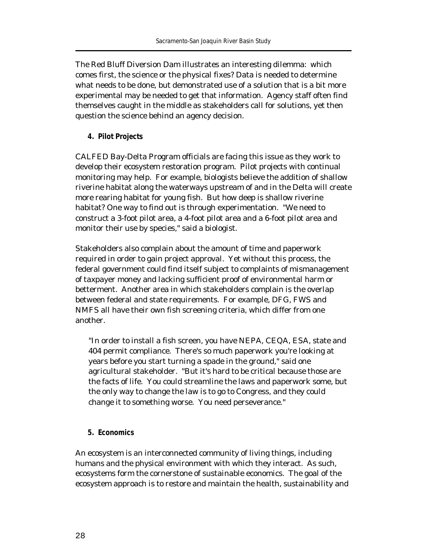The Red Bluff Diversion Dam illustrates an interesting dilemma: which comes first, the science or the physical fixes? Data is needed to determine what needs to be done, but demonstrated use of a solution that is a bit more experimental may be needed to get that information. Agency staff often find themselves caught in the middle as stakeholders call for solutions, yet then question the science behind an agency decision.

**4. Pilot Projects** 

CALFED Bay-Delta Program officials are facing this issue as they work to develop their ecosystem restoration program. Pilot projects with continual monitoring may help. For example, biologists believe the addition of shallow riverine habitat along the waterways upstream of and in the Delta will create more rearing habitat for young fish. But how deep is shallow riverine habitat? One way to find out is through experimentation. "We need to construct a 3-foot pilot area, a 4-foot pilot area and a 6-foot pilot area and monitor their use by species," said a biologist.

Stakeholders also complain about the amount of time and paperwork required in order to gain project approval. Yet without this process, the federal government could find itself subject to complaints of mismanagement of taxpayer money and lacking sufficient proof of environmental harm or betterment. Another area in which stakeholders complain is the overlap between federal and state requirements. For example, DFG, FWS and NMFS all have their own fish screening criteria, which differ from one another.

"In order to install a fish screen, you have NEPA, CEQA, ESA, state and 404 permit compliance. There's so much paperwork you're looking at years before you start turning a spade in the ground," said one agricultural stakeholder. "But it's hard to be critical because those are the facts of life. You could streamline the laws and paperwork some, but the only way to change the law is to go to Congress, and they could change it to something worse. You need perseverance."

## **5. Economics**

An ecosystem is an interconnected community of living things, including humans and the physical environment with which they interact. As such, ecosystems form the cornerstone of sustainable economics. The goal of the ecosystem approach is to restore and maintain the health, sustainability and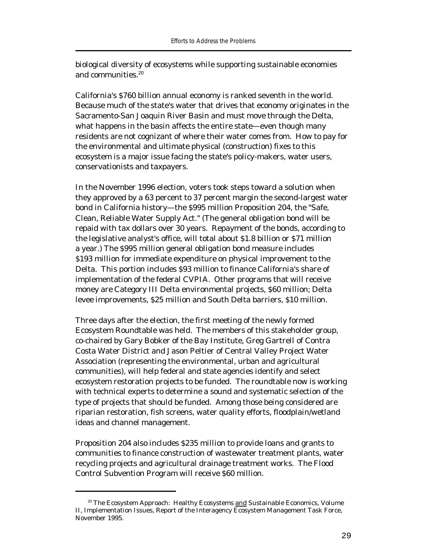biological diversity of ecosystems while supporting sustainable economies and communities.<sup>20</sup>

California's \$760 billion annual economy is ranked seventh in the world. Because much of the state's water that drives that economy originates in the Sacramento-San Joaquin River Basin and must move through the Delta, what happens in the basin affects the entire state—even though many residents are not cognizant of where their water comes from. How to pay for the environmental and ultimate physical (construction) fixes to this ecosystem is a major issue facing the state's policy-makers, water users, conservationists and taxpayers.

In the November 1996 election, voters took steps toward a solution when they approved by a 63 percent to 37 percent margin the second-largest water bond in California history—the \$995 million Proposition 204, the "Safe, Clean, Reliable Water Supply Act." (The general obligation bond will be repaid with tax dollars over 30 years. Repayment of the bonds, according to the legislative analyst's office, will total about \$1.8 billion or \$71 million a year.) The \$995 million general obligation bond measure includes \$193 million for immediate expenditure on physical improvement to the Delta. This portion includes \$93 million to finance California's share of implementation of the federal CVPIA. Other programs that will receive money are Category III Delta environmental projects, \$60 million; Delta levee improvements, \$25 million and South Delta barriers, \$10 million.

Three days after the election, the first meeting of the newly formed Ecosystem Roundtable was held. The members of this stakeholder group, co-chaired by Gary Bobker of the Bay Institute, Greg Gartrell of Contra Costa Water District and Jason Peltier of Central Valley Project Water Association (representing the environmental, urban and agricultural communities), will help federal and state agencies identify and select ecosystem restoration projects to be funded. The roundtable now is working with technical experts to determine a sound and systematic selection of the type of projects that should be funded. Among those being considered are riparian restoration, fish screens, water quality efforts, floodplain/wetland ideas and channel management.

Proposition 204 also includes \$235 million to provide loans and grants to communities to finance construction of wastewater treatment plants, water recycling projects and agricultural drainage treatment works. The Flood Control Subvention Program will receive \$60 million.

 $20$  The Ecosystem Approach: Healthy Ecosystems and Sustainable Economics, Volume II, Implementation Issues, Report of the Interagency Ecosystem Management Task Force, November 1995.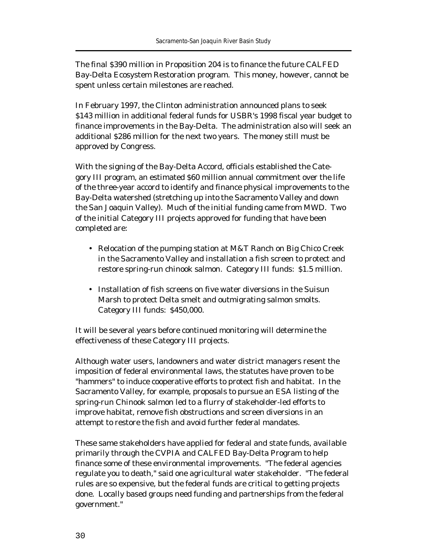The final \$390 million in Proposition 204 is to finance the future CALFED Bay-Delta Ecosystem Restoration program. This money, however, cannot be spent unless certain milestones are reached.

In February 1997, the Clinton administration announced plans to seek \$143 million in additional federal funds for USBR's 1998 fiscal year budget to finance improvements in the Bay-Delta. The administration also will seek an additional \$286 million for the next two years. The money still must be approved by Congress.

With the signing of the Bay-Delta Accord, officials established the Category III program, an estimated \$60 million annual commitment over the life of the three-year accord to identify and finance physical improvements to the Bay-Delta watershed (stretching up into the Sacramento Valley and down the San Joaquin Valley). Much of the initial funding came from MWD. Two of the initial Category III projects approved for funding that have been completed are:

- Relocation of the pumping station at M&T Ranch on Big Chico Creek in the Sacramento Valley and installation a fish screen to protect and restore spring-run chinook salmon. Category III funds: \$1.5 million.
- Installation of fish screens on five water diversions in the Suisun Marsh to protect Delta smelt and outmigrating salmon smolts. Category III funds: \$450,000.

It will be several years before continued monitoring will determine the effectiveness of these Category III projects.

Although water users, landowners and water district managers resent the imposition of federal environmental laws, the statutes have proven to be "hammers" to induce cooperative efforts to protect fish and habitat. In the Sacramento Valley, for example, proposals to pursue an ESA listing of the spring-run Chinook salmon led to a flurry of stakeholder-led efforts to improve habitat, remove fish obstructions and screen diversions in an attempt to restore the fish and avoid further federal mandates.

These same stakeholders have applied for federal and state funds, available primarily through the CVPIA and CALFED Bay-Delta Program to help finance some of these environmental improvements. "The federal agencies regulate you to death," said one agricultural water stakeholder. "The federal rules are so expensive, but the federal funds are critical to getting projects done. Locally based groups need funding and partnerships from the federal government."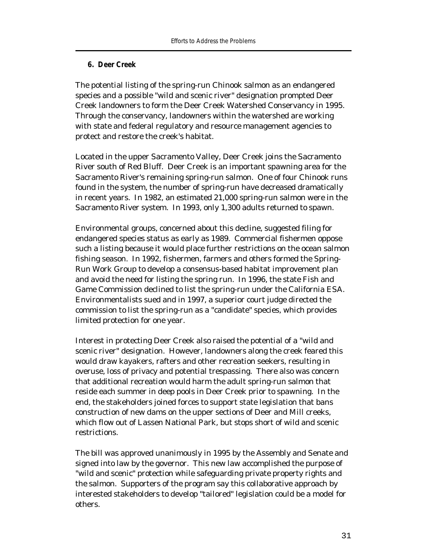**6. Deer Creek** 

The potential listing of the spring-run Chinook salmon as an endangered species and a possible "wild and scenic river" designation prompted Deer Creek landowners to form the Deer Creek Watershed Conservancy in 1995. Through the conservancy, landowners within the watershed are working with state and federal regulatory and resource management agencies to protect and restore the creek's habitat.

Located in the upper Sacramento Valley, Deer Creek joins the Sacramento River south of Red Bluff. Deer Creek is an important spawning area for the Sacramento River's remaining spring-run salmon. One of four Chinook runs found in the system, the number of spring-run have decreased dramatically in recent years. In 1982, an estimated 21,000 spring-run salmon were in the Sacramento River system. In 1993, only 1,300 adults returned to spawn.

Environmental groups, concerned about this decline, suggested filing for endangered species status as early as 1989. Commercial fishermen oppose such a listing because it would place further restrictions on the ocean salmon fishing season. In 1992, fishermen, farmers and others formed the Spring-Run Work Group to develop a consensus-based habitat improvement plan and avoid the need for listing the spring run. In 1996, the state Fish and Game Commission declined to list the spring-run under the California ESA. Environmentalists sued and in 1997, a superior court judge directed the commission to list the spring-run as a "candidate" species, which provides limited protection for one year.

Interest in protecting Deer Creek also raised the potential of a "wild and scenic river" designation. However, landowners along the creek feared this would draw kayakers, rafters and other recreation seekers, resulting in overuse, loss of privacy and potential trespassing. There also was concern that additional recreation would harm the adult spring-run salmon that reside each summer in deep pools in Deer Creek prior to spawning. In the end, the stakeholders joined forces to support state legislation that bans construction of new dams on the upper sections of Deer and Mill creeks, which flow out of Lassen National Park, but stops short of wild and scenic restrictions.

The bill was approved unanimously in 1995 by the Assembly and Senate and signed into law by the governor. This new law accomplished the purpose of "wild and scenic" protection while safeguarding private property rights and the salmon. Supporters of the program say this collaborative approach by interested stakeholders to develop "tailored" legislation could be a model for others.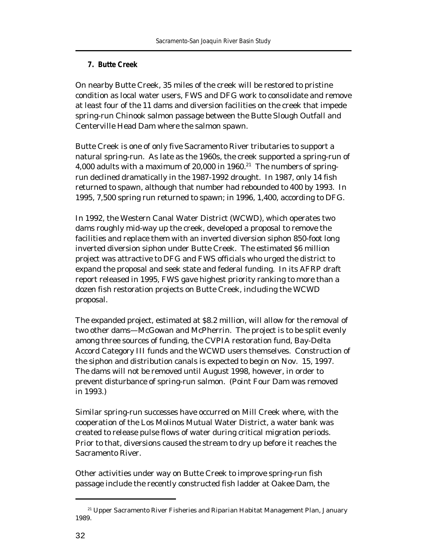## **7. Butte Creek**

On nearby Butte Creek, 35 miles of the creek will be restored to pristine condition as local water users, FWS and DFG work to consolidate and remove at least four of the 11 dams and diversion facilities on the creek that impede spring-run Chinook salmon passage between the Butte Slough Outfall and Centerville Head Dam where the salmon spawn.

Butte Creek is one of only five Sacramento River tributaries to support a natural spring-run. As late as the 1960s, the creek supported a spring-run of 4,000 adults with a maximum of 20,000 in 1960.<sup>21</sup> The numbers of springrun declined dramatically in the 1987-1992 drought. In 1987, only 14 fish returned to spawn, although that number had rebounded to 400 by 1993. In 1995, 7,500 spring run returned to spawn; in 1996, 1,400, according to DFG.

In 1992, the Western Canal Water District (WCWD), which operates two dams roughly mid-way up the creek, developed a proposal to remove the facilities and replace them with an inverted diversion siphon 850-foot long inverted diversion siphon under Butte Creek. The estimated \$6 million project was attractive to DFG and FWS officials who urged the district to expand the proposal and seek state and federal funding. In its AFRP draft report released in 1995, FWS gave highest priority ranking to more than a dozen fish restoration projects on Butte Creek, including the WCWD proposal.

The expanded project, estimated at \$8.2 million, will allow for the removal of two other dams—McGowan and McPherrin. The project is to be split evenly among three sources of funding, the CVPIA restoration fund, Bay-Delta Accord Category III funds and the WCWD users themselves. Construction of the siphon and distribution canals is expected to begin on Nov. 15, 1997. The dams will not be removed until August 1998, however, in order to prevent disturbance of spring-run salmon. (Point Four Dam was removed in 1993.)

Similar spring-run successes have occurred on Mill Creek where, with the cooperation of the Los Molinos Mutual Water District, a water bank was created to release pulse flows of water during critical migration periods. Prior to that, diversions caused the stream to dry up before it reaches the Sacramento River.

Other activities under way on Butte Creek to improve spring-run fish passage include the recently constructed fish ladder at Oakee Dam, the

<sup>&</sup>lt;sup>21</sup> Upper Sacramento River Fisheries and Riparian Habitat Management Plan, January 1989.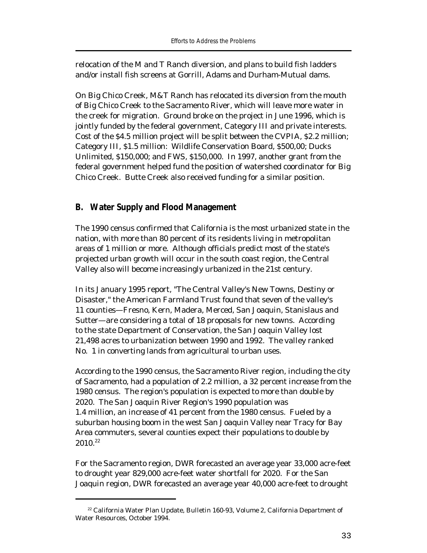relocation of the M and T Ranch diversion, and plans to build fish ladders and/or install fish screens at Gorrill, Adams and Durham-Mutual dams.

On Big Chico Creek, M&T Ranch has relocated its diversion from the mouth of Big Chico Creek to the Sacramento River, which will leave more water in the creek for migration. Ground broke on the project in June 1996, which is jointly funded by the federal government, Category III and private interests. Cost of the \$4.5 million project will be split between the CVPIA, \$2.2 million; Category III, \$1.5 million: Wildlife Conservation Board, \$500,00; Ducks Unlimited, \$150,000; and FWS, \$150,000. In 1997, another grant from the federal government helped fund the position of watershed coordinator for Big Chico Creek. Butte Creek also received funding for a similar position.

# **B. Water Supply and Flood Management**

The 1990 census confirmed that California is the most urbanized state in the nation, with more than 80 percent of its residents living in metropolitan areas of 1 million or more. Although officials predict most of the state's projected urban growth will occur in the south coast region, the Central Valley also will become increasingly urbanized in the 21st century.

In its January 1995 report, "The Central Valley's New Towns, Destiny or Disaster," the American Farmland Trust found that seven of the valley's 11 counties—Fresno, Kern, Madera, Merced, San Joaquin, Stanislaus and Sutter—are considering a total of 18 proposals for new towns. According to the state Department of Conservation, the San Joaquin Valley lost 21,498 acres to urbanization between 1990 and 1992. The valley ranked No. 1 in converting lands from agricultural to urban uses.

According to the 1990 census, the Sacramento River region, including the city of Sacramento, had a population of 2.2 million, a 32 percent increase from the 1980 census. The region's population is expected to more than double by 2020. The San Joaquin River Region's 1990 population was 1.4 million, an increase of 41 percent from the 1980 census. Fueled by a suburban housing boom in the west San Joaquin Valley near Tracy for Bay Area commuters, several counties expect their populations to double by 2010.<sup>22</sup>

For the Sacramento region, DWR forecasted an average year 33,000 acre-feet to drought year 829,000 acre-feet water shortfall for 2020. For the San Joaquin region, DWR forecasted an average year 40,000 acre-feet to drought

<sup>&</sup>lt;sup>22</sup> California Water Plan Update, Bulletin 160-93, Volume 2, California Department of Water Resources, October 1994.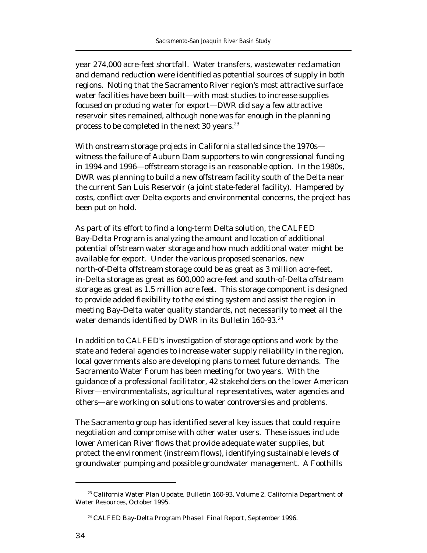year 274,000 acre-feet shortfall. Water transfers, wastewater reclamation and demand reduction were identified as potential sources of supply in both regions. Noting that the Sacramento River region's most attractive surface water facilities have been built—with most studies to increase supplies focused on producing water for export—DWR did say a few attractive reservoir sites remained, although none was far enough in the planning process to be completed in the next 30 years.<sup>23</sup>

With onstream storage projects in California stalled since the 1970s witness the failure of Auburn Dam supporters to win congressional funding in 1994 and 1996—offstream storage is an reasonable option. In the 1980s, DWR was planning to build a new offstream facility south of the Delta near the current San Luis Reservoir (a joint state-federal facility). Hampered by costs, conflict over Delta exports and environmental concerns, the project has been put on hold.

As part of its effort to find a long-term Delta solution, the CALFED Bay-Delta Program is analyzing the amount and location of additional potential offstream water storage and how much additional water might be available for export. Under the various proposed scenarios, new north-of-Delta offstream storage could be as great as 3 million acre-feet, in-Delta storage as great as 600,000 acre-feet and south-of-Delta offstream storage as great as 1.5 million acre feet. This storage component is designed to provide added flexibility to the existing system and assist the region in meeting Bay-Delta water quality standards, not necessarily to meet all the water demands identified by DWR in its Bulletin 160-93.<sup>24</sup>

In addition to CALFED's investigation of storage options and work by the state and federal agencies to increase water supply reliability in the region, local governments also are developing plans to meet future demands. The Sacramento Water Forum has been meeting for two years. With the guidance of a professional facilitator, 42 stakeholders on the lower American River—environmentalists, agricultural representatives, water agencies and others—are working on solutions to water controversies and problems.

The Sacramento group has identified several key issues that could require negotiation and compromise with other water users. These issues include lower American River flows that provide adequate water supplies, but protect the environment (instream flows), identifying sustainable levels of groundwater pumping and possible groundwater management. A Foothills

<sup>23</sup> California Water Plan Update, Bulletin 160-93, Volume 2, California Department of Water Resources, October 1995.

<sup>24</sup> CALFED Bay-Delta Program Phase I Final Report, September 1996.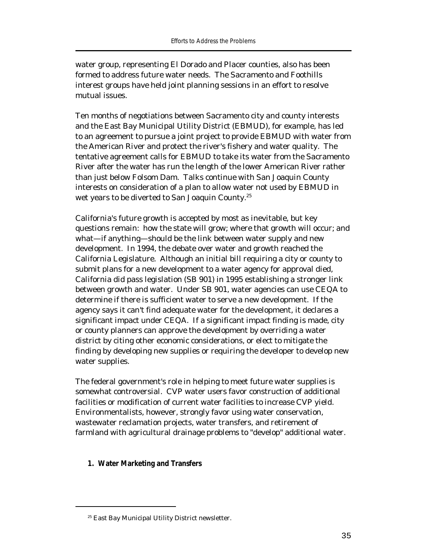water group, representing El Dorado and Placer counties, also has been formed to address future water needs. The Sacramento and Foothills interest groups have held joint planning sessions in an effort to resolve mutual issues.

Ten months of negotiations between Sacramento city and county interests and the East Bay Municipal Utility District (EBMUD), for example, has led to an agreement to pursue a joint project to provide EBMUD with water from the American River and protect the river's fishery and water quality. The tentative agreement calls for EBMUD to take its water from the Sacramento River after the water has run the length of the lower American River rather than just below Folsom Dam. Talks continue with San Joaquin County interests on consideration of a plan to allow water not used by EBMUD in wet years to be diverted to San Joaquin County.<sup>25</sup>

California's future growth is accepted by most as inevitable, but key questions remain: how the state will grow; where that growth will occur; and what—if anything—should be the link between water supply and new development. In 1994, the debate over water and growth reached the California Legislature. Although an initial bill requiring a city or county to submit plans for a new development to a water agency for approval died, California did pass legislation (SB 901) in 1995 establishing a stronger link between growth and water. Under SB 901, water agencies can use CEQA to determine if there is sufficient water to serve a new development. If the agency says it can't find adequate water for the development, it declares a significant impact under CEQA. If a significant impact finding is made, city or county planners can approve the development by overriding a water district by citing other economic considerations, or elect to mitigate the finding by developing new supplies or requiring the developer to develop new water supplies.

The federal government's role in helping to meet future water supplies is somewhat controversial. CVP water users favor construction of additional facilities or modification of current water facilities to increase CVP yield. Environmentalists, however, strongly favor using water conservation, wastewater reclamation projects, water transfers, and retirement of farmland with agricultural drainage problems to "develop" additional water.

**1. Water Marketing and Transfers** 

<sup>&</sup>lt;sup>25</sup> East Bay Municipal Utility District newsletter.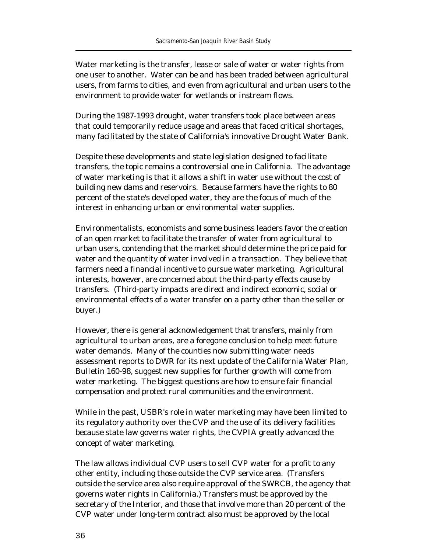Water marketing is the transfer, lease or sale of water or water rights from one user to another. Water can be and has been traded between agricultural users, from farms to cities, and even from agricultural and urban users to the environment to provide water for wetlands or instream flows.

During the 1987-1993 drought, water transfers took place between areas that could temporarily reduce usage and areas that faced critical shortages, many facilitated by the state of California's innovative Drought Water Bank.

Despite these developments and state legislation designed to facilitate transfers, the topic remains a controversial one in California. The advantage of water marketing is that it allows a shift in water use without the cost of building new dams and reservoirs. Because farmers have the rights to 80 percent of the state's developed water, they are the focus of much of the interest in enhancing urban or environmental water supplies.

Environmentalists, economists and some business leaders favor the creation of an open market to facilitate the transfer of water from agricultural to urban users, contending that the market should determine the price paid for water and the quantity of water involved in a transaction. They believe that farmers need a financial incentive to pursue water marketing. Agricultural interests, however, are concerned about the third-party effects cause by transfers. (Third-party impacts are direct and indirect economic, social or environmental effects of a water transfer on a party other than the seller or buyer.)

However, there is general acknowledgement that transfers, mainly from agricultural to urban areas, are a foregone conclusion to help meet future water demands. Many of the counties now submitting water needs assessment reports to DWR for its next update of the California Water Plan, Bulletin 160-98, suggest new supplies for further growth will come from water marketing. The biggest questions are how to ensure fair financial compensation and protect rural communities and the environment.

While in the past, USBR's role in water marketing may have been limited to its regulatory authority over the CVP and the use of its delivery facilities because state law governs water rights, the CVPIA greatly advanced the concept of water marketing.

The law allows individual CVP users to sell CVP water for a profit to any other entity, including those outside the CVP service area. (Transfers outside the service area also require approval of the SWRCB, the agency that governs water rights in California.) Transfers must be approved by the secretary of the Interior, and those that involve more than 20 percent of the CVP water under long-term contract also must be approved by the local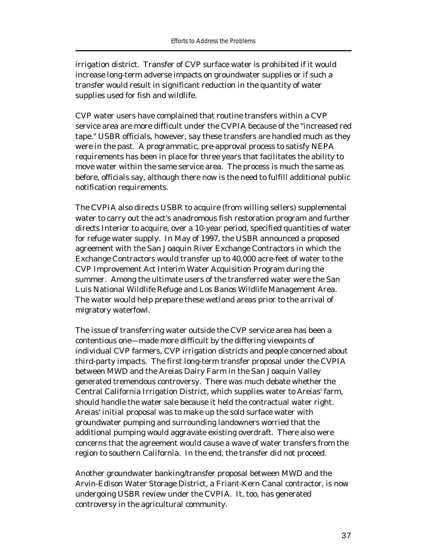irrigation district. Transfer of CVP surface water is prohibited if it would increase long-term adverse impacts on groundwater supplies or if such a transfer would result in significant reduction in the quantity of water supplies used for fish and wildlife.

CVP water users have complained that routine transfers within a CVP service area are more difficult under the CVPIA because of the "increased red tape." USBR officials, however, say these transfers are handled much as they were in the past. A programmatic, pre-approval process to satisfy NEPA requirements has been in place for three years that facilitates the ability to move water within the same service area. The process is much the same as before, officials say, although there now is the need to fulfill additional public notification requirements.

The CVPIA also directs USBR to acquire (from willing sellers) supplemental water to carry out the act's anadromous fish restoration program and further directs Interior to acquire, over a 10-year period, specified quantities of water for refuge water supply. In May of 1997, the USBR announced a proposed agreement with the San Joaquin River Exchange Contractors in which the Exchange Contractors would transfer up to 40,000 acre-feet of water to the CVP Improvement Act Interim Water Acquisition Program during the summer. Among the ultimate users of the transferred water were the San Luis National Wildlife Refuge and Los Banos Wildlife Management Area. The water would help prepare these wetland areas prior to the arrival of migratory waterfowl.

The issue of transferring water outside the CVP service area has been a contentious one—made more difficult by the differing viewpoints of individual CVP farmers, CVP irrigation districts and people concerned about third-party impacts. The first long-term transfer proposal under the CVPIA between MWD and the Areias Dairy Farm in the San Joaquin Valley generated tremendous controversy. There was much debate whether the Central California Irrigation District, which supplies water to Areias' farm, should handle the water sale because it held the contractual water right. Areias' initial proposal was to make up the sold surface water with groundwater pumping and surrounding landowners worried that the additional pumping would aggravate existing overdraft. There also were concerns that the agreement would cause a wave of water transfers from the region to southern California. In the end, the transfer did not proceed.

Another groundwater banking/transfer proposal between MWD and the Arvin-Edison Water Storage District, a Friant-Kern Canal contractor, is now undergoing USBR review under the CVPIA. It, too, has generated controversy in the agricultural community.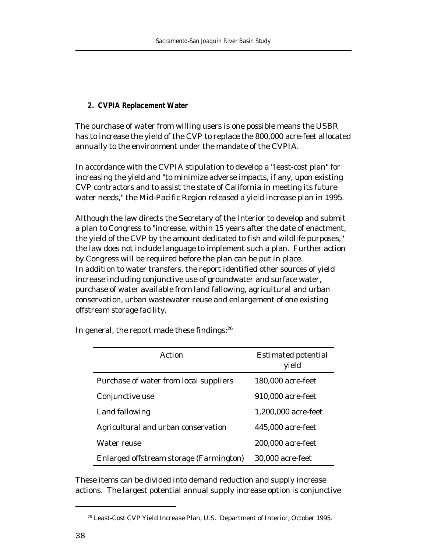# **2. CVPIA Replacement Water**

The purchase of water from willing users is one possible means the USBR has to increase the yield of the CVP to replace the 800,000 acre-feet allocated annually to the environment under the mandate of the CVPIA.

In accordance with the CVPIA stipulation to develop a "least-cost plan" for increasing the yield and "to minimize adverse impacts, if any, upon existing CVP contractors and to assist the state of California in meeting its future water needs," the Mid-Pacific Region released a yield increase plan in 1995.

Although the law directs the Secretary of the Interior to develop and submit a plan to Congress to "increase, within 15 years after the date of enactment, the yield of the CVP by the amount dedicated to fish and wildlife purposes," the law does not include language to implement such a plan. Further action by Congress will be required before the plan can be put in place. In addition to water transfers, the report identified other sources of yield increase including conjunctive use of groundwater and surface water, purchase of water available from land fallowing, agricultural and urban conservation, urban wastewater reuse and enlargement of one existing offstream storage facility.

| Action                                  | <b>Estimated potential</b><br>yield |
|-----------------------------------------|-------------------------------------|
| Purchase of water from local suppliers  | 180,000 acre-feet                   |
| Conjunctive use                         | 910,000 acre-feet                   |
| Land fallowing                          | 1,200,000 acre-feet                 |
| Agricultural and urban conservation     | 445,000 acre-feet                   |
| Water reuse                             | 200,000 acre-feet                   |
| Enlarged offstream storage (Farmington) | 30,000 acre-feet                    |

In general, the report made these findings: $^{26}$ 

These items can be divided into demand reduction and supply increase actions. The largest potential annual supply increase option is conjunctive

<sup>26</sup> Least-Cost CVP Yield Increase Plan, U.S. Department of Interior, October 1995.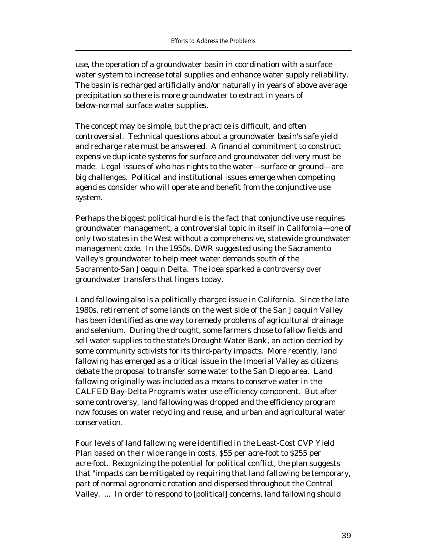use, the operation of a groundwater basin in coordination with a surface water system to increase total supplies and enhance water supply reliability. The basin is recharged artificially and/or naturally in years of above average precipitation so there is more groundwater to extract in years of below-normal surface water supplies.

The concept may be simple, but the practice is difficult, and often controversial. Technical questions about a groundwater basin's safe yield and recharge rate must be answered. A financial commitment to construct expensive duplicate systems for surface and groundwater delivery must be made. Legal issues of who has rights to the water—surface or ground—are big challenges. Political and institutional issues emerge when competing agencies consider who will operate and benefit from the conjunctive use system.

Perhaps the biggest political hurdle is the fact that conjunctive use requires groundwater management, a controversial topic in itself in California—one of only two states in the West without a comprehensive, statewide groundwater management code. In the 1950s, DWR suggested using the Sacramento Valley's groundwater to help meet water demands south of the Sacramento-San Joaquin Delta. The idea sparked a controversy over groundwater transfers that lingers today.

Land fallowing also is a politically charged issue in California. Since the late 1980s, retirement of some lands on the west side of the San Joaquin Valley has been identified as one way to remedy problems of agricultural drainage and selenium. During the drought, some farmers chose to fallow fields and sell water supplies to the state's Drought Water Bank, an action decried by some community activists for its third-party impacts. More recently, land fallowing has emerged as a critical issue in the Imperial Valley as citizens debate the proposal to transfer some water to the San Diego area. Land fallowing originally was included as a means to conserve water in the CALFED Bay-Delta Program's water use efficiency component. But after some controversy, land fallowing was dropped and the efficiency program now focuses on water recycling and reuse, and urban and agricultural water conservation.

Four levels of land fallowing were identified in the Least-Cost CVP Yield Plan based on their wide range in costs, \$55 per acre-foot to \$255 per acre-foot. Recognizing the potential for political conflict, the plan suggests that "impacts can be mitigated by requiring that land fallowing be temporary, part of normal agronomic rotation and dispersed throughout the Central Valley. ... In order to respond to [political] concerns, land fallowing should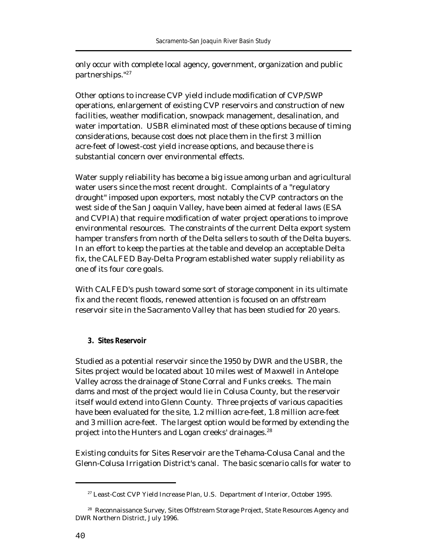only occur with complete local agency, government, organization and public partnerships."<sup>27</sup>

Other options to increase CVP yield include modification of CVP/SWP operations, enlargement of existing CVP reservoirs and construction of new facilities, weather modification, snowpack management, desalination, and water importation. USBR eliminated most of these options because of timing considerations, because cost does not place them in the first 3 million acre-feet of lowest-cost yield increase options, and because there is substantial concern over environmental effects.

Water supply reliability has become a big issue among urban and agricultural water users since the most recent drought. Complaints of a "regulatory drought" imposed upon exporters, most notably the CVP contractors on the west side of the San Joaquin Valley, have been aimed at federal laws (ESA and CVPIA) that require modification of water project operations to improve environmental resources. The constraints of the current Delta export system hamper transfers from north of the Delta sellers to south of the Delta buyers. In an effort to keep the parties at the table and develop an acceptable Delta fix, the CALFED Bay-Delta Program established water supply reliability as one of its four core goals.

With CALFED's push toward some sort of storage component in its ultimate fix and the recent floods, renewed attention is focused on an offstream reservoir site in the Sacramento Valley that has been studied for 20 years.

## **3. Sites Reservoir**

Studied as a potential reservoir since the 1950 by DWR and the USBR, the Sites project would be located about 10 miles west of Maxwell in Antelope Valley across the drainage of Stone Corral and Funks creeks. The main dams and most of the project would lie in Colusa County, but the reservoir itself would extend into Glenn County. Three projects of various capacities have been evaluated for the site, 1.2 million acre-feet, 1.8 million acre-feet and 3 million acre-feet. The largest option would be formed by extending the project into the Hunters and Logan creeks' drainages.<sup>28</sup>

Existing conduits for Sites Reservoir are the Tehama-Colusa Canal and the Glenn-Colusa Irrigation District's canal. The basic scenario calls for water to

<sup>27</sup> Least-Cost CVP Yield Increase Plan, U.S. Department of Interior, October 1995.

<sup>28</sup> Reconnaissance Survey, Sites Offstream Storage Project, State Resources Agency and DWR Northern District, July 1996.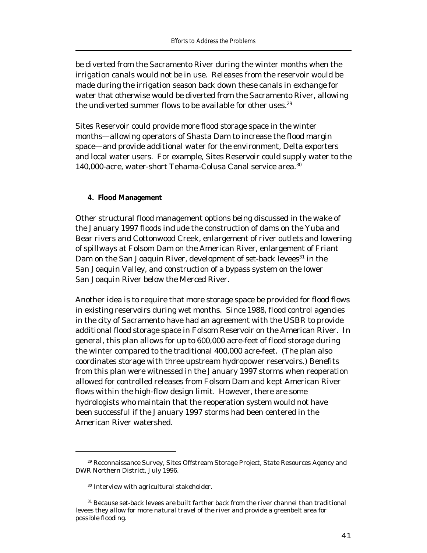be diverted from the Sacramento River during the winter months when the irrigation canals would not be in use. Releases from the reservoir would be made during the irrigation season back down these canals in exchange for water that otherwise would be diverted from the Sacramento River, allowing the undiverted summer flows to be available for other uses.<sup>29</sup>

Sites Reservoir could provide more flood storage space in the winter months—allowing operators of Shasta Dam to increase the flood margin space—and provide additional water for the environment, Delta exporters and local water users. For example, Sites Reservoir could supply water to the 140,000-acre, water-short Tehama-Colusa Canal service area.<sup>30</sup>

#### **4. Flood Management**

Other structural flood management options being discussed in the wake of the January 1997 floods include the construction of dams on the Yuba and Bear rivers and Cottonwood Creek, enlargement of river outlets and lowering of spillways at Folsom Dam on the American River, enlargement of Friant Dam on the San Joaquin River, development of set-back levees<sup>31</sup> in the San Joaquin Valley, and construction of a bypass system on the lower San Joaquin River below the Merced River.

Another idea is to require that more storage space be provided for flood flows in existing reservoirs during wet months. Since 1988, flood control agencies in the city of Sacramento have had an agreement with the USBR to provide additional flood storage space in Folsom Reservoir on the American River. In general, this plan allows for up to 600,000 acre-feet of flood storage during the winter compared to the traditional 400,000 acre-feet. (The plan also coordinates storage with three upstream hydropower reservoirs.) Benefits from this plan were witnessed in the January 1997 storms when reoperation allowed for controlled releases from Folsom Dam and kept American River flows within the high-flow design limit. However, there are some hydrologists who maintain that the reoperation system would not have been successful if the January 1997 storms had been centered in the American River watershed.

<sup>29</sup> Reconnaissance Survey, Sites Offstream Storage Project, State Resources Agency and DWR Northern District, July 1996.

<sup>30</sup> Interview with agricultural stakeholder.

<sup>31</sup> Because set-back levees are built farther back from the river channel than traditional levees they allow for more natural travel of the river and provide a greenbelt area for possible flooding.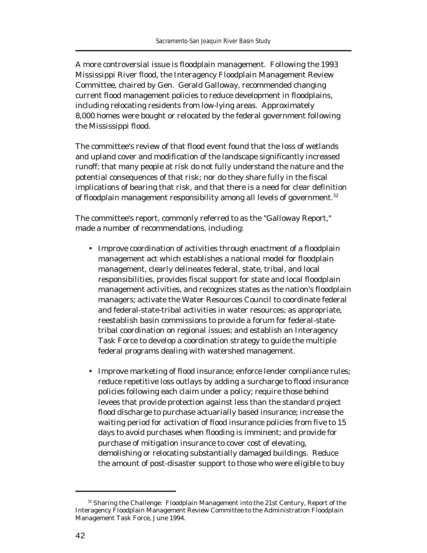A more controversial issue is floodplain management. Following the 1993 Mississippi River flood, the Interagency Floodplain Management Review Committee, chaired by Gen. Gerald Galloway, recommended changing current flood management policies to reduce development in floodplains, including relocating residents from low-lying areas. Approximately 8,000 homes were bought or relocated by the federal government following the Mississippi flood.

The committee's review of that flood event found that the loss of wetlands and upland cover and modification of the landscape significantly increased runoff; that many people at risk do not fully understand the nature and the potential consequences of that risk; nor do they share fully in the fiscal implications of bearing that risk, and that there is a need for clear definition of floodplain management responsibility among all levels of government.<sup>32</sup>

The committee's report, commonly referred to as the "Galloway Report," made a number of recommendations, including:

- Improve coordination of activities through enactment of a floodplain management act which establishes a national model for floodplain management, clearly delineates federal, state, tribal, and local responsibilities, provides fiscal support for state and local floodplain management activities, and recognizes states as the nation's floodplain managers; activate the Water Resources Council to coordinate federal and federal-state-tribal activities in water resources; as appropriate, reestablish basin commissions to provide a forum for federal-statetribal coordination on regional issues; and establish an Interagency Task Force to develop a coordination strategy to guide the multiple federal programs dealing with watershed management.
- Improve marketing of flood insurance; enforce lender compliance rules; reduce repetitive loss outlays by adding a surcharge to flood insurance policies following each claim under a policy; require those behind levees that provide protection against less than the standard project flood discharge to purchase actuarially based insurance; increase the waiting period for activation of flood insurance policies from five to 15 days to avoid purchases when flooding is imminent; and provide for purchase of mitigation insurance to cover cost of elevating, demolishing or relocating substantially damaged buildings. Reduce the amount of post-disaster support to those who were eligible to buy

<sup>&</sup>lt;sup>32</sup> Sharing the Challenge: Floodplain Management into the 21st Century, Report of the Interagency Floodplain Management Review Committee to the Administration Floodplain Management Task Force, June 1994.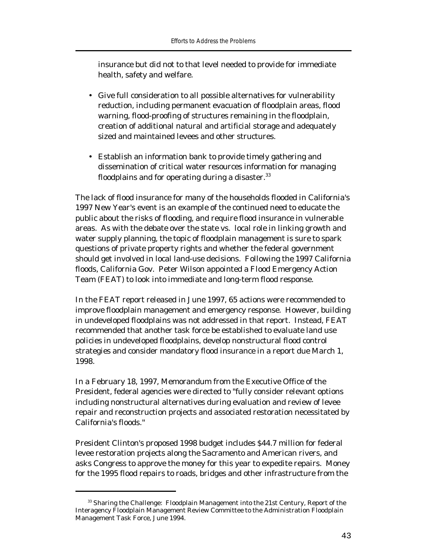insurance but did not to that level needed to provide for immediate health, safety and welfare.

- Give full consideration to all possible alternatives for vulnerability reduction, including permanent evacuation of floodplain areas, flood warning, flood-proofing of structures remaining in the floodplain, creation of additional natural and artificial storage and adequately sized and maintained levees and other structures.
- Establish an information bank to provide timely gathering and dissemination of critical water resources information for managing floodplains and for operating during a disaster.<sup>33</sup>

The lack of flood insurance for many of the households flooded in California's 1997 New Year's event is an example of the continued need to educate the public about the risks of flooding, and require flood insurance in vulnerable areas. As with the debate over the state vs. local role in linking growth and water supply planning, the topic of floodplain management is sure to spark questions of private property rights and whether the federal government should get involved in local land-use decisions. Following the 1997 California floods, California Gov. Peter Wilson appointed a Flood Emergency Action Team (FEAT) to look into immediate and long-term flood response.

In the FEAT report released in June 1997, 65 actions were recommended to improve floodplain management and emergency response. However, building in undeveloped floodplains was not addressed in that report. Instead, FEAT recommended that another task force be established to evaluate land use policies in undeveloped floodplains, develop nonstructural flood control strategies and consider mandatory flood insurance in a report due March 1, 1998.

In a February 18, 1997, Memorandum from the Executive Office of the President, federal agencies were directed to "fully consider relevant options including nonstructural alternatives during evaluation and review of levee repair and reconstruction projects and associated restoration necessitated by California's floods."

President Clinton's proposed 1998 budget includes \$44.7 million for federal levee restoration projects along the Sacramento and American rivers, and asks Congress to approve the money for this year to expedite repairs. Money for the 1995 flood repairs to roads, bridges and other infrastructure from the

<sup>33</sup> Sharing the Challenge: Floodplain Management into the 21st Century, Report of the Interagency Floodplain Management Review Committee to the Administration Floodplain Management Task Force, June 1994.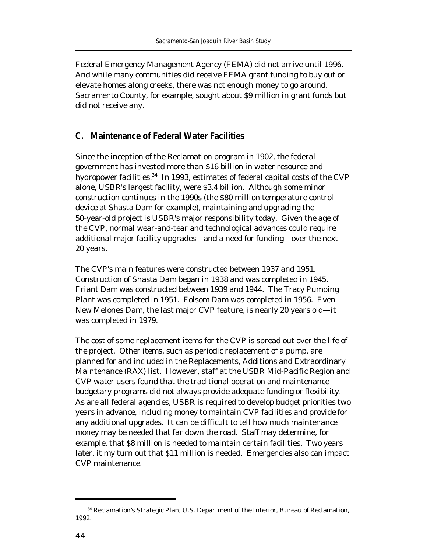Federal Emergency Management Agency (FEMA) did not arrive until 1996. And while many communities did receive FEMA grant funding to buy out or elevate homes along creeks, there was not enough money to go around. Sacramento County, for example, sought about \$9 million in grant funds but did not receive any.

# **C. Maintenance of Federal Water Facilities**

Since the inception of the Reclamation program in 1902, the federal government has invested more than \$16 billion in water resource and hydropower facilities.<sup>34</sup> In 1993, estimates of federal capital costs of the CVP alone, USBR's largest facility, were \$3.4 billion. Although some minor construction continues in the 1990s (the \$80 million temperature control device at Shasta Dam for example), maintaining and upgrading the 50-year-old project is USBR's major responsibility today. Given the age of the CVP, normal wear-and-tear and technological advances could require additional major facility upgrades—and a need for funding—over the next 20 years.

The CVP's main features were constructed between 1937 and 1951. Construction of Shasta Dam began in 1938 and was completed in 1945. Friant Dam was constructed between 1939 and 1944. The Tracy Pumping Plant was completed in 1951. Folsom Dam was completed in 1956. Even New Melones Dam, the last major CVP feature, is nearly 20 years old—it was completed in 1979.

The cost of some replacement items for the CVP is spread out over the life of the project. Other items, such as periodic replacement of a pump, are planned for and included in the Replacements, Additions and Extraordinary Maintenance (RAX) list. However, staff at the USBR Mid-Pacific Region and CVP water users found that the traditional operation and maintenance budgetary programs did not always provide adequate funding or flexibility. As are all federal agencies, USBR is required to develop budget priorities two years in advance, including money to maintain CVP facilities and provide for any additional upgrades. It can be difficult to tell how much maintenance money may be needed that far down the road. Staff may determine, for example, that \$8 million is needed to maintain certain facilities. Two years later, it my turn out that \$11 million is needed. Emergencies also can impact CVP maintenance.

<sup>34</sup> Reclamation's Strategic Plan, U.S. Department of the Interior, Bureau of Reclamation, 1992.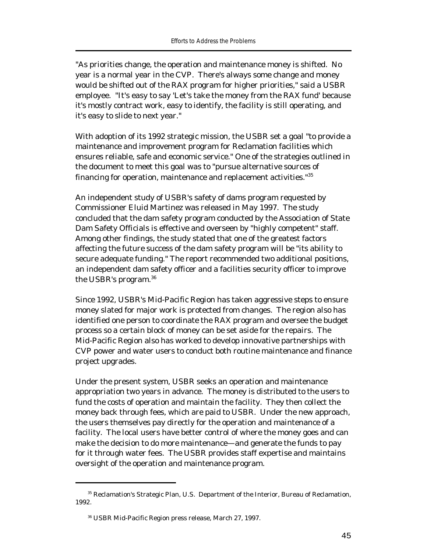"As priorities change, the operation and maintenance money is shifted. No year is a normal year in the CVP. There's always some change and money would be shifted out of the RAX program for higher priorities," said a USBR employee. "It's easy to say 'Let's take the money from the RAX fund' because it's mostly contract work, easy to identify, the facility is still operating, and it's easy to slide to next year."

With adoption of its 1992 strategic mission, the USBR set a goal "to provide a maintenance and improvement program for Reclamation facilities which ensures reliable, safe and economic service." One of the strategies outlined in the document to meet this goal was to "pursue alternative sources of financing for operation, maintenance and replacement activities."<sup>35</sup>

An independent study of USBR's safety of dams program requested by Commissioner Eluid Martinez was released in May 1997. The study concluded that the dam safety program conducted by the Association of State Dam Safety Officials is effective and overseen by "highly competent" staff. Among other findings, the study stated that one of the greatest factors affecting the future success of the dam safety program will be "its ability to secure adequate funding." The report recommended two additional positions, an independent dam safety officer and a facilities security officer to improve the USBR's program.<sup>36</sup>

Since 1992, USBR's Mid-Pacific Region has taken aggressive steps to ensure money slated for major work is protected from changes. The region also has identified one person to coordinate the RAX program and oversee the budget process so a certain block of money can be set aside for the repairs. The Mid-Pacific Region also has worked to develop innovative partnerships with CVP power and water users to conduct both routine maintenance and finance project upgrades.

Under the present system, USBR seeks an operation and maintenance appropriation two years in advance. The money is distributed to the users to fund the costs of operation and maintain the facility. They then collect the money back through fees, which are paid to USBR. Under the new approach, the users themselves pay directly for the operation and maintenance of a facility. The local users have better control of where the money goes and can make the decision to do more maintenance—and generate the funds to pay for it through water fees. The USBR provides staff expertise and maintains oversight of the operation and maintenance program.

<sup>35</sup> Reclamation's Strategic Plan, U.S. Department of the Interior, Bureau of Reclamation, 1992.

<sup>36</sup> USBR Mid-Pacific Region press release, March 27, 1997.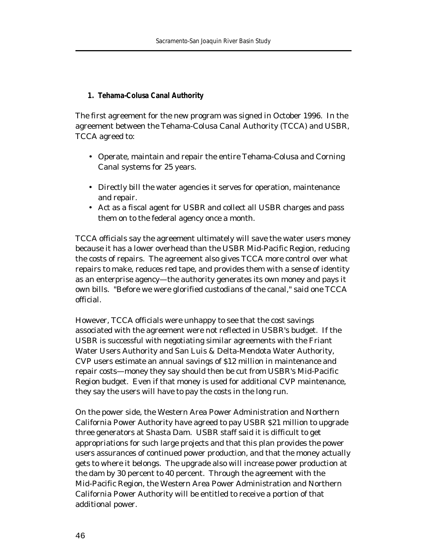## **1. Tehama-Colusa Canal Authority**

The first agreement for the new program was signed in October 1996. In the agreement between the Tehama-Colusa Canal Authority (TCCA) and USBR, TCCA agreed to:

- Operate, maintain and repair the entire Tehama-Colusa and Corning Canal systems for 25 years.
- Directly bill the water agencies it serves for operation, maintenance and repair.
- Act as a fiscal agent for USBR and collect all USBR charges and pass them on to the federal agency once a month.

TCCA officials say the agreement ultimately will save the water users money because it has a lower overhead than the USBR Mid-Pacific Region, reducing the costs of repairs. The agreement also gives TCCA more control over what repairs to make, reduces red tape, and provides them with a sense of identity as an enterprise agency—the authority generates its own money and pays it own bills. "Before we were glorified custodians of the canal," said one TCCA official.

However, TCCA officials were unhappy to see that the cost savings associated with the agreement were not reflected in USBR's budget. If the USBR is successful with negotiating similar agreements with the Friant Water Users Authority and San Luis & Delta-Mendota Water Authority, CVP users estimate an annual savings of \$12 million in maintenance and repair costs—money they say should then be cut from USBR's Mid-Pacific Region budget. Even if that money is used for additional CVP maintenance, they say the users will have to pay the costs in the long run.

On the power side, the Western Area Power Administration and Northern California Power Authority have agreed to pay USBR \$21 million to upgrade three generators at Shasta Dam. USBR staff said it is difficult to get appropriations for such large projects and that this plan provides the power users assurances of continued power production, and that the money actually gets to where it belongs. The upgrade also will increase power production at the dam by 30 percent to 40 percent. Through the agreement with the Mid-Pacific Region, the Western Area Power Administration and Northern California Power Authority will be entitled to receive a portion of that additional power.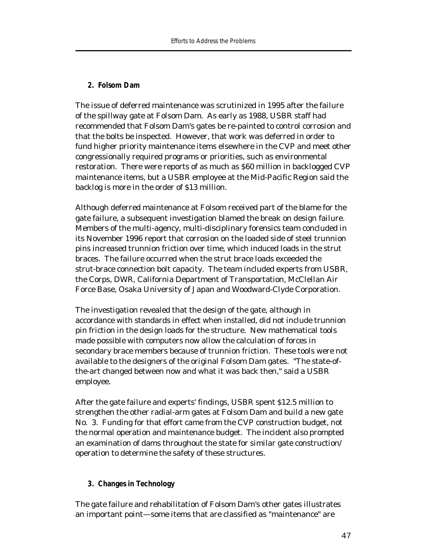## **2. Folsom Dam**

The issue of deferred maintenance was scrutinized in 1995 after the failure of the spillway gate at Folsom Dam. As early as 1988, USBR staff had recommended that Folsom Dam's gates be re-painted to control corrosion and that the bolts be inspected. However, that work was deferred in order to fund higher priority maintenance items elsewhere in the CVP and meet other congressionally required programs or priorities, such as environmental restoration. There were reports of as much as \$60 million in backlogged CVP maintenance items, but a USBR employee at the Mid-Pacific Region said the backlog is more in the order of \$13 million.

Although deferred maintenance at Folsom received part of the blame for the gate failure, a subsequent investigation blamed the break on design failure. Members of the multi-agency, multi-disciplinary forensics team concluded in its November 1996 report that corrosion on the loaded side of steel trunnion pins increased trunnion friction over time, which induced loads in the strut braces. The failure occurred when the strut brace loads exceeded the strut-brace connection bolt capacity. The team included experts from USBR, the Corps, DWR, California Department of Transportation, McClellan Air Force Base, Osaka University of Japan and Woodward-Clyde Corporation.

The investigation revealed that the design of the gate, although in accordance with standards in effect when installed, did not include trunnion pin friction in the design loads for the structure. New mathematical tools made possible with computers now allow the calculation of forces in secondary brace members because of trunnion friction. These tools were not available to the designers of the original Folsom Dam gates. "The state-ofthe-art changed between now and what it was back then," said a USBR employee.

After the gate failure and experts' findings, USBR spent \$12.5 million to strengthen the other radial-arm gates at Folsom Dam and build a new gate No. 3. Funding for that effort came from the CVP construction budget, not the normal operation and maintenance budget. The incident also prompted an examination of dams throughout the state for similar gate construction/ operation to determine the safety of these structures.

## **3. Changes in Technology**

The gate failure and rehabilitation of Folsom Dam's other gates illustrates an important point—some items that are classified as "maintenance" are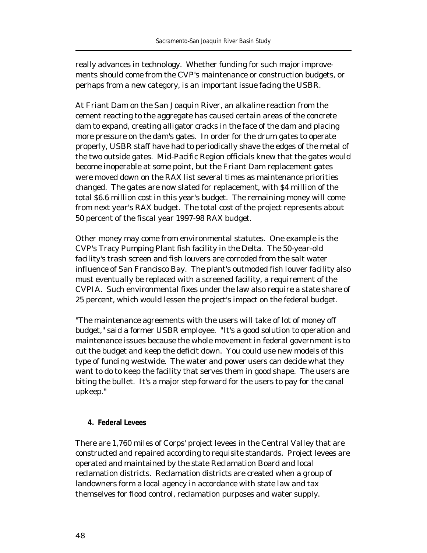really advances in technology. Whether funding for such major improvements should come from the CVP's maintenance or construction budgets, or perhaps from a new category, is an important issue facing the USBR.

At Friant Dam on the San Joaquin River, an alkaline reaction from the cement reacting to the aggregate has caused certain areas of the concrete dam to expand, creating alligator cracks in the face of the dam and placing more pressure on the dam's gates. In order for the drum gates to operate properly, USBR staff have had to periodically shave the edges of the metal of the two outside gates. Mid-Pacific Region officials knew that the gates would become inoperable at some point, but the Friant Dam replacement gates were moved down on the RAX list several times as maintenance priorities changed. The gates are now slated for replacement, with \$4 million of the total \$6.6 million cost in this year's budget. The remaining money will come from next year's RAX budget. The total cost of the project represents about 50 percent of the fiscal year 1997-98 RAX budget.

Other money may come from environmental statutes. One example is the CVP's Tracy Pumping Plant fish facility in the Delta. The 50-year-old facility's trash screen and fish louvers are corroded from the salt water influence of San Francisco Bay. The plant's outmoded fish louver facility also must eventually be replaced with a screened facility, a requirement of the CVPIA. Such environmental fixes under the law also require a state share of 25 percent, which would lessen the project's impact on the federal budget.

"The maintenance agreements with the users will take of lot of money off budget," said a former USBR employee. "It's a good solution to operation and maintenance issues because the whole movement in federal government is to cut the budget and keep the deficit down. You could use new models of this type of funding westwide. The water and power users can decide what they want to do to keep the facility that serves them in good shape. The users are biting the bullet. It's a major step forward for the users to pay for the canal upkeep."

#### **4. Federal Levees**

There are 1,760 miles of Corps' project levees in the Central Valley that are constructed and repaired according to requisite standards. Project levees are operated and maintained by the state Reclamation Board and local reclamation districts. Reclamation districts are created when a group of landowners form a local agency in accordance with state law and tax themselves for flood control, reclamation purposes and water supply.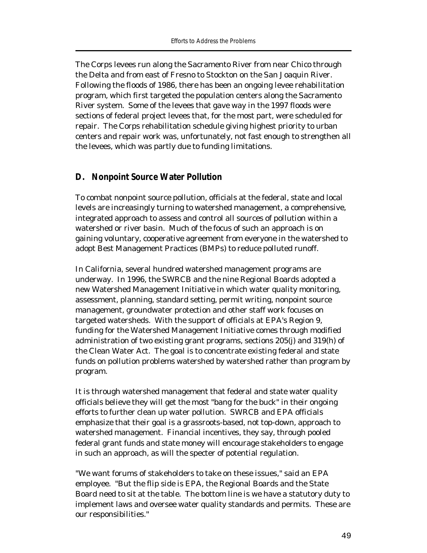The Corps levees run along the Sacramento River from near Chico through the Delta and from east of Fresno to Stockton on the San Joaquin River. Following the floods of 1986, there has been an ongoing levee rehabilitation program, which first targeted the population centers along the Sacramento River system. Some of the levees that gave way in the 1997 floods were sections of federal project levees that, for the most part, were scheduled for repair. The Corps rehabilitation schedule giving highest priority to urban centers and repair work was, unfortunately, not fast enough to strengthen all the levees, which was partly due to funding limitations.

# **D. Nonpoint Source Water Pollution**

To combat nonpoint source pollution, officials at the federal, state and local levels are increasingly turning to watershed management, a comprehensive, integrated approach to assess and control all sources of pollution within a watershed or river basin. Much of the focus of such an approach is on gaining voluntary, cooperative agreement from everyone in the watershed to adopt Best Management Practices (BMPs) to reduce polluted runoff.

In California, several hundred watershed management programs are underway. In 1996, the SWRCB and the nine Regional Boards adopted a new Watershed Management Initiative in which water quality monitoring, assessment, planning, standard setting, permit writing, nonpoint source management, groundwater protection and other staff work focuses on targeted watersheds. With the support of officials at EPA's Region 9, funding for the Watershed Management Initiative comes through modified administration of two existing grant programs, sections 205(j) and 319(h) of the Clean Water Act. The goal is to concentrate existing federal and state funds on pollution problems watershed by watershed rather than program by program.

It is through watershed management that federal and state water quality officials believe they will get the most "bang for the buck" in their ongoing efforts to further clean up water pollution. SWRCB and EPA officials emphasize that their goal is a grassroots-based, not top-down, approach to watershed management. Financial incentives, they say, through pooled federal grant funds and state money will encourage stakeholders to engage in such an approach, as will the specter of potential regulation.

"We want forums of stakeholders to take on these issues," said an EPA employee. "But the flip side is EPA, the Regional Boards and the State Board need to sit at the table. The bottom line is we have a statutory duty to implement laws and oversee water quality standards and permits. These are our responsibilities."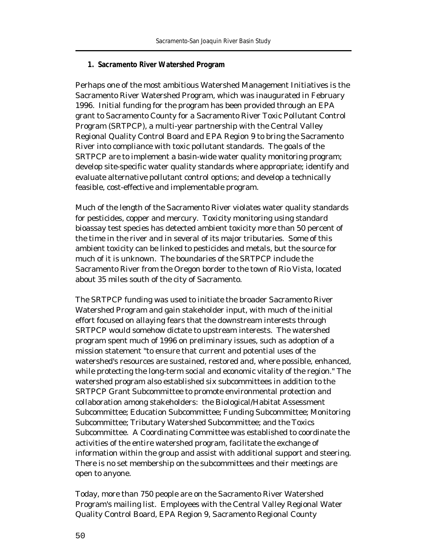## **1. Sacramento River Watershed Program**

Perhaps one of the most ambitious Watershed Management Initiatives is the Sacramento River Watershed Program, which was inaugurated in February 1996. Initial funding for the program has been provided through an EPA grant to Sacramento County for a Sacramento River Toxic Pollutant Control Program (SRTPCP), a multi-year partnership with the Central Valley Regional Quality Control Board and EPA Region 9 to bring the Sacramento River into compliance with toxic pollutant standards. The goals of the SRTPCP are to implement a basin-wide water quality monitoring program; develop site-specific water quality standards where appropriate; identify and evaluate alternative pollutant control options; and develop a technically feasible, cost-effective and implementable program.

Much of the length of the Sacramento River violates water quality standards for pesticides, copper and mercury. Toxicity monitoring using standard bioassay test species has detected ambient toxicity more than 50 percent of the time in the river and in several of its major tributaries. Some of this ambient toxicity can be linked to pesticides and metals, but the source for much of it is unknown. The boundaries of the SRTPCP include the Sacramento River from the Oregon border to the town of Rio Vista, located about 35 miles south of the city of Sacramento.

The SRTPCP funding was used to initiate the broader Sacramento River Watershed Program and gain stakeholder input, with much of the initial effort focused on allaying fears that the downstream interests through SRTPCP would somehow dictate to upstream interests. The watershed program spent much of 1996 on preliminary issues, such as adoption of a mission statement "to ensure that current and potential uses of the watershed's resources are sustained, restored and, where possible, enhanced, while protecting the long-term social and economic vitality of the region." The watershed program also established six subcommittees in addition to the SRTPCP Grant Subcommittee to promote environmental protection and collaboration among stakeholders: the Biological/Habitat Assessment Subcommittee; Education Subcommittee; Funding Subcommittee; Monitoring Subcommittee; Tributary Watershed Subcommittee; and the Toxics Subcommittee. A Coordinating Committee was established to coordinate the activities of the entire watershed program, facilitate the exchange of information within the group and assist with additional support and steering. There is no set membership on the subcommittees and their meetings are open to anyone.

Today, more than 750 people are on the Sacramento River Watershed Program's mailing list. Employees with the Central Valley Regional Water Quality Control Board, EPA Region 9, Sacramento Regional County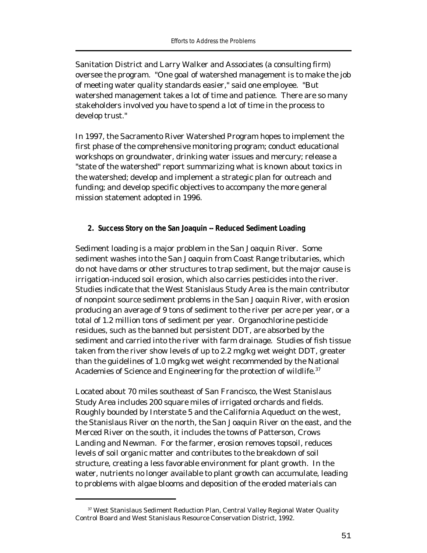Sanitation District and Larry Walker and Associates (a consulting firm) oversee the program. "One goal of watershed management is to make the job of meeting water quality standards easier," said one employee. "But watershed management takes a lot of time and patience. There are so many stakeholders involved you have to spend a lot of time in the process to develop trust."

In 1997, the Sacramento River Watershed Program hopes to implement the first phase of the comprehensive monitoring program; conduct educational workshops on groundwater, drinking water issues and mercury; release a "state of the watershed" report summarizing what is known about toxics in the watershed; develop and implement a strategic plan for outreach and funding; and develop specific objectives to accompany the more general mission statement adopted in 1996.

## **2. Success Story on the San Joaquin -- Reduced Sediment Loading**

Sediment loading is a major problem in the San Joaquin River. Some sediment washes into the San Joaquin from Coast Range tributaries, which do not have dams or other structures to trap sediment, but the major cause is irrigation-induced soil erosion, which also carries pesticides into the river. Studies indicate that the West Stanislaus Study Area is the main contributor of nonpoint source sediment problems in the San Joaquin River, with erosion producing an average of 9 tons of sediment to the river per acre per year, or a total of 1.2 million tons of sediment per year. Organochlorine pesticide residues, such as the banned but persistent DDT, are absorbed by the sediment and carried into the river with farm drainage. Studies of fish tissue taken from the river show levels of up to 2.2 mg/kg wet weight DDT, greater than the guidelines of 1.0 mg/kg wet weight recommended by the National Academies of Science and Engineering for the protection of wildlife.<sup>37</sup>

Located about 70 miles southeast of San Francisco, the West Stanislaus Study Area includes 200 square miles of irrigated orchards and fields. Roughly bounded by Interstate 5 and the California Aqueduct on the west, the Stanislaus River on the north, the San Joaquin River on the east, and the Merced River on the south, it includes the towns of Patterson, Crows Landing and Newman. For the farmer, erosion removes topsoil, reduces levels of soil organic matter and contributes to the breakdown of soil structure, creating a less favorable environment for plant growth. In the water, nutrients no longer available to plant growth can accumulate, leading to problems with algae blooms and deposition of the eroded materials can

<sup>37</sup> West Stanislaus Sediment Reduction Plan, Central Valley Regional Water Quality Control Board and West Stanislaus Resource Conservation District, 1992.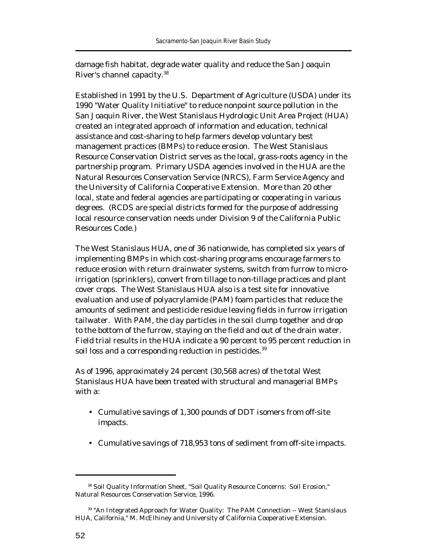damage fish habitat, degrade water quality and reduce the San Joaquin River's channel capacity.<sup>38</sup>

Established in 1991 by the U.S. Department of Agriculture (USDA) under its 1990 "Water Quality Initiative" to reduce nonpoint source pollution in the San Joaquin River, the West Stanislaus Hydrologic Unit Area Project (HUA) created an integrated approach of information and education, technical assistance and cost-sharing to help farmers develop voluntary best management practices (BMPs) to reduce erosion. The West Stanislaus Resource Conservation District serves as the local, grass-roots agency in the partnership program. Primary USDA agencies involved in the HUA are the Natural Resources Conservation Service (NRCS), Farm Service Agency and the University of California Cooperative Extension. More than 20 other local, state and federal agencies are participating or cooperating in various degrees. (RCDS are special districts formed for the purpose of addressing local resource conservation needs under Division 9 of the California Public Resources Code.)

The West Stanislaus HUA, one of 36 nationwide, has completed six years of implementing BMPs in which cost-sharing programs encourage farmers to reduce erosion with return drainwater systems, switch from furrow to microirrigation (sprinklers), convert from tillage to non-tillage practices and plant cover crops. The West Stanislaus HUA also is a test site for innovative evaluation and use of polyacrylamide (PAM) foam particles that reduce the amounts of sediment and pesticide residue leaving fields in furrow irrigation tailwater. With PAM, the clay particles in the soil clump together and drop to the bottom of the furrow, staying on the field and out of the drain water. Field trial results in the HUA indicate a 90 percent to 95 percent reduction in soil loss and a corresponding reduction in pesticides.<sup>39</sup>

As of 1996, approximately 24 percent (30,568 acres) of the total West Stanislaus HUA have been treated with structural and managerial BMPs with a:

- Cumulative savings of 1,300 pounds of DDT isomers from off-site impacts.
- Cumulative savings of 718,953 tons of sediment from off-site impacts.

<sup>38</sup> Soil Quality Information Sheet, "Soil Quality Resource Concerns: Soil Erosion," Natural Resources Conservation Service, 1996.

<sup>39</sup> "An Integrated Approach for Water Quality: The PAM Connection -- West Stanislaus HUA, California," M. McElhiney and University of California Cooperative Extension.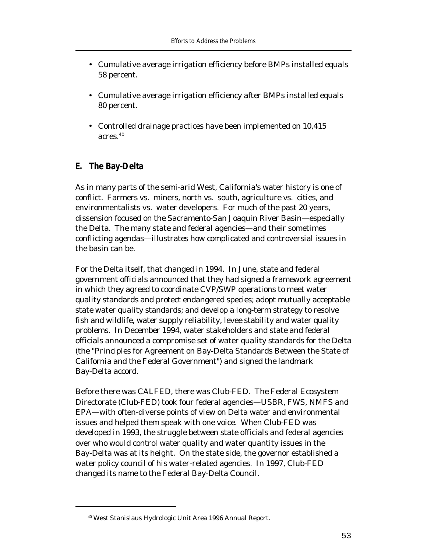- Cumulative average irrigation efficiency before BMPs installed equals 58 percent.
- Cumulative average irrigation efficiency after BMPs installed equals 80 percent.
- Controlled drainage practices have been implemented on 10,415 acres.<sup>40</sup>

# **E. The Bay-Delta**

As in many parts of the semi-arid West, California's water history is one of conflict. Farmers vs. miners, north vs. south, agriculture vs. cities, and environmentalists vs. water developers. For much of the past 20 years, dissension focused on the Sacramento-San Joaquin River Basin—especially the Delta. The many state and federal agencies—and their sometimes conflicting agendas—illustrates how complicated and controversial issues in the basin can be.

For the Delta itself, that changed in 1994. In June, state and federal government officials announced that they had signed a framework agreement in which they agreed to coordinate CVP/SWP operations to meet water quality standards and protect endangered species; adopt mutually acceptable state water quality standards; and develop a long-term strategy to resolve fish and wildlife, water supply reliability, levee stability and water quality problems. In December 1994, water stakeholders and state and federal officials announced a compromise set of water quality standards for the Delta (the "Principles for Agreement on Bay-Delta Standards Between the State of California and the Federal Government") and signed the landmark Bay-Delta accord.

Before there was CALFED, there was Club-FED. The Federal Ecosystem Directorate (Club-FED) took four federal agencies—USBR, FWS, NMFS and EPA—with often-diverse points of view on Delta water and environmental issues and helped them speak with one voice. When Club-FED was developed in 1993, the struggle between state officials and federal agencies over who would control water quality and water quantity issues in the Bay-Delta was at its height. On the state side, the governor established a water policy council of his water-related agencies. In 1997, Club-FED changed its name to the Federal Bay-Delta Council.

<sup>40</sup> West Stanislaus Hydrologic Unit Area 1996 Annual Report.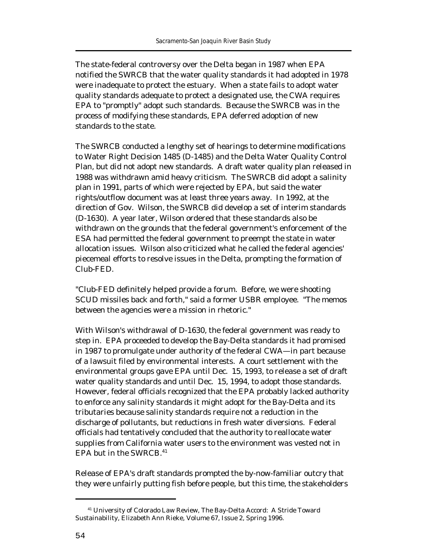The state-federal controversy over the Delta began in 1987 when EPA notified the SWRCB that the water quality standards it had adopted in 1978 were inadequate to protect the estuary. When a state fails to adopt water quality standards adequate to protect a designated use, the CWA requires EPA to "promptly" adopt such standards. Because the SWRCB was in the process of modifying these standards, EPA deferred adoption of new standards to the state.

The SWRCB conducted a lengthy set of hearings to determine modifications to Water Right Decision 1485 (D-1485) and the Delta Water Quality Control Plan, but did not adopt new standards. A draft water quality plan released in 1988 was withdrawn amid heavy criticism. The SWRCB did adopt a salinity plan in 1991, parts of which were rejected by EPA, but said the water rights/outflow document was at least three years away. In 1992, at the direction of Gov. Wilson, the SWRCB did develop a set of interim standards (D-1630). A year later, Wilson ordered that these standards also be withdrawn on the grounds that the federal government's enforcement of the ESA had permitted the federal government to preempt the state in water allocation issues. Wilson also criticized what he called the federal agencies' piecemeal efforts to resolve issues in the Delta, prompting the formation of Club-FED.

"Club-FED definitely helped provide a forum. Before, we were shooting SCUD missiles back and forth," said a former USBR employee. "The memos between the agencies were a mission in rhetoric."

With Wilson's withdrawal of D-1630, the federal government was ready to step in. EPA proceeded to develop the Bay-Delta standards it had promised in 1987 to promulgate under authority of the federal CWA—in part because of a lawsuit filed by environmental interests. A court settlement with the environmental groups gave EPA until Dec. 15, 1993, to release a set of draft water quality standards and until Dec. 15, 1994, to adopt those standards. However, federal officials recognized that the EPA probably lacked authority to enforce any salinity standards it might adopt for the Bay-Delta and its tributaries because salinity standards require not a reduction in the discharge of pollutants, but reductions in fresh water diversions. Federal officials had tentatively concluded that the authority to reallocate water supplies from California water users to the environment was vested not in EPA but in the SWRCB.<sup>41</sup>

Release of EPA's draft standards prompted the by-now-familiar outcry that they were unfairly putting fish before people, but this time, the stakeholders

<sup>&</sup>lt;sup>41</sup> University of Colorado Law Review, The Bay-Delta Accord: A Stride Toward Sustainability, Elizabeth Ann Rieke, Volume 67, Issue 2, Spring 1996.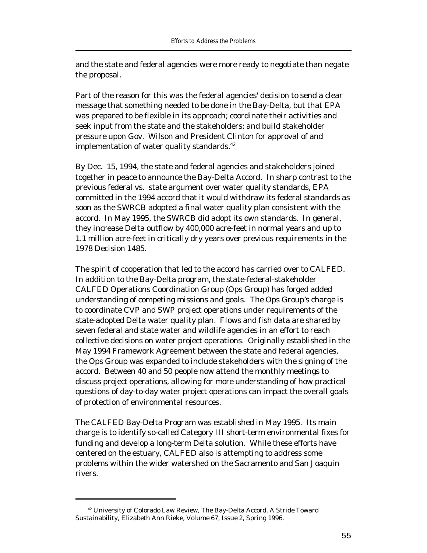and the state and federal agencies were more ready to negotiate than negate the proposal.

Part of the reason for this was the federal agencies' decision to send a clear message that something needed to be done in the Bay-Delta, but that EPA was prepared to be flexible in its approach; coordinate their activities and seek input from the state and the stakeholders; and build stakeholder pressure upon Gov. Wilson and President Clinton for approval of and implementation of water quality standards.<sup>42</sup>

By Dec. 15, 1994, the state and federal agencies and stakeholders joined together in peace to announce the Bay-Delta Accord. In sharp contrast to the previous federal vs. state argument over water quality standards, EPA committed in the 1994 accord that it would withdraw its federal standards as soon as the SWRCB adopted a final water quality plan consistent with the accord. In May 1995, the SWRCB did adopt its own standards. In general, they increase Delta outflow by 400,000 acre-feet in normal years and up to 1.1 million acre-feet in critically dry years over previous requirements in the 1978 Decision 1485.

The spirit of cooperation that led to the accord has carried over to CALFED. In addition to the Bay-Delta program, the state-federal-stakeholder CALFED Operations Coordination Group (Ops Group) has forged added understanding of competing missions and goals. The Ops Group's charge is to coordinate CVP and SWP project operations under requirements of the state-adopted Delta water quality plan. Flows and fish data are shared by seven federal and state water and wildlife agencies in an effort to reach collective decisions on water project operations. Originally established in the May 1994 Framework Agreement between the state and federal agencies, the Ops Group was expanded to include stakeholders with the signing of the accord. Between 40 and 50 people now attend the monthly meetings to discuss project operations, allowing for more understanding of how practical questions of day-to-day water project operations can impact the overall goals of protection of environmental resources.

The CALFED Bay-Delta Program was established in May 1995. Its main charge is to identify so-called Category III short-term environmental fixes for funding and develop a long-term Delta solution. While these efforts have centered on the estuary, CALFED also is attempting to address some problems within the wider watershed on the Sacramento and San Joaquin rivers.

<sup>42</sup> University of Colorado Law Review, The Bay-Delta Accord, A Stride Toward Sustainability, Elizabeth Ann Rieke, Volume 67, Issue 2, Spring 1996.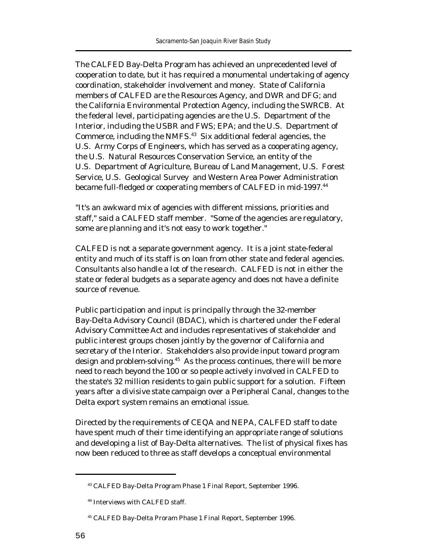The CALFED Bay-Delta Program has achieved an unprecedented level of cooperation to date, but it has required a monumental undertaking of agency coordination, stakeholder involvement and money. State of California members of CALFED are the Resources Agency, and DWR and DFG; and the California Environmental Protection Agency, including the SWRCB. At the federal level, participating agencies are the U.S. Department of the Interior, including the USBR and FWS; EPA; and the U.S. Department of Commerce, including the NMFS.<sup>43</sup> Six additional federal agencies, the U.S. Army Corps of Engineers, which has served as a cooperating agency, the U.S. Natural Resources Conservation Service, an entity of the U.S. Department of Agriculture, Bureau of Land Management, U.S. Forest Service, U.S. Geological Survey and Western Area Power Administration became full-fledged or cooperating members of CALFED in mid-1997.<sup>44</sup>

"It's an awkward mix of agencies with different missions, priorities and staff," said a CALFED staff member. "Some of the agencies are regulatory, some are planning and it's not easy to work together."

CALFED is not a separate government agency. It is a joint state-federal entity and much of its staff is on loan from other state and federal agencies. Consultants also handle a lot of the research. CALFED is not in either the state or federal budgets as a separate agency and does not have a definite source of revenue.

Public participation and input is principally through the 32-member Bay-Delta Advisory Council (BDAC), which is chartered under the Federal Advisory Committee Act and includes representatives of stakeholder and public interest groups chosen jointly by the governor of California and secretary of the Interior. Stakeholders also provide input toward program design and problem-solving.<sup>45</sup> As the process continues, there will be more need to reach beyond the 100 or so people actively involved in CALFED to the state's 32 million residents to gain public support for a solution. Fifteen years after a divisive state campaign over a Peripheral Canal, changes to the Delta export system remains an emotional issue.

Directed by the requirements of CEQA and NEPA, CALFED staff to date have spent much of their time identifying an appropriate range of solutions and developing a list of Bay-Delta alternatives. The list of physical fixes has now been reduced to three as staff develops a conceptual environmental

<sup>43</sup> CALFED Bay-Delta Program Phase 1 Final Report, September 1996.

<sup>44</sup> Interviews with CALFED staff.

<sup>45</sup> CALFED Bay-Delta Proram Phase 1 Final Report, September 1996.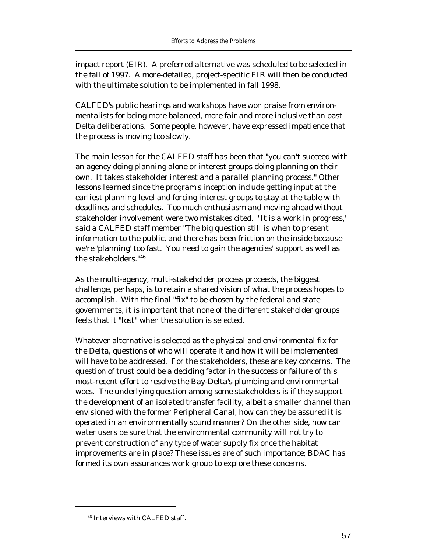impact report (EIR). A preferred alternative was scheduled to be selected in the fall of 1997. A more-detailed, project-specific EIR will then be conducted with the ultimate solution to be implemented in fall 1998.

CALFED's public hearings and workshops have won praise from environmentalists for being more balanced, more fair and more inclusive than past Delta deliberations. Some people, however, have expressed impatience that the process is moving too slowly.

The main lesson for the CALFED staff has been that "you can't succeed with an agency doing planning alone or interest groups doing planning on their own. It takes stakeholder interest and a parallel planning process." Other lessons learned since the program's inception include getting input at the earliest planning level and forcing interest groups to stay at the table with deadlines and schedules. Too much enthusiasm and moving ahead without stakeholder involvement were two mistakes cited. "It is a work in progress," said a CALFED staff member "The big question still is when to present information to the public, and there has been friction on the inside because we're 'planning' too fast. You need to gain the agencies' support as well as the stakeholders."<sup>46</sup>

As the multi-agency, multi-stakeholder process proceeds, the biggest challenge, perhaps, is to retain a shared vision of what the process hopes to accomplish. With the final "fix" to be chosen by the federal and state governments, it is important that none of the different stakeholder groups feels that it "lost" when the solution is selected.

Whatever alternative is selected as the physical and environmental fix for the Delta, questions of who will operate it and how it will be implemented will have to be addressed. For the stakeholders, these are key concerns. The question of trust could be a deciding factor in the success or failure of this most-recent effort to resolve the Bay-Delta's plumbing and environmental woes. The underlying question among some stakeholders is if they support the development of an isolated transfer facility, albeit a smaller channel than envisioned with the former Peripheral Canal, how can they be assured it is operated in an environmentally sound manner? On the other side, how can water users be sure that the environmental community will not try to prevent construction of any type of water supply fix once the habitat improvements are in place? These issues are of such importance; BDAC has formed its own assurances work group to explore these concerns.

<sup>46</sup> Interviews with CALFED staff.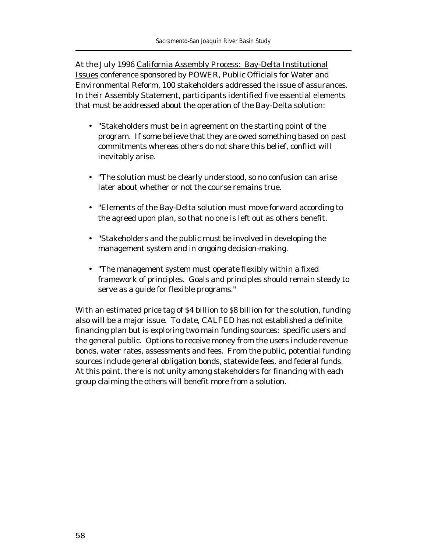At the July 1996 California Assembly Process: Bay-Delta Institutional Issues conference sponsored by POWER, Public Officials for Water and Environmental Reform, 100 stakeholders addressed the issue of assurances. In their Assembly Statement, participants identified five essential elements that must be addressed about the operation of the Bay-Delta solution:

- "Stakeholders must be in agreement on the starting point of the program. If some believe that they are owed something based on past commitments whereas others do not share this belief, conflict will inevitably arise.
- "The solution must be clearly understood, so no confusion can arise later about whether or not the course remains true.
- "Elements of the Bay-Delta solution must move forward according to the agreed upon plan, so that no one is left out as others benefit.
- "Stakeholders and the public must be involved in developing the management system and in ongoing decision-making.
- "The management system must operate flexibly within a fixed framework of principles. Goals and principles should remain steady to serve as a guide for flexible programs."

With an estimated price tag of \$4 billion to \$8 billion for the solution, funding also will be a major issue. To date, CALFED has not established a definite financing plan but is exploring two main funding sources: specific users and the general public. Options to receive money from the users include revenue bonds, water rates, assessments and fees. From the public, potential funding sources include general obligation bonds, statewide fees, and federal funds. At this point, there is not unity among stakeholders for financing with each group claiming the others will benefit more from a solution.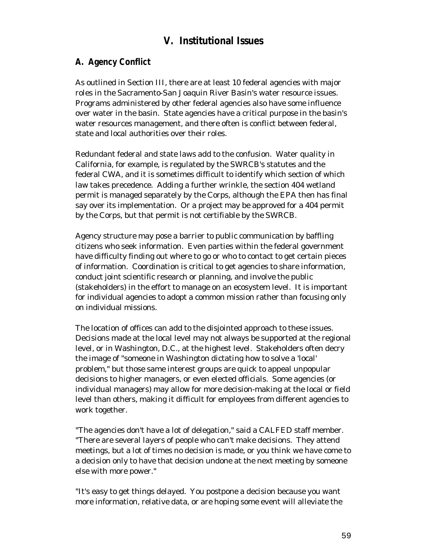# **V. Institutional Issues**

# **A. Agency Conflict**

As outlined in Section III, there are at least 10 federal agencies with major roles in the Sacramento-San Joaquin River Basin's water resource issues. Programs administered by other federal agencies also have some influence over water in the basin. State agencies have a critical purpose in the basin's water resources management, and there often is conflict between federal, state and local authorities over their roles.

Redundant federal and state laws add to the confusion. Water quality in California, for example, is regulated by the SWRCB's statutes and the federal CWA, and it is sometimes difficult to identify which section of which law takes precedence. Adding a further wrinkle, the section 404 wetland permit is managed separately by the Corps, although the EPA then has final say over its implementation. Or a project may be approved for a 404 permit by the Corps, but that permit is not certifiable by the SWRCB.

Agency structure may pose a barrier to public communication by baffling citizens who seek information. Even parties within the federal government have difficulty finding out where to go or who to contact to get certain pieces of information. Coordination is critical to get agencies to share information, conduct joint scientific research or planning, and involve the public (stakeholders) in the effort to manage on an ecosystem level. It is important for individual agencies to adopt a common mission rather than focusing only on individual missions.

The location of offices can add to the disjointed approach to these issues. Decisions made at the local level may not always be supported at the regional level, or in Washington, D.C., at the highest level. Stakeholders often decry the image of "someone in Washington dictating how to solve a 'local' problem," but those same interest groups are quick to appeal unpopular decisions to higher managers, or even elected officials. Some agencies (or individual managers) may allow for more decision-making at the local or field level than others, making it difficult for employees from different agencies to work together.

"The agencies don't have a lot of delegation," said a CALFED staff member. "There are several layers of people who can't make decisions. They attend meetings, but a lot of times no decision is made, or you think we have come to a decision only to have that decision undone at the next meeting by someone else with more power."

"It's easy to get things delayed. You postpone a decision because you want more information, relative data, or are hoping some event will alleviate the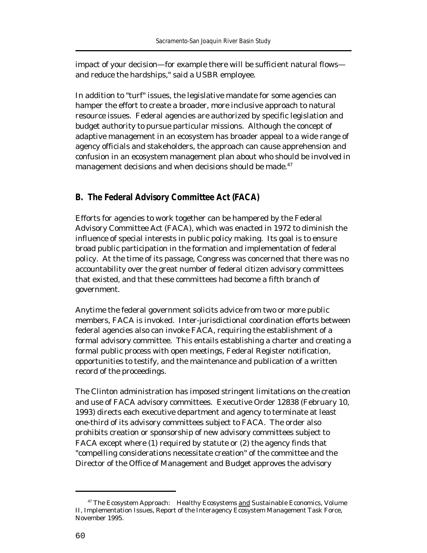impact of your decision—for example there will be sufficient natural flows and reduce the hardships," said a USBR employee.

In addition to "turf" issues, the legislative mandate for some agencies can hamper the effort to create a broader, more inclusive approach to natural resource issues. Federal agencies are authorized by specific legislation and budget authority to pursue particular missions. Although the concept of adaptive management in an ecosystem has broader appeal to a wide range of agency officials and stakeholders, the approach can cause apprehension and confusion in an ecosystem management plan about who should be involved in management decisions and when decisions should be made.<sup>47</sup>

# **B. The Federal Advisory Committee Act (FACA)**

Efforts for agencies to work together can be hampered by the Federal Advisory Committee Act (FACA), which was enacted in 1972 to diminish the influence of special interests in public policy making. Its goal is to ensure broad public participation in the formation and implementation of federal policy. At the time of its passage, Congress was concerned that there was no accountability over the great number of federal citizen advisory committees that existed, and that these committees had become a fifth branch of government.

Anytime the federal government solicits advice from two or more public members, FACA is invoked. Inter-jurisdictional coordination efforts between federal agencies also can invoke FACA, requiring the establishment of a formal advisory committee. This entails establishing a charter and creating a formal public process with open meetings, Federal Register notification, opportunities to testify, and the maintenance and publication of a written record of the proceedings.

The Clinton administration has imposed stringent limitations on the creation and use of FACA advisory committees. Executive Order 12838 (February 10, 1993) directs each executive department and agency to terminate at least one-third of its advisory committees subject to FACA. The order also prohibits creation or sponsorship of new advisory committees subject to FACA except where (1) required by statute or (2) the agency finds that "compelling considerations necessitate creation" of the committee and the Director of the Office of Management and Budget approves the advisory

<sup>&</sup>lt;sup>47</sup> The Ecosystem Approach: Healthy Ecosystems and Sustainable Economics, Volume II, Implementation Issues, Report of the Interagency Ecosystem Management Task Force, November 1995.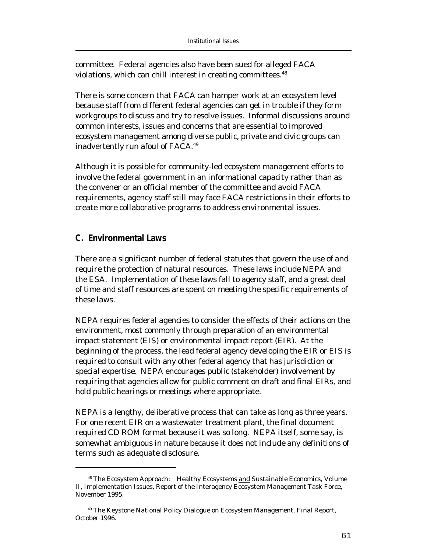committee. Federal agencies also have been sued for alleged FACA violations, which can chill interest in creating committees. $48$ 

There is some concern that FACA can hamper work at an ecosystem level because staff from different federal agencies can get in trouble if they form workgroups to discuss and try to resolve issues. Informal discussions around common interests, issues and concerns that are essential to improved ecosystem management among diverse public, private and civic groups can inadvertently run afoul of FACA.<sup>49</sup>

Although it is possible for community-led ecosystem management efforts to involve the federal government in an informational capacity rather than as the convener or an official member of the committee and avoid FACA requirements, agency staff still may face FACA restrictions in their efforts to create more collaborative programs to address environmental issues.

## **C. Environmental Laws**

There are a significant number of federal statutes that govern the use of and require the protection of natural resources. These laws include NEPA and the ESA. Implementation of these laws fall to agency staff, and a great deal of time and staff resources are spent on meeting the specific requirements of these laws.

NEPA requires federal agencies to consider the effects of their actions on the environment, most commonly through preparation of an environmental impact statement (EIS) or environmental impact report (EIR). At the beginning of the process, the lead federal agency developing the EIR or EIS is required to consult with any other federal agency that has jurisdiction or special expertise. NEPA encourages public (stakeholder) involvement by requiring that agencies allow for public comment on draft and final EIRs, and hold public hearings or meetings where appropriate.

NEPA is a lengthy, deliberative process that can take as long as three years. For one recent EIR on a wastewater treatment plant, the final document required CD ROM format because it was so long. NEPA itself, some say, is somewhat ambiguous in nature because it does not include any definitions of terms such as adequate disclosure.

<sup>&</sup>lt;sup>48</sup> The Ecosystem Approach: Healthy Ecosystems and Sustainable Economics, Volume II, Implementation Issues, Report of the Interagency Ecosystem Management Task Force, November 1995.

<sup>49</sup> The Keystone National Policy Dialogue on Ecosystem Management, Final Report, October 1996.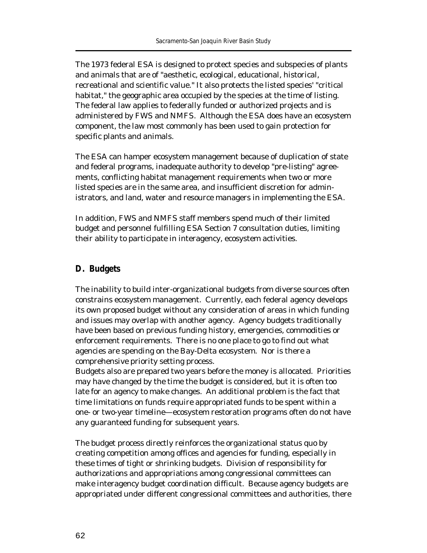The 1973 federal ESA is designed to protect species and subspecies of plants and animals that are of "aesthetic, ecological, educational, historical, recreational and scientific value." It also protects the listed species' "critical habitat," the geographic area occupied by the species at the time of listing. The federal law applies to federally funded or authorized projects and is administered by FWS and NMFS. Although the ESA does have an ecosystem component, the law most commonly has been used to gain protection for specific plants and animals.

The ESA can hamper ecosystem management because of duplication of state and federal programs, inadequate authority to develop "pre-listing" agreements, conflicting habitat management requirements when two or more listed species are in the same area, and insufficient discretion for administrators, and land, water and resource managers in implementing the ESA.

In addition, FWS and NMFS staff members spend much of their limited budget and personnel fulfilling ESA Section 7 consultation duties, limiting their ability to participate in interagency, ecosystem activities.

# **D. Budgets**

The inability to build inter-organizational budgets from diverse sources often constrains ecosystem management. Currently, each federal agency develops its own proposed budget without any consideration of areas in which funding and issues may overlap with another agency. Agency budgets traditionally have been based on previous funding history, emergencies, commodities or enforcement requirements. There is no one place to go to find out what agencies are spending on the Bay-Delta ecosystem. Nor is there a comprehensive priority setting process.

Budgets also are prepared two years before the money is allocated. Priorities may have changed by the time the budget is considered, but it is often too late for an agency to make changes. An additional problem is the fact that time limitations on funds require appropriated funds to be spent within a one- or two-year timeline—ecosystem restoration programs often do not have any guaranteed funding for subsequent years.

The budget process directly reinforces the organizational status quo by creating competition among offices and agencies for funding, especially in these times of tight or shrinking budgets. Division of responsibility for authorizations and appropriations among congressional committees can make interagency budget coordination difficult. Because agency budgets are appropriated under different congressional committees and authorities, there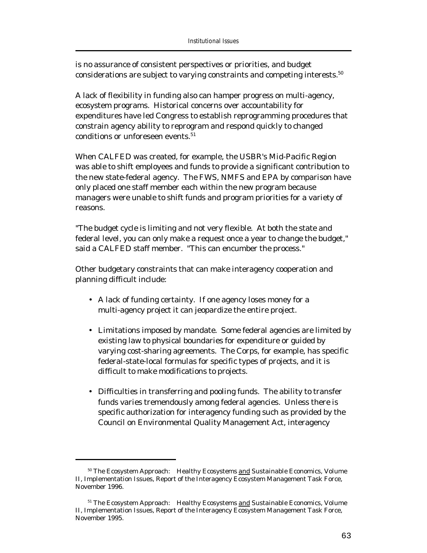is no assurance of consistent perspectives or priorities, and budget considerations are subject to varying constraints and competing interests. $50$ 

A lack of flexibility in funding also can hamper progress on multi-agency, ecosystem programs. Historical concerns over accountability for expenditures have led Congress to establish reprogramming procedures that constrain agency ability to reprogram and respond quickly to changed conditions or unforeseen events.<sup>51</sup>

When CALFED was created, for example, the USBR's Mid-Pacific Region was able to shift employees and funds to provide a significant contribution to the new state-federal agency. The FWS, NMFS and EPA by comparison have only placed one staff member each within the new program because managers were unable to shift funds and program priorities for a variety of reasons.

"The budget cycle is limiting and not very flexible. At both the state and federal level, you can only make a request once a year to change the budget," said a CALFED staff member. "This can encumber the process."

Other budgetary constraints that can make interagency cooperation and planning difficult include:

- A lack of funding certainty. If one agency loses money for a multi-agency project it can jeopardize the entire project.
- Limitations imposed by mandate. Some federal agencies are limited by existing law to physical boundaries for expenditure or guided by varying cost-sharing agreements. The Corps, for example, has specific federal-state-local formulas for specific types of projects, and it is difficult to make modifications to projects.
- Difficulties in transferring and pooling funds. The ability to transfer funds varies tremendously among federal agencies. Unless there is specific authorization for interagency funding such as provided by the Council on Environmental Quality Management Act, interagency

<sup>&</sup>lt;sup>50</sup> The Ecosystem Approach: Healthy Ecosystems and Sustainable Economics, Volume II, Implementation Issues, Report of the Interagency Ecosystem Management Task Force, November 1996.

<sup>&</sup>lt;sup>51</sup> The Ecosystem Approach: Healthy Ecosystems and Sustainable Economics, Volume II, Implementation Issues, Report of the Interagency Ecosystem Management Task Force, November 1995.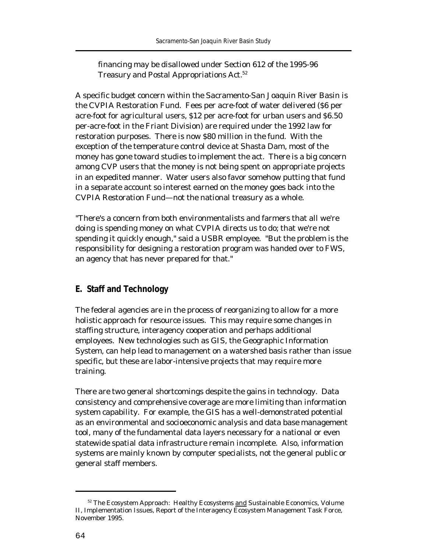financing may be disallowed under Section 612 of the 1995-96 Treasury and Postal Appropriations Act.<sup>52</sup>

A specific budget concern within the Sacramento-San Joaquin River Basin is the CVPIA Restoration Fund. Fees per acre-foot of water delivered (\$6 per acre-foot for agricultural users, \$12 per acre-foot for urban users and \$6.50 per-acre-foot in the Friant Division) are required under the 1992 law for restoration purposes. There is now \$80 million in the fund. With the exception of the temperature control device at Shasta Dam, most of the money has gone toward studies to implement the act. There is a big concern among CVP users that the money is not being spent on appropriate projects in an expedited manner. Water users also favor somehow putting that fund in a separate account so interest earned on the money goes back into the CVPIA Restoration Fund—not the national treasury as a whole.

"There's a concern from both environmentalists and farmers that all we're doing is spending money on what CVPIA directs us to do; that we're not spending it quickly enough," said a USBR employee. "But the problem is the responsibility for designing a restoration program was handed over to FWS, an agency that has never prepared for that."

## **E. Staff and Technology**

The federal agencies are in the process of reorganizing to allow for a more holistic approach for resource issues. This may require some changes in staffing structure, interagency cooperation and perhaps additional employees. New technologies such as GIS, the Geographic Information System, can help lead to management on a watershed basis rather than issue specific, but these are labor-intensive projects that may require more training.

There are two general shortcomings despite the gains in technology. Data consistency and comprehensive coverage are more limiting than information system capability. For example, the GIS has a well-demonstrated potential as an environmental and socioeconomic analysis and data base management tool, many of the fundamental data layers necessary for a national or even statewide spatial data infrastructure remain incomplete. Also, information systems are mainly known by computer specialists, not the general public or general staff members.

 $52$  The Ecosystem Approach: Healthy Ecosystems and Sustainable Economics, Volume II, Implementation Issues, Report of the Interagency Ecosystem Management Task Force, November 1995.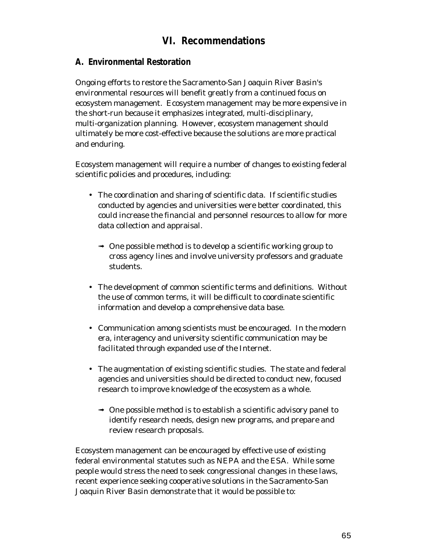# **VI. Recommendations**

#### **A. Environmental Restoration**

Ongoing efforts to restore the Sacramento-San Joaquin River Basin's environmental resources will benefit greatly from a continued focus on ecosystem management. Ecosystem management may be more expensive in the short-run because it emphasizes integrated, multi-disciplinary, multi-organization planning. However, ecosystem management should ultimately be more cost-effective because the solutions are more practical and enduring.

Ecosystem management will require a number of changes to existing federal scientific policies and procedures, including:

- The coordination and sharing of scientific data. If scientific studies conducted by agencies and universities were better coordinated, this could increase the financial and personnel resources to allow for more data collection and appraisal.
	- $\rightarrow$  One possible method is to develop a scientific working group to cross agency lines and involve university professors and graduate students.
- The development of common scientific terms and definitions. Without the use of common terms, it will be difficult to coordinate scientific information and develop a comprehensive data base.
- Communication among scientists must be encouraged. In the modern era, interagency and university scientific communication may be facilitated through expanded use of the Internet.
- The augmentation of existing scientific studies. The state and federal agencies and universities should be directed to conduct new, focused research to improve knowledge of the ecosystem as a whole.
	- $\rightarrow$  One possible method is to establish a scientific advisory panel to identify research needs, design new programs, and prepare and review research proposals.

Ecosystem management can be encouraged by effective use of existing federal environmental statutes such as NEPA and the ESA. While some people would stress the need to seek congressional changes in these laws, recent experience seeking cooperative solutions in the Sacramento-San Joaquin River Basin demonstrate that it would be possible to: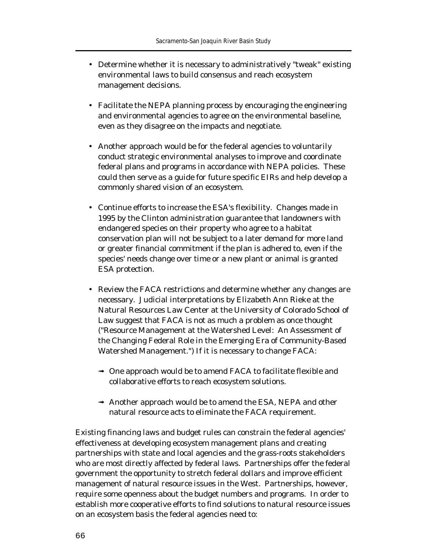- Determine whether it is necessary to administratively "tweak" existing environmental laws to build consensus and reach ecosystem management decisions.
- Facilitate the NEPA planning process by encouraging the engineering and environmental agencies to agree on the environmental baseline, even as they disagree on the impacts and negotiate.
- Another approach would be for the federal agencies to voluntarily conduct strategic environmental analyses to improve and coordinate federal plans and programs in accordance with NEPA policies. These could then serve as a guide for future specific EIRs and help develop a commonly shared vision of an ecosystem.
- Continue efforts to increase the ESA's flexibility. Changes made in 1995 by the Clinton administration guarantee that landowners with endangered species on their property who agree to a habitat conservation plan will not be subject to a later demand for more land or greater financial commitment if the plan is adhered to, even if the species' needs change over time or a new plant or animal is granted ESA protection.
- Review the FACA restrictions and determine whether any changes are necessary. Judicial interpretations by Elizabeth Ann Rieke at the Natural Resources Law Center at the University of Colorado School of Law suggest that FACA is not as much a problem as once thought ("Resource Management at the Watershed Level: An Assessment of the Changing Federal Role in the Emerging Era of Community-Based Watershed Management.") If it is necessary to change FACA:
	- → One approach would be to amend FACA to facilitate flexible and collaborative efforts to reach ecosystem solutions.
	- Another approach would be to amend the ESA, NEPA and other natural resource acts to eliminate the FACA requirement.

Existing financing laws and budget rules can constrain the federal agencies' effectiveness at developing ecosystem management plans and creating partnerships with state and local agencies and the grass-roots stakeholders who are most directly affected by federal laws. Partnerships offer the federal government the opportunity to stretch federal dollars and improve efficient management of natural resource issues in the West. Partnerships, however, require some openness about the budget numbers and programs. In order to establish more cooperative efforts to find solutions to natural resource issues on an ecosystem basis the federal agencies need to: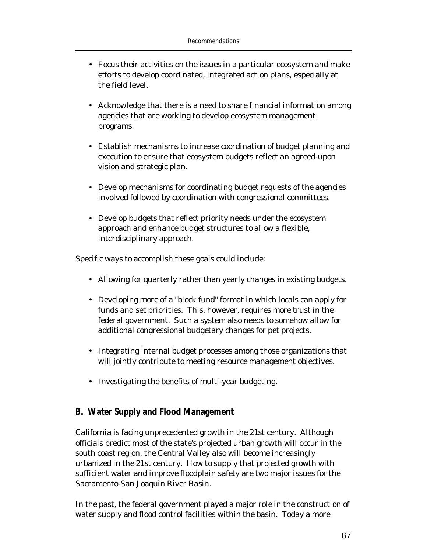- Focus their activities on the issues in a particular ecosystem and make efforts to develop coordinated, integrated action plans, especially at the field level.
- Acknowledge that there is a need to share financial information among agencies that are working to develop ecosystem management programs.
- Establish mechanisms to increase coordination of budget planning and execution to ensure that ecosystem budgets reflect an agreed-upon vision and strategic plan.
- Develop mechanisms for coordinating budget requests of the agencies involved followed by coordination with congressional committees.
- Develop budgets that reflect priority needs under the ecosystem approach and enhance budget structures to allow a flexible, interdisciplinary approach.

Specific ways to accomplish these goals could include:

- Allowing for quarterly rather than yearly changes in existing budgets.
- Developing more of a "block fund" format in which locals can apply for funds and set priorities. This, however, requires more trust in the federal government. Such a system also needs to somehow allow for additional congressional budgetary changes for pet projects.
- Integrating internal budget processes among those organizations that will jointly contribute to meeting resource management objectives.
- Investigating the benefits of multi-year budgeting.

## **B. Water Supply and Flood Management**

California is facing unprecedented growth in the 21st century. Although officials predict most of the state's projected urban growth will occur in the south coast region, the Central Valley also will become increasingly urbanized in the 21st century. How to supply that projected growth with sufficient water and improve floodplain safety are two major issues for the Sacramento-San Joaquin River Basin.

In the past, the federal government played a major role in the construction of water supply and flood control facilities within the basin. Today a more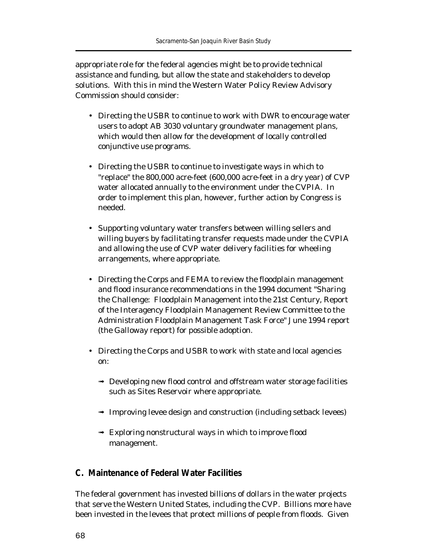appropriate role for the federal agencies might be to provide technical assistance and funding, but allow the state and stakeholders to develop solutions. With this in mind the Western Water Policy Review Advisory Commission should consider:

- Directing the USBR to continue to work with DWR to encourage water users to adopt AB 3030 voluntary groundwater management plans, which would then allow for the development of locally controlled conjunctive use programs.
- Directing the USBR to continue to investigate ways in which to "replace" the 800,000 acre-feet (600,000 acre-feet in a dry year) of CVP water allocated annually to the environment under the CVPIA. In order to implement this plan, however, further action by Congress is needed.
- Supporting voluntary water transfers between willing sellers and willing buyers by facilitating transfer requests made under the CVPIA and allowing the use of CVP water delivery facilities for wheeling arrangements, where appropriate.
- Directing the Corps and FEMA to review the floodplain management and flood insurance recommendations in the 1994 document "Sharing the Challenge: Floodplain Management into the 21st Century, Report of the Interagency Floodplain Management Review Committee to the Administration Floodplain Management Task Force" June 1994 report (the Galloway report) for possible adoption.
- Directing the Corps and USBR to work with state and local agencies on:
	- → Developing new flood control and offstream water storage facilities such as Sites Reservoir where appropriate.
	- $\rightarrow$  Improving levee design and construction (including setback levees)
	- $\rightarrow$  Exploring nonstructural ways in which to improve flood management.

#### **C. Maintenance of Federal Water Facilities**

The federal government has invested billions of dollars in the water projects that serve the Western United States, including the CVP. Billions more have been invested in the levees that protect millions of people from floods. Given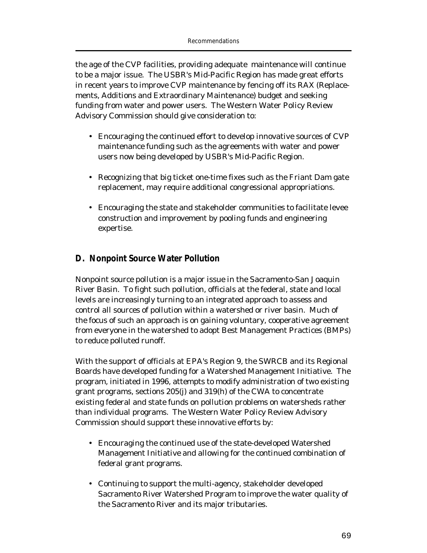the age of the CVP facilities, providing adequate maintenance will continue to be a major issue. The USBR's Mid-Pacific Region has made great efforts in recent years to improve CVP maintenance by fencing off its RAX (Replacements, Additions and Extraordinary Maintenance) budget and seeking funding from water and power users. The Western Water Policy Review Advisory Commission should give consideration to:

- Encouraging the continued effort to develop innovative sources of CVP maintenance funding such as the agreements with water and power users now being developed by USBR's Mid-Pacific Region.
- Recognizing that big ticket one-time fixes such as the Friant Dam gate replacement, may require additional congressional appropriations.
- Encouraging the state and stakeholder communities to facilitate levee construction and improvement by pooling funds and engineering expertise.

## **D. Nonpoint Source Water Pollution**

Nonpoint source pollution is a major issue in the Sacramento-San Joaquin River Basin. To fight such pollution, officials at the federal, state and local levels are increasingly turning to an integrated approach to assess and control all sources of pollution within a watershed or river basin. Much of the focus of such an approach is on gaining voluntary, cooperative agreement from everyone in the watershed to adopt Best Management Practices (BMPs) to reduce polluted runoff.

With the support of officials at EPA's Region 9, the SWRCB and its Regional Boards have developed funding for a Watershed Management Initiative. The program, initiated in 1996, attempts to modify administration of two existing grant programs, sections 205(j) and 319(h) of the CWA to concentrate existing federal and state funds on pollution problems on watersheds rather than individual programs. The Western Water Policy Review Advisory Commission should support these innovative efforts by:

- Encouraging the continued use of the state-developed Watershed Management Initiative and allowing for the continued combination of federal grant programs.
- Continuing to support the multi-agency, stakeholder developed Sacramento River Watershed Program to improve the water quality of the Sacramento River and its major tributaries.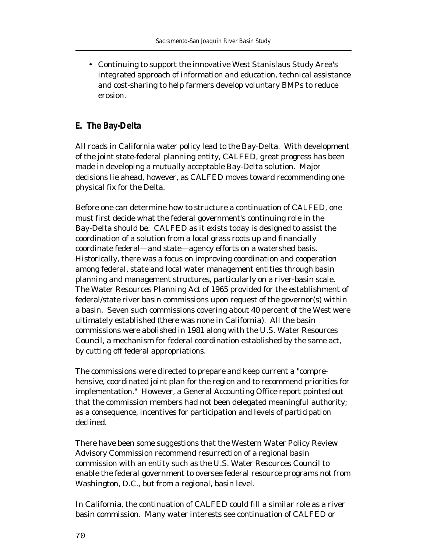• Continuing to support the innovative West Stanislaus Study Area's integrated approach of information and education, technical assistance and cost-sharing to help farmers develop voluntary BMPs to reduce erosion.

## **E. The Bay-Delta**

All roads in California water policy lead to the Bay-Delta. With development of the joint state-federal planning entity, CALFED, great progress has been made in developing a mutually acceptable Bay-Delta solution. Major decisions lie ahead, however, as CALFED moves toward recommending one physical fix for the Delta.

Before one can determine how to structure a continuation of CALFED, one must first decide what the federal government's continuing role in the Bay-Delta should be. CALFED as it exists today is designed to assist the coordination of a solution from a local grass roots up and financially coordinate federal—and state—agency efforts on a watershed basis. Historically, there was a focus on improving coordination and cooperation among federal, state and local water management entities through basin planning and management structures, particularly on a river-basin scale. The Water Resources Planning Act of 1965 provided for the establishment of federal/state river basin commissions upon request of the governor(s) within a basin. Seven such commissions covering about 40 percent of the West were ultimately established (there was none in California). All the basin commissions were abolished in 1981 along with the U.S. Water Resources Council, a mechanism for federal coordination established by the same act, by cutting off federal appropriations.

The commissions were directed to prepare and keep current a "comprehensive, coordinated joint plan for the region and to recommend priorities for implementation." However, a General Accounting Office report pointed out that the commission members had not been delegated meaningful authority; as a consequence, incentives for participation and levels of participation declined.

There have been some suggestions that the Western Water Policy Review Advisory Commission recommend resurrection of a regional basin commission with an entity such as the U.S. Water Resources Council to enable the federal government to oversee federal resource programs not from Washington, D.C., but from a regional, basin level.

In California, the continuation of CALFED could fill a similar role as a river basin commission. Many water interests see continuation of CALFED or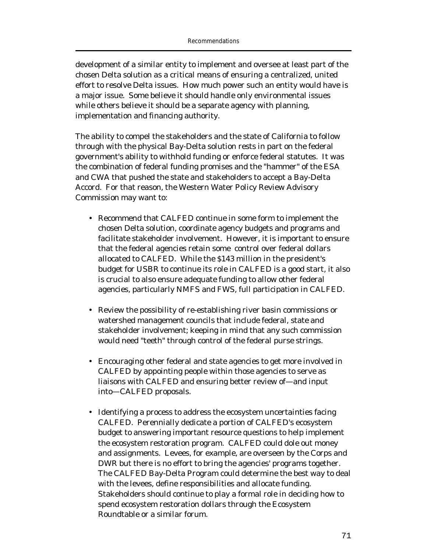development of a similar entity to implement and oversee at least part of the chosen Delta solution as a critical means of ensuring a centralized, united effort to resolve Delta issues. How much power such an entity would have is a major issue. Some believe it should handle only environmental issues while others believe it should be a separate agency with planning, implementation and financing authority.

The ability to compel the stakeholders and the state of California to follow through with the physical Bay-Delta solution rests in part on the federal government's ability to withhold funding or enforce federal statutes. It was the combination of federal funding promises and the "hammer" of the ESA and CWA that pushed the state and stakeholders to accept a Bay-Delta Accord. For that reason, the Western Water Policy Review Advisory Commission may want to:

- Recommend that CALFED continue in some form to implement the chosen Delta solution, coordinate agency budgets and programs and facilitate stakeholder involvement. However, it is important to ensure that the federal agencies retain some control over federal dollars allocated to CALFED. While the \$143 million in the president's budget for USBR to continue its role in CALFED is a good start, it also is crucial to also ensure adequate funding to allow other federal agencies, particularly NMFS and FWS, full participation in CALFED.
- Review the possibility of re-establishing river basin commissions or watershed management councils that include federal, state and stakeholder involvement; keeping in mind that any such commission would need "teeth" through control of the federal purse strings.
- Encouraging other federal and state agencies to get more involved in CALFED by appointing people within those agencies to serve as liaisons with CALFED and ensuring better review of—and input into—CALFED proposals.
- Identifying a process to address the ecosystem uncertainties facing CALFED. Perennially dedicate a portion of CALFED's ecosystem budget to answering important resource questions to help implement the ecosystem restoration program. CALFED could dole out money and assignments. Levees, for example, are overseen by the Corps and DWR but there is no effort to bring the agencies' programs together. The CALFED Bay-Delta Program could determine the best way to deal with the levees, define responsibilities and allocate funding. Stakeholders should continue to play a formal role in deciding how to spend ecosystem restoration dollars through the Ecosystem Roundtable or a similar forum.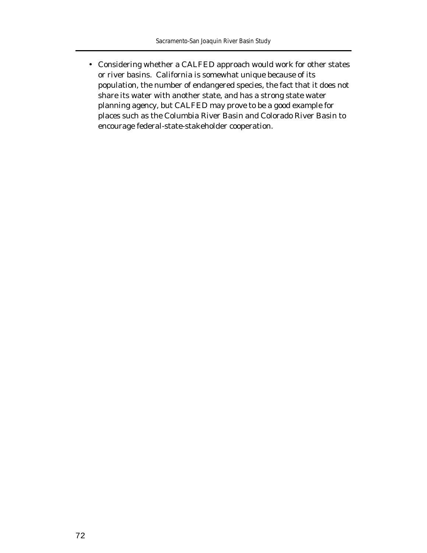• Considering whether a CALFED approach would work for other states or river basins. California is somewhat unique because of its population, the number of endangered species, the fact that it does not share its water with another state, and has a strong state water planning agency, but CALFED may prove to be a good example for places such as the Columbia River Basin and Colorado River Basin to encourage federal-state-stakeholder cooperation.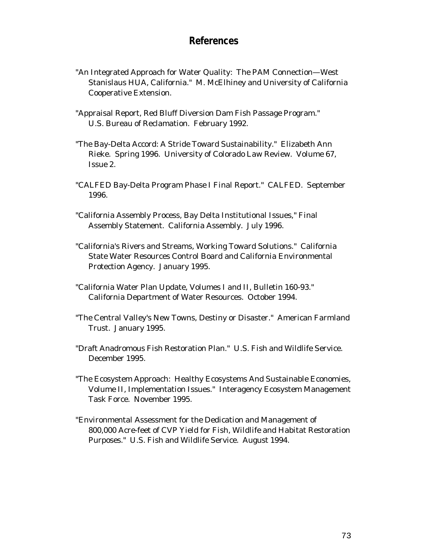## **References**

- "An Integrated Approach for Water Quality: The PAM Connection—West Stanislaus HUA, California." M. McElhiney and University of California Cooperative Extension.
- "Appraisal Report, Red Bluff Diversion Dam Fish Passage Program." U.S. Bureau of Reclamation. February 1992.
- "The Bay-Delta Accord: A Stride Toward Sustainability." Elizabeth Ann Rieke. Spring 1996. University of Colorado Law Review. Volume 67, Issue 2.
- "CALFED Bay-Delta Program Phase I Final Report." CALFED. September 1996.
- "California Assembly Process, Bay Delta Institutional Issues," Final Assembly Statement. California Assembly. July 1996.
- "California's Rivers and Streams, Working Toward Solutions." California State Water Resources Control Board and California Environmental Protection Agency. January 1995.
- "California Water Plan Update, Volumes I and II, Bulletin 160-93." California Department of Water Resources. October 1994.
- "The Central Valley's New Towns, Destiny or Disaster." American Farmland Trust. January 1995.
- "Draft Anadromous Fish Restoration Plan." U.S. Fish and Wildlife Service. December 1995.
- "The Ecosystem Approach: Healthy Ecosystems And Sustainable Economies, Volume II, Implementation Issues." Interagency Ecosystem Management Task Force. November 1995.
- "Environmental Assessment for the Dedication and Management of 800,000 Acre-feet of CVP Yield for Fish, Wildlife and Habitat Restoration Purposes." U.S. Fish and Wildlife Service. August 1994.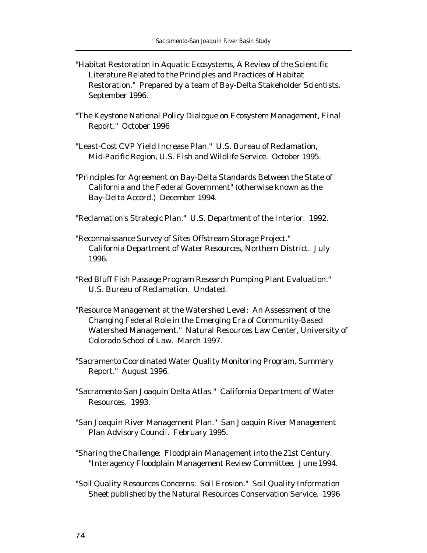- "Habitat Restoration in Aquatic Ecosystems, A Review of the Scientific Literature Related to the Principles and Practices of Habitat Restoration." Prepared by a team of Bay-Delta Stakeholder Scientists. September 1996.
- "The Keystone National Policy Dialogue on Ecosystem Management, Final Report." October 1996
- "Least-Cost CVP Yield Increase Plan." U.S. Bureau of Reclamation, Mid-Pacific Region, U.S. Fish and Wildlife Service. October 1995.
- "Principles for Agreement on Bay-Delta Standards Between the State of California and the Federal Government" (otherwise known as the Bay-Delta Accord.) December 1994.
- "Reclamation's Strategic Plan." U.S. Department of the Interior. 1992.
- "Reconnaissance Survey of Sites Offstream Storage Project." California Department of Water Resources, Northern District. July 1996.
- "Red Bluff Fish Passage Program Research Pumping Plant Evaluation." U.S. Bureau of Reclamation. Undated.
- "Resource Management at the Watershed Level: An Assessment of the Changing Federal Role in the Emerging Era of Community-Based Watershed Management." Natural Resources Law Center, University of Colorado School of Law. March 1997.
- "Sacramento Coordinated Water Quality Monitoring Program, Summary Report." August 1996.
- "Sacramento-San Joaquin Delta Atlas." California Department of Water Resources. 1993.
- "San Joaquin River Management Plan." San Joaquin River Management Plan Advisory Council. February 1995.
- "Sharing the Challenge: Floodplain Management into the 21st Century. "Interagency Floodplain Management Review Committee. June 1994.
- "Soil Quality Resources Concerns: Soil Erosion." Soil Quality Information Sheet published by the Natural Resources Conservation Service. 1996